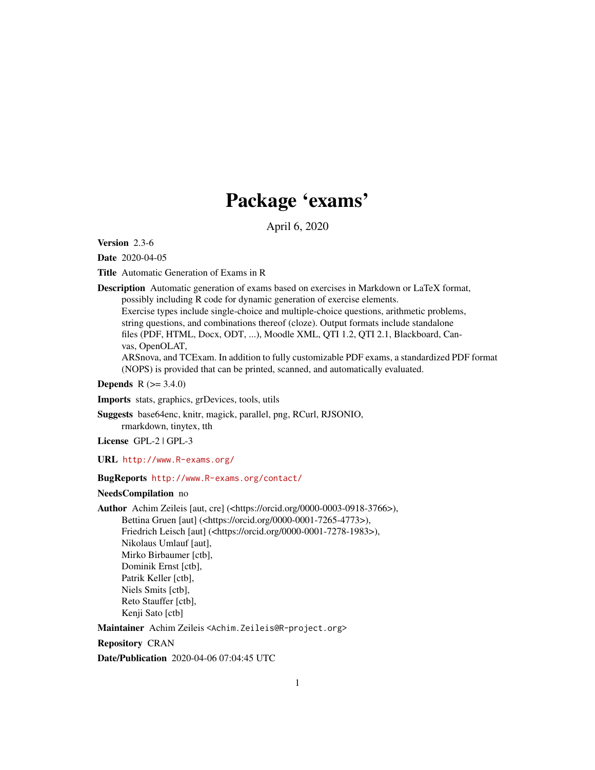# Package 'exams'

April 6, 2020

<span id="page-0-0"></span>Version 2.3-6

Date 2020-04-05

Title Automatic Generation of Exams in R

Description Automatic generation of exams based on exercises in Markdown or LaTeX format, possibly including R code for dynamic generation of exercise elements. Exercise types include single-choice and multiple-choice questions, arithmetic problems, string questions, and combinations thereof (cloze). Output formats include standalone

files (PDF, HTML, Docx, ODT, ...), Moodle XML, QTI 1.2, QTI 2.1, Blackboard, Canvas, OpenOLAT,

ARSnova, and TCExam. In addition to fully customizable PDF exams, a standardized PDF format (NOPS) is provided that can be printed, scanned, and automatically evaluated.

**Depends**  $R$  ( $> = 3.4.0$ )

Imports stats, graphics, grDevices, tools, utils

Suggests base64enc, knitr, magick, parallel, png, RCurl, RJSONIO,

rmarkdown, tinytex, tth

License GPL-2 | GPL-3

URL <http://www.R-exams.org/>

#### BugReports <http://www.R-exams.org/contact/>

#### NeedsCompilation no

Author Achim Zeileis [aut, cre] (<https://orcid.org/0000-0003-0918-3766>), Bettina Gruen [aut] (<https://orcid.org/0000-0001-7265-4773>), Friedrich Leisch [aut] (<https://orcid.org/0000-0001-7278-1983>), Nikolaus Umlauf [aut], Mirko Birbaumer [ctb], Dominik Ernst [ctb], Patrik Keller [ctb], Niels Smits [ctb], Reto Stauffer [ctb], Kenji Sato [ctb]

Maintainer Achim Zeileis <Achim.Zeileis@R-project.org>

Repository CRAN

Date/Publication 2020-04-06 07:04:45 UTC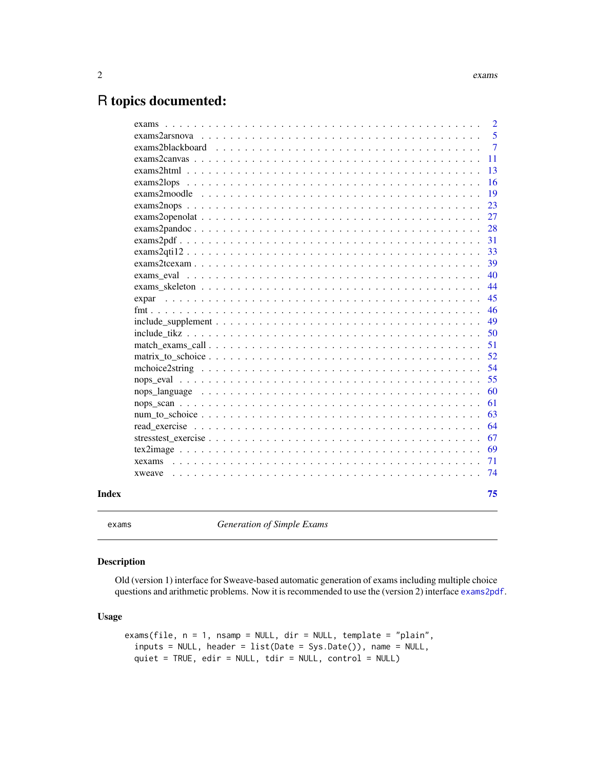# <span id="page-1-0"></span>R topics documented:

|       | exams          | $\overline{2}$ |
|-------|----------------|----------------|
|       |                | 5              |
|       |                | $\overline{7}$ |
|       |                | 11             |
|       |                | 13             |
|       |                | 16             |
|       |                | 19             |
|       |                | 23             |
|       |                | 27             |
|       |                | 28             |
|       |                | 31             |
|       | exams2gti12    | 33             |
|       | $exams2teexam$ | 39             |
|       |                | 40             |
|       |                | 44             |
|       |                | 45             |
|       |                | 46             |
|       |                | 49             |
|       |                | 50             |
|       |                | 51             |
|       |                | 52             |
|       |                | 54             |
|       |                | 55             |
|       |                | 60             |
|       |                | 61             |
|       |                | 63             |
|       |                | 64             |
|       |                | 67             |
|       |                | 69             |
|       |                | 71             |
|       |                | 74             |
| Index |                | 75             |

exams *Generation of Simple Exams*

#### Description

Old (version 1) interface for Sweave-based automatic generation of exams including multiple choice questions and arithmetic problems. Now it is recommended to use the (version 2) interface [exams2pdf](#page-30-1).

#### Usage

```
exams(file, n = 1, nsamp = NULL, dir = NULL, template = "plain",
  inputs = NULL, header = list(Date = Sys.Date()), name = NULL,
 quiet = TRUE, edir = NULL, tdir = NULL, control = NULL)
```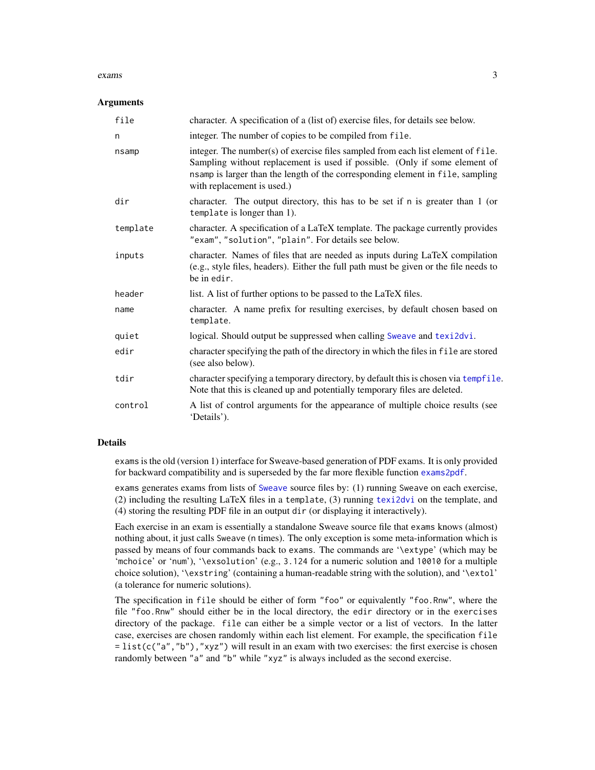#### exams 3

#### **Arguments**

| file     | character. A specification of a (list of) exercise files, for details see below.                                                                                                                                                                                               |
|----------|--------------------------------------------------------------------------------------------------------------------------------------------------------------------------------------------------------------------------------------------------------------------------------|
| n        | integer. The number of copies to be compiled from file.                                                                                                                                                                                                                        |
| nsamp    | integer. The number(s) of exercise files sampled from each list element of file.<br>Sampling without replacement is used if possible. (Only if some element of<br>nsamp is larger than the length of the corresponding element in file, sampling<br>with replacement is used.) |
| dir      | character. The output directory, this has to be set if n is greater than 1 (or<br>template is longer than 1).                                                                                                                                                                  |
| template | character. A specification of a LaTeX template. The package currently provides<br>"exam", "solution", "plain". For details see below.                                                                                                                                          |
| inputs   | character. Names of files that are needed as inputs during LaTeX compilation<br>(e.g., style files, headers). Either the full path must be given or the file needs to<br>be in edir.                                                                                           |
| header   | list. A list of further options to be passed to the LaTeX files.                                                                                                                                                                                                               |
| name     | character. A name prefix for resulting exercises, by default chosen based on<br>template.                                                                                                                                                                                      |
| quiet    | logical. Should output be suppressed when calling Sweave and texi2dvi.                                                                                                                                                                                                         |
| edir     | character specifying the path of the directory in which the files in file are stored<br>(see also below).                                                                                                                                                                      |
| tdir     | character specifying a temporary directory, by default this is chosen via tempfile.<br>Note that this is cleaned up and potentially temporary files are deleted.                                                                                                               |
| control  | A list of control arguments for the appearance of multiple choice results (see<br>'Details').                                                                                                                                                                                  |

#### Details

exams is the old (version 1) interface for Sweave-based generation of PDF exams. It is only provided for backward compatibility and is superseded by the far more flexible function [exams2pdf](#page-30-1).

exams generates exams from lists of [Sweave](#page-0-0) source files by: (1) running Sweave on each exercise, (2) including the resulting LaTeX files in a template, (3) running [texi2dvi](#page-0-0) on the template, and (4) storing the resulting PDF file in an output dir (or displaying it interactively).

Each exercise in an exam is essentially a standalone Sweave source file that exams knows (almost) nothing about, it just calls Sweave (n times). The only exception is some meta-information which is passed by means of four commands back to exams. The commands are '\extype' (which may be 'mchoice' or 'num'), '\exsolution' (e.g., 3.124 for a numeric solution and 10010 for a multiple choice solution), '\exstring' (containing a human-readable string with the solution), and '\extol' (a tolerance for numeric solutions).

The specification in file should be either of form "foo" or equivalently "foo.Rnw", where the file "foo.Rnw" should either be in the local directory, the edir directory or in the exercises directory of the package. file can either be a simple vector or a list of vectors. In the latter case, exercises are chosen randomly within each list element. For example, the specification file  $=$  list(c("a","b"),"xyz") will result in an exam with two exercises: the first exercise is chosen randomly between "a" and "b" while "xyz" is always included as the second exercise.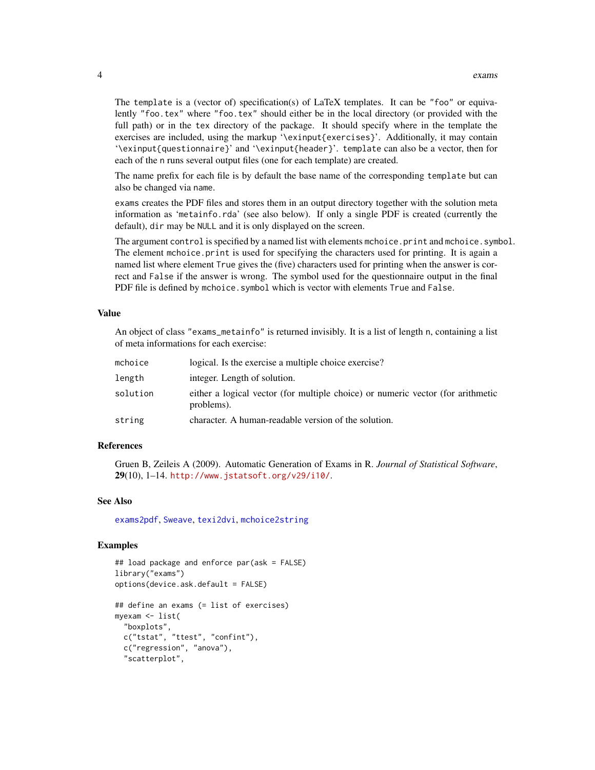The template is a (vector of) specification(s) of LaTeX templates. It can be "foo" or equivalently "foo.tex" where "foo.tex" should either be in the local directory (or provided with the full path) or in the tex directory of the package. It should specify where in the template the exercises are included, using the markup '\exinput{exercises}'. Additionally, it may contain '\exinput{questionnaire}' and '\exinput{header}'. template can also be a vector, then for each of the n runs several output files (one for each template) are created.

The name prefix for each file is by default the base name of the corresponding template but can also be changed via name.

exams creates the PDF files and stores them in an output directory together with the solution meta information as 'metainfo.rda' (see also below). If only a single PDF is created (currently the default), dir may be NULL and it is only displayed on the screen.

The argument control is specified by a named list with elements mchoice.print and mchoice.symbol. The element mchoice.print is used for specifying the characters used for printing. It is again a named list where element True gives the (five) characters used for printing when the answer is correct and False if the answer is wrong. The symbol used for the questionnaire output in the final PDF file is defined by mchoice. symbol which is vector with elements True and False.

#### Value

An object of class "exams\_metainfo" is returned invisibly. It is a list of length n, containing a list of meta informations for each exercise:

| mchoice  | logical. Is the exercise a multiple choice exercise?                                          |
|----------|-----------------------------------------------------------------------------------------------|
| length   | integer. Length of solution.                                                                  |
| solution | either a logical vector (for multiple choice) or numeric vector (for arithmetic<br>problems). |
| string   | character. A human-readable version of the solution.                                          |

#### References

Gruen B, Zeileis A (2009). Automatic Generation of Exams in R. *Journal of Statistical Software*, 29(10), 1–14. <http://www.jstatsoft.org/v29/i10/>.

#### See Also

[exams2pdf](#page-30-1), [Sweave](#page-0-0), [texi2dvi](#page-0-0), [mchoice2string](#page-53-1)

#### Examples

```
## load package and enforce par(ask = FALSE)
library("exams")
options(device.ask.default = FALSE)
## define an exams (= list of exercises)
myexam <- list(
  "boxplots",
 c("tstat", "ttest", "confint"),
 c("regression", "anova"),
  "scatterplot",
```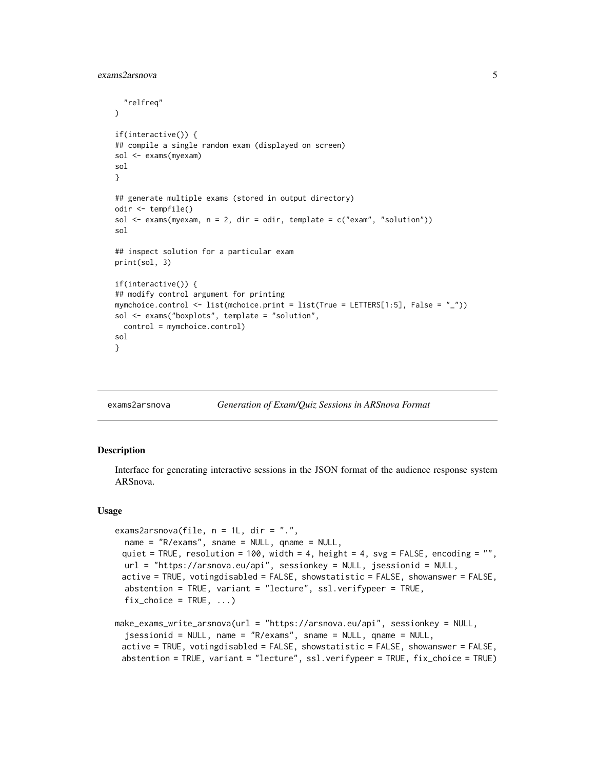```
"relfreq"
\mathcal{L}if(interactive()) {
## compile a single random exam (displayed on screen)
sol <- exams(myexam)
sol
}
## generate multiple exams (stored in output directory)
odir <- tempfile()
sol \leq exams(myexam, n = 2, dir = odir, template = c("exam", "solution"))
sol
## inspect solution for a particular exam
print(sol, 3)
if(interactive()) {
## modify control argument for printing
mymchoice.control <- list(mchoice.print = list(True = LETTERS[1:5], False = "_"))
sol <- exams("boxplots", template = "solution",
 control = mymchoice.control)
sol
}
```
exams2arsnova *Generation of Exam/Quiz Sessions in ARSnova Format*

#### **Description**

Interface for generating interactive sessions in the JSON format of the audience response system ARSnova.

#### Usage

```
exams2arsnova(file, n = 1L, dir = ".",
  name = "R/exams", sname = NULL, qname = NULL,
 quiet = TRUE, resolution = 100, width = 4, height = 4, svg = FALSE, encoding = ",
 url = "https://arsnova.eu/api", sessionkey = NULL, jsessionid = NULL,
 active = TRUE, votingdisabled = FALSE, showstatistic = FALSE, showanswer = FALSE,
  abstention = TRUE, variant = "lecture", ssl.verifypeer = TRUE,
  fix\_choice = TRUE, ...make_exams_write_arsnova(url = "https://arsnova.eu/api", sessionkey = NULL,
```

```
jsessionid = NULL, name = "R/exams", sname = NULL, qname = NULL,
active = TRUE, votingdisabled = FALSE, showstatistic = FALSE, showanswer = FALSE,
abstention = TRUE, variant = "lecture", ssl.verifypeer = TRUE, fix_choice = TRUE)
```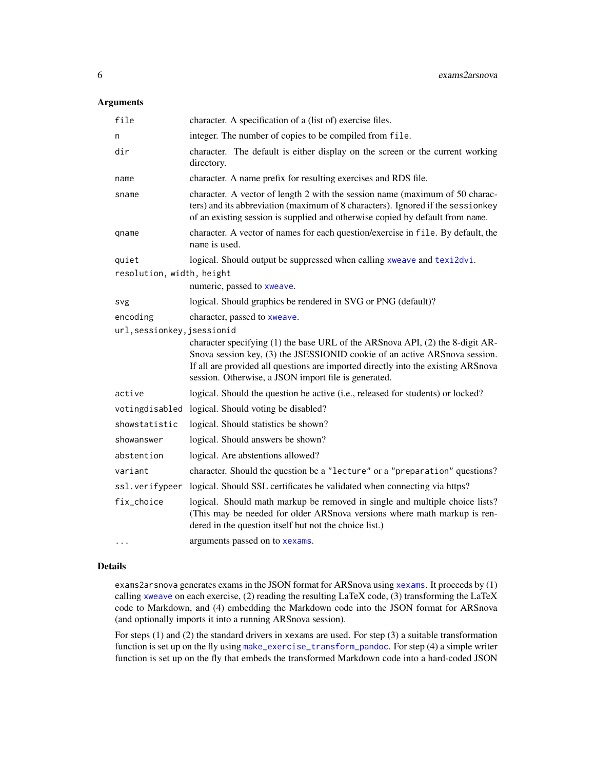### Arguments

| file                                    | character. A specification of a (list of) exercise files.                                                                                                                                                                                                                                                |
|-----------------------------------------|----------------------------------------------------------------------------------------------------------------------------------------------------------------------------------------------------------------------------------------------------------------------------------------------------------|
| n                                       | integer. The number of copies to be compiled from file.                                                                                                                                                                                                                                                  |
| dir                                     | character. The default is either display on the screen or the current working<br>directory.                                                                                                                                                                                                              |
| name                                    | character. A name prefix for resulting exercises and RDS file.                                                                                                                                                                                                                                           |
| sname                                   | character. A vector of length 2 with the session name (maximum of 50 charac-<br>ters) and its abbreviation (maximum of 8 characters). Ignored if the sessionkey<br>of an existing session is supplied and otherwise copied by default from name.                                                         |
| qname                                   | character. A vector of names for each question/exercise in file. By default, the<br>name is used.                                                                                                                                                                                                        |
| quiet                                   | logical. Should output be suppressed when calling xweave and texi2dvi.                                                                                                                                                                                                                                   |
| resolution, width, height               |                                                                                                                                                                                                                                                                                                          |
|                                         | numeric, passed to xweave.                                                                                                                                                                                                                                                                               |
| svg                                     | logical. Should graphics be rendered in SVG or PNG (default)?                                                                                                                                                                                                                                            |
| encoding<br>url, sessionkey, jsessionid | character, passed to xweave.                                                                                                                                                                                                                                                                             |
|                                         | character specifying (1) the base URL of the ARSnova API, (2) the 8-digit AR-<br>Snova session key, (3) the JSESSIONID cookie of an active ARSnova session.<br>If all are provided all questions are imported directly into the existing ARSnova<br>session. Otherwise, a JSON import file is generated. |
| active                                  | logical. Should the question be active (i.e., released for students) or locked?                                                                                                                                                                                                                          |
|                                         | votingdisabled logical. Should voting be disabled?                                                                                                                                                                                                                                                       |
| showstatistic                           | logical. Should statistics be shown?                                                                                                                                                                                                                                                                     |
| showanswer                              | logical. Should answers be shown?                                                                                                                                                                                                                                                                        |
| abstention                              | logical. Are abstentions allowed?                                                                                                                                                                                                                                                                        |
| variant                                 | character. Should the question be a "lecture" or a "preparation" questions?                                                                                                                                                                                                                              |
| ssl.verifypeer                          | logical. Should SSL certificates be validated when connecting via https?                                                                                                                                                                                                                                 |
| fix_choice                              | logical. Should math markup be removed in single and multiple choice lists?<br>(This may be needed for older ARSnova versions where math markup is ren-<br>dered in the question itself but not the choice list.)                                                                                        |
| $\cdots$                                | arguments passed on to xexams.                                                                                                                                                                                                                                                                           |

#### Details

exams2arsnova generates exams in the JSON format for ARSnova using [xexams](#page-70-1). It proceeds by (1) calling [xweave](#page-73-1) on each exercise, (2) reading the resulting LaTeX code, (3) transforming the LaTeX code to Markdown, and (4) embedding the Markdown code into the JSON format for ARSnova (and optionally imports it into a running ARSnova session).

For steps (1) and (2) the standard drivers in xexams are used. For step (3) a suitable transformation function is set up on the fly using [make\\_exercise\\_transform\\_pandoc](#page-12-1). For step (4) a simple writer function is set up on the fly that embeds the transformed Markdown code into a hard-coded JSON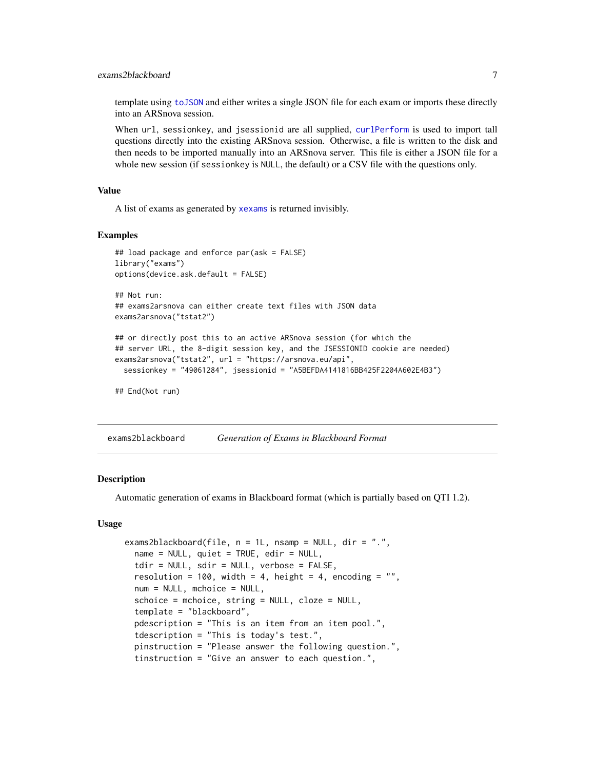#### <span id="page-6-0"></span>exams2blackboard 7

template using [toJSON](#page-0-0) and either writes a single JSON file for each exam or imports these directly into an ARSnova session.

When url, sessionkey, and jsessionid are all supplied, [curlPerform](#page-0-0) is used to import tall questions directly into the existing ARSnova session. Otherwise, a file is written to the disk and then needs to be imported manually into an ARSnova server. This file is either a JSON file for a whole new session (if sessionkey is NULL, the default) or a CSV file with the questions only.

#### Value

A list of exams as generated by [xexams](#page-70-1) is returned invisibly.

#### Examples

```
## load package and enforce par(ask = FALSE)
library("exams")
options(device.ask.default = FALSE)
## Not run:
## exams2arsnova can either create text files with JSON data
exams2arsnova("tstat2")
## or directly post this to an active ARSnova session (for which the
## server URL, the 8-digit session key, and the JSESSIONID cookie are needed)
exams2arsnova("tstat2", url = "https://arsnova.eu/api",
 sessionkey = "49061284", jsessionid = "A5BEFDA4141816BB425F2204A602E4B3")
## End(Not run)
```
exams2blackboard *Generation of Exams in Blackboard Format*

#### Description

Automatic generation of exams in Blackboard format (which is partially based on QTI 1.2).

#### Usage

```
exams2blackboard(file, n = 1L, nsamp = NULL, dir = ".",
 name = NULL, quiet = TRUE, edir = NULL,
 tdir = NULL, sdir = NULL, verbose = FALSE,
 resolution = 100, width = 4, height = 4, encoding = ",
 num = NULL, mchoice = NULL,
 schoice = mchoice, string = NULL, cloze = NULL,
 template = "blackboard",
 pdescription = "This is an item from an item pool.",
 tdescription = "This is today's test.",
 pinstruction = "Please answer the following question.",
 tinstruction = "Give an answer to each question.",
```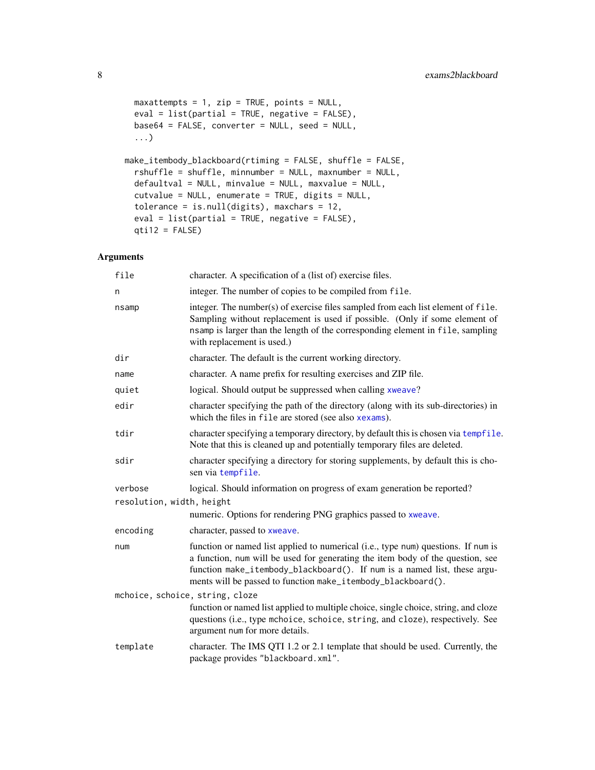```
maxattempts = 1, zip = TRUE, points = NULL,
 eval = list(partial = TRUE, negative = FALSE),
 base64 = FALSE, converter = NULL, seed = NULL,
  ...)
make_itembody_blackboard(rtiming = FALSE, shuffle = FALSE,
  rshuffle = shuffle, minnumber = NULL, maxnumber = NULL,
 defaultval = NULL, minvalue = NULL, maxvalue = NULL,
 cutvalue = NULL, enumerate = TRUE, digits = NULL,
 tolerance = is.null(digits), maxchars = 12,
 eval = list(partial = TRUE, negative = FALSE),
 qti12 = FALSE)
```

| file                            | character. A specification of a (list of) exercise files.                                                                                                                                                                                                                                                       |  |
|---------------------------------|-----------------------------------------------------------------------------------------------------------------------------------------------------------------------------------------------------------------------------------------------------------------------------------------------------------------|--|
| n                               | integer. The number of copies to be compiled from file.                                                                                                                                                                                                                                                         |  |
| nsamp                           | integer. The number(s) of exercise files sampled from each list element of file.<br>Sampling without replacement is used if possible. (Only if some element of<br>nsamp is larger than the length of the corresponding element in file, sampling<br>with replacement is used.)                                  |  |
| dir                             | character. The default is the current working directory.                                                                                                                                                                                                                                                        |  |
| name                            | character. A name prefix for resulting exercises and ZIP file.                                                                                                                                                                                                                                                  |  |
| quiet                           | logical. Should output be suppressed when calling xweave?                                                                                                                                                                                                                                                       |  |
| edir                            | character specifying the path of the directory (along with its sub-directories) in<br>which the files in file are stored (see also xexams).                                                                                                                                                                     |  |
| tdir                            | character specifying a temporary directory, by default this is chosen via tempfile.<br>Note that this is cleaned up and potentially temporary files are deleted.                                                                                                                                                |  |
| sdir                            | character specifying a directory for storing supplements, by default this is cho-<br>sen via tempfile.                                                                                                                                                                                                          |  |
| verbose                         | logical. Should information on progress of exam generation be reported?                                                                                                                                                                                                                                         |  |
| resolution, width, height       |                                                                                                                                                                                                                                                                                                                 |  |
|                                 | numeric. Options for rendering PNG graphics passed to xweave.                                                                                                                                                                                                                                                   |  |
| encoding                        | character, passed to xweave.                                                                                                                                                                                                                                                                                    |  |
| num                             | function or named list applied to numerical (i.e., type num) questions. If num is<br>a function, num will be used for generating the item body of the question, see<br>function make_itembody_blackboard(). If num is a named list, these argu-<br>ments will be passed to function make_itembody_blackboard(). |  |
| mchoice, schoice, string, cloze |                                                                                                                                                                                                                                                                                                                 |  |
|                                 | function or named list applied to multiple choice, single choice, string, and cloze<br>questions (i.e., type mchoice, schoice, string, and cloze), respectively. See<br>argument num for more details.                                                                                                          |  |
| template                        | character. The IMS QTI 1.2 or 2.1 template that should be used. Currently, the<br>package provides "blackboard.xml".                                                                                                                                                                                            |  |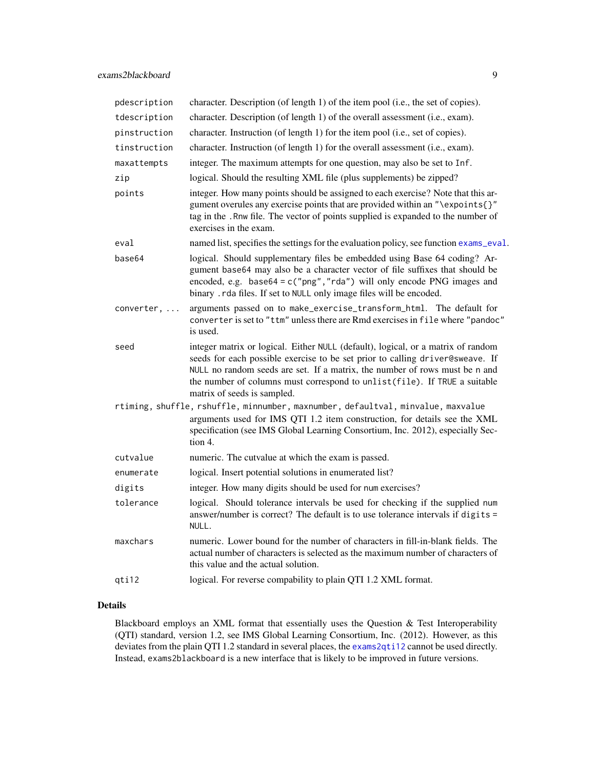| pdescription | character. Description (of length 1) of the item pool (i.e., the set of copies).                                                                                                                                                                                                                                                                             |
|--------------|--------------------------------------------------------------------------------------------------------------------------------------------------------------------------------------------------------------------------------------------------------------------------------------------------------------------------------------------------------------|
| tdescription | character. Description (of length 1) of the overall assessment (i.e., exam).                                                                                                                                                                                                                                                                                 |
| pinstruction | character. Instruction (of length 1) for the item pool (i.e., set of copies).                                                                                                                                                                                                                                                                                |
| tinstruction | character. Instruction (of length 1) for the overall assessment (i.e., exam).                                                                                                                                                                                                                                                                                |
| maxattempts  | integer. The maximum attempts for one question, may also be set to Inf.                                                                                                                                                                                                                                                                                      |
| zip          | logical. Should the resulting XML file (plus supplements) be zipped?                                                                                                                                                                                                                                                                                         |
| points       | integer. How many points should be assigned to each exercise? Note that this ar-<br>gument overules any exercise points that are provided within an "\expoints{}"<br>tag in the . Rnw file. The vector of points supplied is expanded to the number of<br>exercises in the exam.                                                                             |
| eval         | named list, specifies the settings for the evaluation policy, see function exams_eval.                                                                                                                                                                                                                                                                       |
| base64       | logical. Should supplementary files be embedded using Base 64 coding? Ar-<br>gument base64 may also be a character vector of file suffixes that should be<br>encoded, e.g. $base64 = c("png", "rda")$ will only encode PNG images and<br>binary . rda files. If set to NULL only image files will be encoded.                                                |
| converter,   | arguments passed on to make_exercise_transform_html. The default for<br>converter is set to "ttm" unless there are Rmd exercises in file where "pandoc"<br>is used.                                                                                                                                                                                          |
| seed         | integer matrix or logical. Either NULL (default), logical, or a matrix of random<br>seeds for each possible exercise to be set prior to calling driver@sweave. If<br>NULL no random seeds are set. If a matrix, the number of rows must be n and<br>the number of columns must correspond to unlist(file). If TRUE a suitable<br>matrix of seeds is sampled. |
|              | rtiming, shuffle, rshuffle, minnumber, maxnumber, defaultval, minvalue, maxvalue                                                                                                                                                                                                                                                                             |
|              | arguments used for IMS QTI 1.2 item construction, for details see the XML<br>specification (see IMS Global Learning Consortium, Inc. 2012), especially Sec-<br>tion 4.                                                                                                                                                                                       |
| cutvalue     | numeric. The cutvalue at which the exam is passed.                                                                                                                                                                                                                                                                                                           |
| enumerate    | logical. Insert potential solutions in enumerated list?                                                                                                                                                                                                                                                                                                      |
| digits       | integer. How many digits should be used for num exercises?                                                                                                                                                                                                                                                                                                   |
| tolerance    | logical. Should tolerance intervals be used for checking if the supplied num<br>answer/number is correct? The default is to use tolerance intervals if digits =<br>NULL.                                                                                                                                                                                     |
| maxchars     | numeric. Lower bound for the number of characters in fill-in-blank fields. The<br>actual number of characters is selected as the maximum number of characters of<br>this value and the actual solution.                                                                                                                                                      |
| qti12        | logical. For reverse compability to plain QTI 1.2 XML format.                                                                                                                                                                                                                                                                                                |
|              |                                                                                                                                                                                                                                                                                                                                                              |

#### Details

Blackboard employs an XML format that essentially uses the Question & Test Interoperability (QTI) standard, version 1.2, see IMS Global Learning Consortium, Inc. (2012). However, as this deviates from the plain QTI 1.2 standard in several places, the [exams2qti12](#page-32-1) cannot be used directly. Instead, exams2blackboard is a new interface that is likely to be improved in future versions.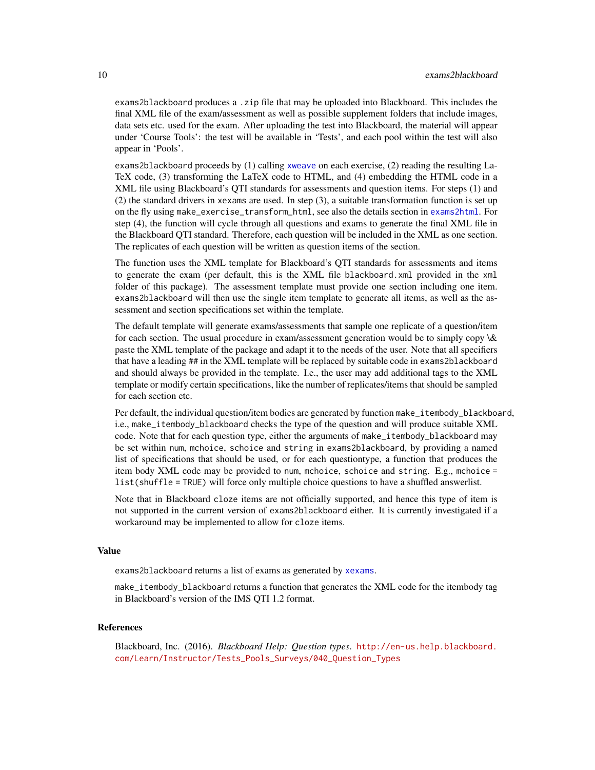exams2blackboard produces a .zip file that may be uploaded into Blackboard. This includes the final XML file of the exam/assessment as well as possible supplement folders that include images, data sets etc. used for the exam. After uploading the test into Blackboard, the material will appear under 'Course Tools': the test will be available in 'Tests', and each pool within the test will also appear in 'Pools'.

exams2blackboard proceeds by (1) calling [xweave](#page-73-1) on each exercise, (2) reading the resulting La-TeX code, (3) transforming the LaTeX code to HTML, and (4) embedding the HTML code in a XML file using Blackboard's QTI standards for assessments and question items. For steps (1) and (2) the standard drivers in xexams are used. In step (3), a suitable transformation function is set up on the fly using make\_exercise\_transform\_html, see also the details section in [exams2html](#page-12-2). For step (4), the function will cycle through all questions and exams to generate the final XML file in the Blackboard QTI standard. Therefore, each question will be included in the XML as one section. The replicates of each question will be written as question items of the section.

The function uses the XML template for Blackboard's QTI standards for assessments and items to generate the exam (per default, this is the XML file blackboard.xml provided in the xml folder of this package). The assessment template must provide one section including one item. exams2blackboard will then use the single item template to generate all items, as well as the assessment and section specifications set within the template.

The default template will generate exams/assessments that sample one replicate of a question/item for each section. The usual procedure in exam/assessment generation would be to simply copy \& paste the XML template of the package and adapt it to the needs of the user. Note that all specifiers that have a leading ## in the XML template will be replaced by suitable code in exams2blackboard and should always be provided in the template. I.e., the user may add additional tags to the XML template or modify certain specifications, like the number of replicates/items that should be sampled for each section etc.

Per default, the individual question/item bodies are generated by function make\_itembody\_blackboard, i.e., make\_itembody\_blackboard checks the type of the question and will produce suitable XML code. Note that for each question type, either the arguments of make\_itembody\_blackboard may be set within num, mchoice, schoice and string in exams2blackboard, by providing a named list of specifications that should be used, or for each questiontype, a function that produces the item body XML code may be provided to num, mchoice, schoice and string. E.g., mchoice = list(shuffle = TRUE) will force only multiple choice questions to have a shuffled answerlist.

Note that in Blackboard cloze items are not officially supported, and hence this type of item is not supported in the current version of exams2blackboard either. It is currently investigated if a workaround may be implemented to allow for cloze items.

#### Value

exams2blackboard returns a list of exams as generated by [xexams](#page-70-1).

make\_itembody\_blackboard returns a function that generates the XML code for the itembody tag in Blackboard's version of the IMS QTI 1.2 format.

#### References

Blackboard, Inc. (2016). *Blackboard Help: Question types*. [http://en-us.help.blackboard.](http://en-us.help.blackboard.com/Learn/Instructor/Tests_Pools_Surveys/040_Question_Types) [com/Learn/Instructor/Tests\\_Pools\\_Surveys/040\\_Question\\_Types](http://en-us.help.blackboard.com/Learn/Instructor/Tests_Pools_Surveys/040_Question_Types)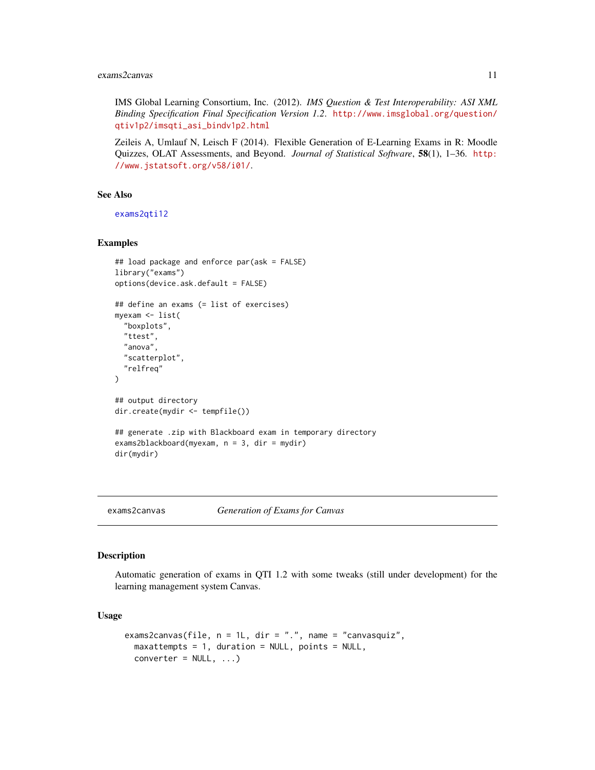#### <span id="page-10-0"></span>exams2canvas 11

IMS Global Learning Consortium, Inc. (2012). *IMS Question & Test Interoperability: ASI XML Binding Specification Final Specification Version 1.2*. [http://www.imsglobal.org/question/](http://www.imsglobal.org/question/qtiv1p2/imsqti_asi_bindv1p2.html) [qtiv1p2/imsqti\\_asi\\_bindv1p2.html](http://www.imsglobal.org/question/qtiv1p2/imsqti_asi_bindv1p2.html)

Zeileis A, Umlauf N, Leisch F (2014). Flexible Generation of E-Learning Exams in R: Moodle Quizzes, OLAT Assessments, and Beyond. *Journal of Statistical Software*, 58(1), 1–36. [http:](http://www.jstatsoft.org/v58/i01/) [//www.jstatsoft.org/v58/i01/](http://www.jstatsoft.org/v58/i01/).

#### See Also

[exams2qti12](#page-32-1)

#### Examples

```
## load package and enforce par(ask = FALSE)
library("exams")
options(device.ask.default = FALSE)
## define an exams (= list of exercises)
myexam <- list(
  "boxplots",
 "ttest",
 "anova",
  "scatterplot",
  "relfreq"
)
## output directory
dir.create(mydir <- tempfile())
## generate .zip with Blackboard exam in temporary directory
exams2blackboard(myexam, n = 3, dir = mydir)
dir(mydir)
```
<span id="page-10-1"></span>

exams2canvas *Generation of Exams for Canvas*

#### Description

Automatic generation of exams in QTI 1.2 with some tweaks (still under development) for the learning management system Canvas.

#### Usage

```
exams2canvas(file, n = 1L, dir = ".", name = "canvasquiz",
 maxatempts = 1, duration = NULL, points = NULL,
 converter = NULL, ...)
```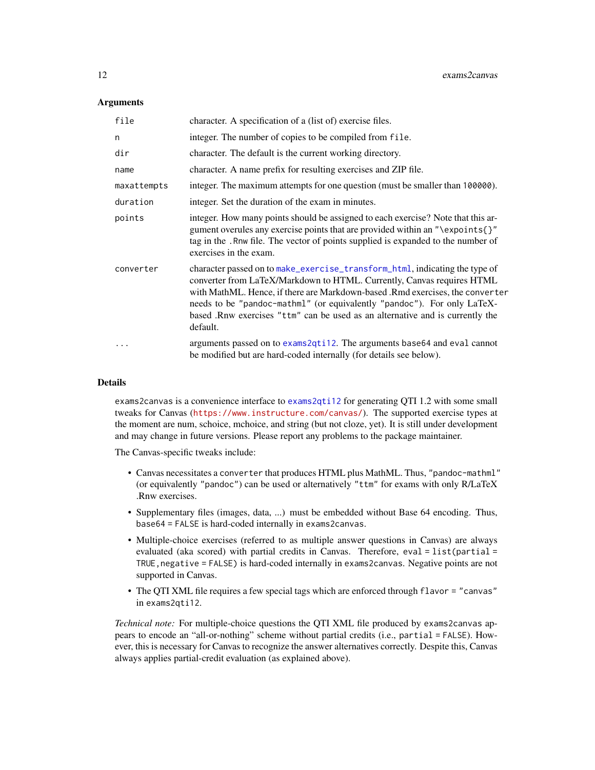#### **Arguments**

| file        | character. A specification of a (list of) exercise files.                                                                                                                                                                                                                                                                                                                                                      |
|-------------|----------------------------------------------------------------------------------------------------------------------------------------------------------------------------------------------------------------------------------------------------------------------------------------------------------------------------------------------------------------------------------------------------------------|
| n           | integer. The number of copies to be compiled from file.                                                                                                                                                                                                                                                                                                                                                        |
| dir         | character. The default is the current working directory.                                                                                                                                                                                                                                                                                                                                                       |
| name        | character. A name prefix for resulting exercises and ZIP file.                                                                                                                                                                                                                                                                                                                                                 |
| maxattempts | integer. The maximum attempts for one question (must be smaller than 100000).                                                                                                                                                                                                                                                                                                                                  |
| duration    | integer. Set the duration of the exam in minutes.                                                                                                                                                                                                                                                                                                                                                              |
| points      | integer. How many points should be assigned to each exercise? Note that this ar-<br>gument overules any exercise points that are provided within an "\expoints{}"<br>tag in the . Rnw file. The vector of points supplied is expanded to the number of<br>exercises in the exam.                                                                                                                               |
| converter   | character passed on to make_exercise_transform_html, indicating the type of<br>converter from LaTeX/Markdown to HTML. Currently, Canvas requires HTML<br>with MathML. Hence, if there are Markdown-based. Rmd exercises, the converter<br>needs to be "pandoc-mathml" (or equivalently "pandoc"). For only LaTeX-<br>based .Rnw exercises "ttm" can be used as an alternative and is currently the<br>default. |
| $\ddotsc$   | arguments passed on to exams2qti12. The arguments base64 and eval cannot<br>be modified but are hard-coded internally (for details see below).                                                                                                                                                                                                                                                                 |

#### Details

exams2canvas is a convenience interface to [exams2qti12](#page-32-1) for generating QTI 1.2 with some small tweaks for Canvas (<https://www.instructure.com/canvas/>). The supported exercise types at the moment are num, schoice, mchoice, and string (but not cloze, yet). It is still under development and may change in future versions. Please report any problems to the package maintainer.

The Canvas-specific tweaks include:

- Canvas necessitates a converter that produces HTML plus MathML. Thus, "pandoc-mathml" (or equivalently "pandoc") can be used or alternatively "ttm" for exams with only R/LaTeX .Rnw exercises.
- Supplementary files (images, data, ...) must be embedded without Base 64 encoding. Thus, base64 = FALSE is hard-coded internally in exams2canvas.
- Multiple-choice exercises (referred to as multiple answer questions in Canvas) are always evaluated (aka scored) with partial credits in Canvas. Therefore,  $eval = list(partial =$ TRUE, negative = FALSE) is hard-coded internally in exams2canvas. Negative points are not supported in Canvas.
- The QTI XML file requires a few special tags which are enforced through flavor = "canvas" in exams2qti12.

*Technical note:* For multiple-choice questions the QTI XML file produced by exams2canvas appears to encode an "all-or-nothing" scheme without partial credits (i.e., partial = FALSE). However, this is necessary for Canvas to recognize the answer alternatives correctly. Despite this, Canvas always applies partial-credit evaluation (as explained above).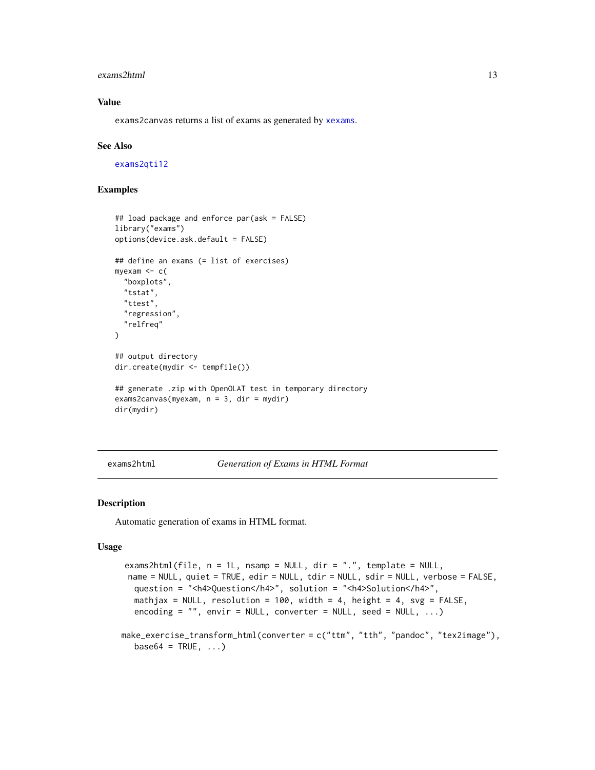#### <span id="page-12-0"></span>exams2html 13

#### Value

exams2canvas returns a list of exams as generated by [xexams](#page-70-1).

#### See Also

[exams2qti12](#page-32-1)

#### Examples

```
## load package and enforce par(ask = FALSE)
library("exams")
options(device.ask.default = FALSE)
## define an exams (= list of exercises)
myexam <- c(
  "boxplots",
 "tstat",
 "ttest",
 "regression",
  "relfreq"
)
## output directory
dir.create(mydir <- tempfile())
## generate .zip with OpenOLAT test in temporary directory
exams2canvas(myexam, n = 3, dir = mydir)
dir(mydir)
```
<span id="page-12-2"></span>exams2html *Generation of Exams in HTML Format*

#### <span id="page-12-1"></span>Description

Automatic generation of exams in HTML format.

#### Usage

```
exams2html(file, n = 1L, nsamp = NULL, dir = ".", template = NULL,
 name = NULL, quiet = TRUE, edir = NULL, tdir = NULL, sdir = NULL, verbose = FALSE,
  question = "<h4>Question</h4>", solution = "<h4>Solution</h4>",
  mathjax = NULL, resolution = 100, width = 4, height = 4, svg = FALSE,
  encoding = ", envir = NULL, converter = NULL, seed = NULL, ...)
make_exercise_transform_html(converter = c("ttm", "tth", "pandoc", "tex2image"),
```

```
base64 = TRUE, \ldots)
```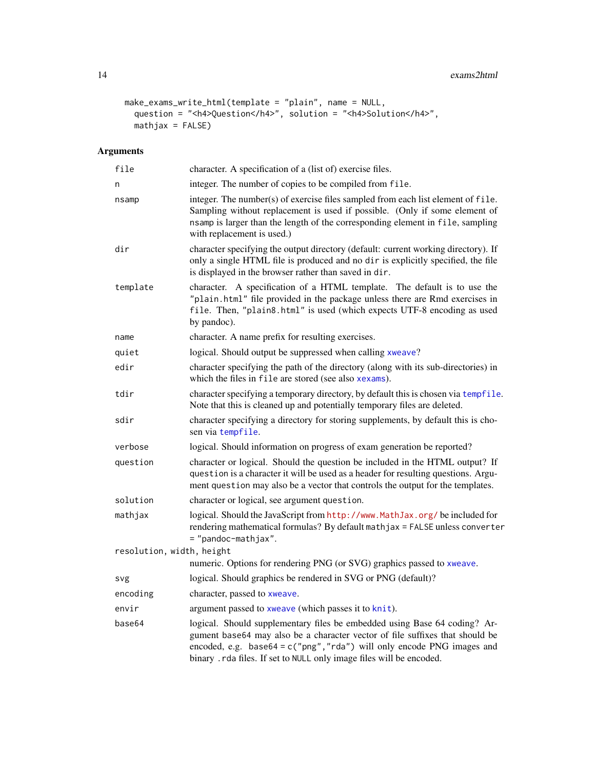```
make_exams_write_html(template = "plain", name = NULL,
  question = "<h4>Question</h4>", solution = "<h4>Solution</h4>",
 \text{math} = \text{FALSE}
```

| file                      | character. A specification of a (list of) exercise files.                                                                                                                                                                                                                                                     |
|---------------------------|---------------------------------------------------------------------------------------------------------------------------------------------------------------------------------------------------------------------------------------------------------------------------------------------------------------|
| n                         | integer. The number of copies to be compiled from file.                                                                                                                                                                                                                                                       |
| nsamp                     | integer. The number(s) of exercise files sampled from each list element of file.<br>Sampling without replacement is used if possible. (Only if some element of<br>nsamp is larger than the length of the corresponding element in file, sampling<br>with replacement is used.)                                |
| dir                       | character specifying the output directory (default: current working directory). If<br>only a single HTML file is produced and no dir is explicitly specified, the file<br>is displayed in the browser rather than saved in dir.                                                                               |
| template                  | character. A specification of a HTML template. The default is to use the<br>"plain.html" file provided in the package unless there are Rmd exercises in<br>file. Then, "plain8.html" is used (which expects UTF-8 encoding as used<br>by pandoc).                                                             |
| name                      | character. A name prefix for resulting exercises.                                                                                                                                                                                                                                                             |
| quiet                     | logical. Should output be suppressed when calling xweave?                                                                                                                                                                                                                                                     |
| edir                      | character specifying the path of the directory (along with its sub-directories) in<br>which the files in file are stored (see also xexams).                                                                                                                                                                   |
| tdir                      | character specifying a temporary directory, by default this is chosen via tempfile.<br>Note that this is cleaned up and potentially temporary files are deleted.                                                                                                                                              |
| sdir                      | character specifying a directory for storing supplements, by default this is cho-<br>sen via tempfile.                                                                                                                                                                                                        |
| verbose                   | logical. Should information on progress of exam generation be reported?                                                                                                                                                                                                                                       |
| question                  | character or logical. Should the question be included in the HTML output? If<br>question is a character it will be used as a header for resulting questions. Argu-<br>ment question may also be a vector that controls the output for the templates.                                                          |
| solution                  | character or logical, see argument question.                                                                                                                                                                                                                                                                  |
| mathjax                   | logical. Should the JavaScript from http://www.MathJax.org/beincluded for<br>rendering mathematical formulas? By default mathjax = FALSE unless converter<br>= "pandoc-mathjax".                                                                                                                              |
| resolution, width, height |                                                                                                                                                                                                                                                                                                               |
|                           | numeric. Options for rendering PNG (or SVG) graphics passed to xweave.                                                                                                                                                                                                                                        |
| svg                       | logical. Should graphics be rendered in SVG or PNG (default)?                                                                                                                                                                                                                                                 |
| encoding                  | character, passed to xweave.                                                                                                                                                                                                                                                                                  |
| envir                     | argument passed to xweave (which passes it to knit).                                                                                                                                                                                                                                                          |
| base64                    | logical. Should supplementary files be embedded using Base 64 coding? Ar-<br>gument base64 may also be a character vector of file suffixes that should be<br>encoded, e.g. $base64 = c("png", "rda")$ will only encode PNG images and<br>binary . rda files. If set to NULL only image files will be encoded. |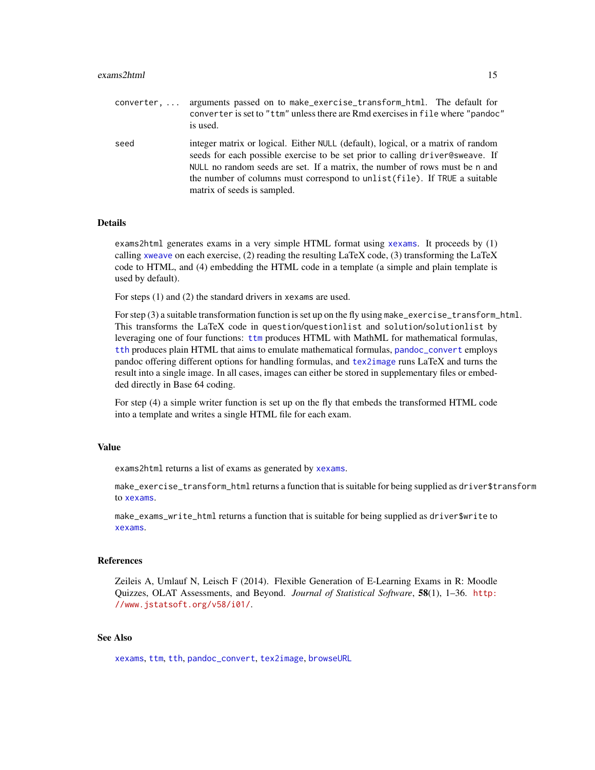converter, ... arguments passed on to make\_exercise\_transform\_html. The default for converter is set to "ttm" unless there are Rmd exercises in file where "pandoc" is used. seed integer matrix or logical. Either NULL (default), logical, or a matrix of random seeds for each possible exercise to be set prior to calling driver@sweave. If NULL no random seeds are set. If a matrix, the number of rows must be n and the number of columns must correspond to unlist(file). If TRUE a suitable matrix of seeds is sampled.

#### Details

exams2html generates exams in a very simple HTML format using [xexams](#page-70-1). It proceeds by (1) calling [xweave](#page-73-1) on each exercise, (2) reading the resulting LaTeX code, (3) transforming the LaTeX code to HTML, and (4) embedding the HTML code in a template (a simple and plain template is used by default).

For steps (1) and (2) the standard drivers in xexams are used.

For step (3) a suitable transformation function is set up on the fly using make\_exercise\_transform\_html. This transforms the LaTeX code in question/questionlist and solution/solutionlist by leveraging one of four functions: [ttm](#page-0-0) produces HTML with MathML for mathematical formulas, [tth](#page-0-0) produces plain HTML that aims to emulate mathematical formulas, [pandoc\\_convert](#page-0-0) employs pandoc offering different options for handling formulas, and [tex2image](#page-68-1) runs LaTeX and turns the result into a single image. In all cases, images can either be stored in supplementary files or embedded directly in Base 64 coding.

For step (4) a simple writer function is set up on the fly that embeds the transformed HTML code into a template and writes a single HTML file for each exam.

#### Value

exams2html returns a list of exams as generated by [xexams](#page-70-1).

make\_exercise\_transform\_html returns a function that is suitable for being supplied as driver\$transform to [xexams](#page-70-1).

make\_exams\_write\_html returns a function that is suitable for being supplied as driver\$write to [xexams](#page-70-1).

#### References

Zeileis A, Umlauf N, Leisch F (2014). Flexible Generation of E-Learning Exams in R: Moodle Quizzes, OLAT Assessments, and Beyond. *Journal of Statistical Software*, 58(1), 1–36. [http:](http://www.jstatsoft.org/v58/i01/) [//www.jstatsoft.org/v58/i01/](http://www.jstatsoft.org/v58/i01/).

#### See Also

[xexams](#page-70-1), [ttm](#page-0-0), [tth](#page-0-0), [pandoc\\_convert](#page-0-0), [tex2image](#page-68-1), [browseURL](#page-0-0)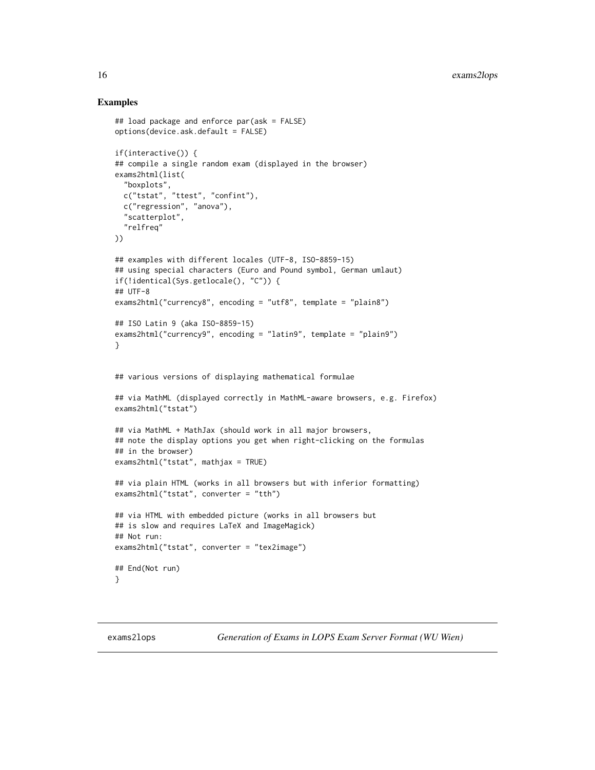#### Examples

```
## load package and enforce par(ask = FALSE)
options(device.ask.default = FALSE)
if(interactive()) {
## compile a single random exam (displayed in the browser)
exams2html(list(
  "boxplots",
  c("tstat", "ttest", "confint"),
  c("regression", "anova"),
  "scatterplot",
  "relfreq"
))
## examples with different locales (UTF-8, ISO-8859-15)
## using special characters (Euro and Pound symbol, German umlaut)
if(!identical(Sys.getlocale(), "C")) {
## UTF-8
exams2html("currency8", encoding = "utf8", template = "plain8")
## ISO Latin 9 (aka ISO-8859-15)
exams2html("currency9", encoding = "latin9", template = "plain9")
}
## various versions of displaying mathematical formulae
## via MathML (displayed correctly in MathML-aware browsers, e.g. Firefox)
exams2html("tstat")
## via MathML + MathJax (should work in all major browsers,
## note the display options you get when right-clicking on the formulas
## in the browser)
exams2html("tstat", mathjax = TRUE)
## via plain HTML (works in all browsers but with inferior formatting)
exams2html("tstat", converter = "tth")
## via HTML with embedded picture (works in all browsers but
## is slow and requires LaTeX and ImageMagick)
## Not run:
exams2html("tstat", converter = "tex2image")
## End(Not run)
}
```
exams2lops *Generation of Exams in LOPS Exam Server Format (WU Wien)*

<span id="page-15-0"></span>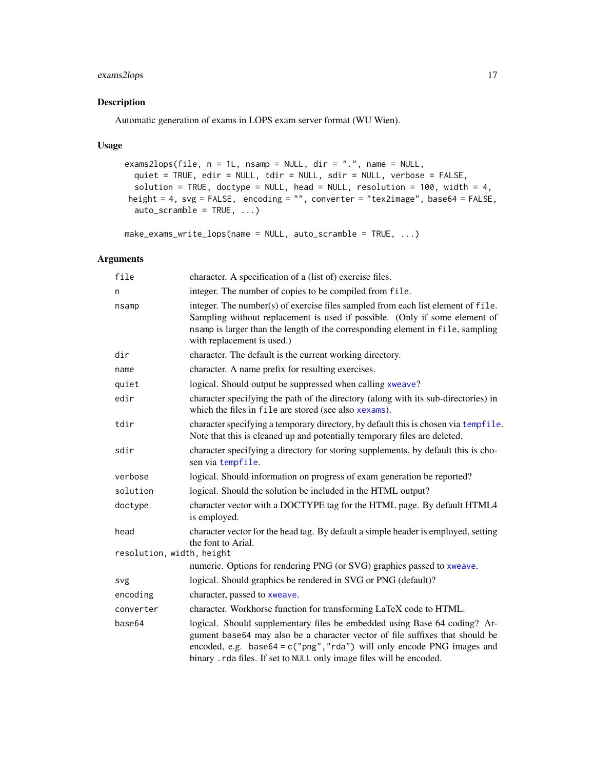#### exams2lops 17

#### Description

Automatic generation of exams in LOPS exam server format (WU Wien).

#### Usage

```
exams2lops(file, n = 1L, nsamp = NULL, dir = ".", name = NULL,
  quiet = TRUE, edir = NULL, tdir = NULL, sdir = NULL, verbose = FALSE,
  solution = TRUE, doctype = NULL, head = NULL, resolution = 100, width = 4,
height = 4, svg = FALSE, encoding = "", converter = "tex2image", base64 = FALSE,
  auto\_scramble = TRUE, ...)
```

```
make_exams_write_lops(name = NULL, auto_scramble = TRUE, ...)
```

| file                      | character. A specification of a (list of) exercise files.                                                                                                                                                                                                                                                     |
|---------------------------|---------------------------------------------------------------------------------------------------------------------------------------------------------------------------------------------------------------------------------------------------------------------------------------------------------------|
| n                         | integer. The number of copies to be compiled from file.                                                                                                                                                                                                                                                       |
| nsamp                     | integer. The number(s) of exercise files sampled from each list element of file.<br>Sampling without replacement is used if possible. (Only if some element of<br>nsamp is larger than the length of the corresponding element in file, sampling<br>with replacement is used.)                                |
| dir                       | character. The default is the current working directory.                                                                                                                                                                                                                                                      |
| name                      | character. A name prefix for resulting exercises.                                                                                                                                                                                                                                                             |
| quiet                     | logical. Should output be suppressed when calling xweave?                                                                                                                                                                                                                                                     |
| edir                      | character specifying the path of the directory (along with its sub-directories) in<br>which the files in file are stored (see also xexams).                                                                                                                                                                   |
| tdir                      | character specifying a temporary directory, by default this is chosen via tempfile.<br>Note that this is cleaned up and potentially temporary files are deleted.                                                                                                                                              |
| sdir                      | character specifying a directory for storing supplements, by default this is cho-<br>sen via tempfile.                                                                                                                                                                                                        |
| verbose                   | logical. Should information on progress of exam generation be reported?                                                                                                                                                                                                                                       |
| solution                  | logical. Should the solution be included in the HTML output?                                                                                                                                                                                                                                                  |
| doctype                   | character vector with a DOCTYPE tag for the HTML page. By default HTML4<br>is employed.                                                                                                                                                                                                                       |
| head                      | character vector for the head tag. By default a simple header is employed, setting<br>the font to Arial.                                                                                                                                                                                                      |
| resolution, width, height |                                                                                                                                                                                                                                                                                                               |
|                           | numeric. Options for rendering PNG (or SVG) graphics passed to xweave.                                                                                                                                                                                                                                        |
| svg                       | logical. Should graphics be rendered in SVG or PNG (default)?                                                                                                                                                                                                                                                 |
| encoding                  | character, passed to xweave.                                                                                                                                                                                                                                                                                  |
| converter                 | character. Workhorse function for transforming LaTeX code to HTML.                                                                                                                                                                                                                                            |
| base64                    | logical. Should supplementary files be embedded using Base 64 coding? Ar-<br>gument base64 may also be a character vector of file suffixes that should be<br>encoded, e.g. base64 = $c("png", "rda")$ will only encode PNG images and<br>binary . rda files. If set to NULL only image files will be encoded. |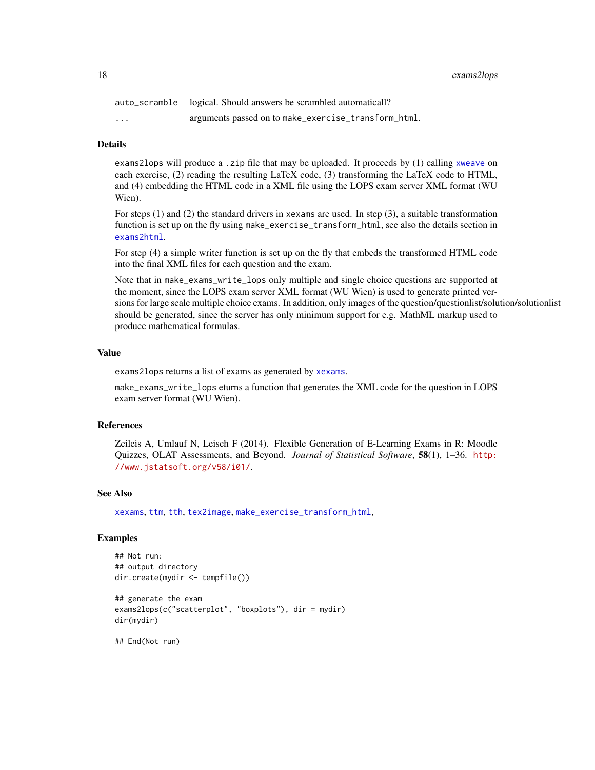18 exams2lops

|          | auto_scramble logical. Should answers be scrambled automaticall? |
|----------|------------------------------------------------------------------|
| $\cdots$ | arguments passed on to make_exercise_transform_html.             |

#### Details

exams2lops will produce a .zip file that may be uploaded. It proceeds by (1) calling [xweave](#page-73-1) on each exercise, (2) reading the resulting LaTeX code, (3) transforming the LaTeX code to HTML, and (4) embedding the HTML code in a XML file using the LOPS exam server XML format (WU Wien).

For steps (1) and (2) the standard drivers in xexams are used. In step (3), a suitable transformation function is set up on the fly using make\_exercise\_transform\_html, see also the details section in [exams2html](#page-12-2).

For step (4) a simple writer function is set up on the fly that embeds the transformed HTML code into the final XML files for each question and the exam.

Note that in make\_exams\_write\_lops only multiple and single choice questions are supported at the moment, since the LOPS exam server XML format (WU Wien) is used to generate printed versions for large scale multiple choice exams. In addition, only images of the question/questionlist/solution/solutionlist should be generated, since the server has only minimum support for e.g. MathML markup used to produce mathematical formulas.

#### Value

exams2lops returns a list of exams as generated by [xexams](#page-70-1).

make\_exams\_write\_lops eturns a function that generates the XML code for the question in LOPS exam server format (WU Wien).

#### **References**

Zeileis A, Umlauf N, Leisch F (2014). Flexible Generation of E-Learning Exams in R: Moodle Quizzes, OLAT Assessments, and Beyond. *Journal of Statistical Software*, 58(1), 1–36. [http:](http://www.jstatsoft.org/v58/i01/) [//www.jstatsoft.org/v58/i01/](http://www.jstatsoft.org/v58/i01/).

#### See Also

[xexams](#page-70-1), [ttm](#page-0-0), [tth](#page-0-0), [tex2image](#page-68-1), [make\\_exercise\\_transform\\_html](#page-12-1),

#### Examples

```
## Not run:
## output directory
dir.create(mydir <- tempfile())
```

```
## generate the exam
exams2lops(c("scatterplot", "boxplots"), dir = mydir)
dir(mydir)
```
## End(Not run)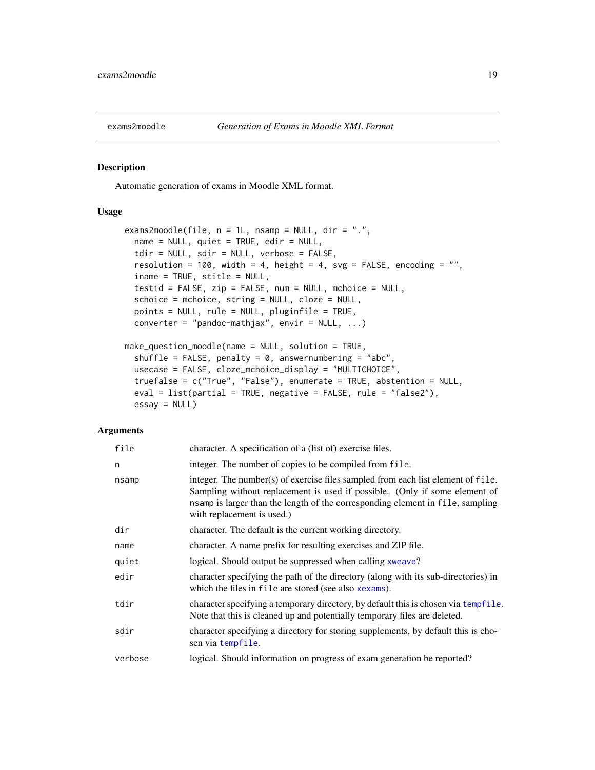<span id="page-18-0"></span>

#### Description

Automatic generation of exams in Moodle XML format.

#### Usage

```
exams2moodle(file, n = 1L, nsamp = NULL, dir = ".",
 name = NULL, quiet = TRUE, edir = NULL,
 tdir = NULL, sdir = NULL, verbose = FALSE,
 resolution = 100, width = 4, height = 4, svg = FALSE, encoding = ",
 iname = TRUE, stitle = NULL,
 testid = FALSE, zip = FALSE, num = NULL, mchoice = NULL,
 schoice = mchoice, string = NULL, cloze = NULL,
 points = NULL, rule = NULL, pluginfile = TRUE,
 converter = "pandoc-mathjax", envir = NULL, ...)make_question_moodle(name = NULL, solution = TRUE,
 shuffle = FALSE, penalty = 0, answernumbering = "abc",
 usecase = FALSE, cloze_mchoice_display = "MULTICHOICE",
 truefalse = c("True", "False"), enumerate = TRUE, abstention = NULL,
 eval = list(partial = TRUE, negative = FALSE, rule = "false2"),
 essay = NULL)
```

| file    | character. A specification of a (list of) exercise files.                                                                                                                                                                                                                      |
|---------|--------------------------------------------------------------------------------------------------------------------------------------------------------------------------------------------------------------------------------------------------------------------------------|
| n       | integer. The number of copies to be compiled from file.                                                                                                                                                                                                                        |
| nsamp   | integer. The number(s) of exercise files sampled from each list element of file.<br>Sampling without replacement is used if possible. (Only if some element of<br>nsamp is larger than the length of the corresponding element in file, sampling<br>with replacement is used.) |
| dir     | character. The default is the current working directory.                                                                                                                                                                                                                       |
| name    | character. A name prefix for resulting exercises and ZIP file.                                                                                                                                                                                                                 |
| quiet   | logical. Should output be suppressed when calling xweave?                                                                                                                                                                                                                      |
| edir    | character specifying the path of the directory (along with its sub-directories) in<br>which the files in file are stored (see also xexams).                                                                                                                                    |
| tdir    | character specifying a temporary directory, by default this is chosen via tempfile.<br>Note that this is cleaned up and potentially temporary files are deleted.                                                                                                               |
| sdir    | character specifying a directory for storing supplements, by default this is cho-<br>sen via tempfile.                                                                                                                                                                         |
| verbose | logical. Should information on progress of exam generation be reported?                                                                                                                                                                                                        |
|         |                                                                                                                                                                                                                                                                                |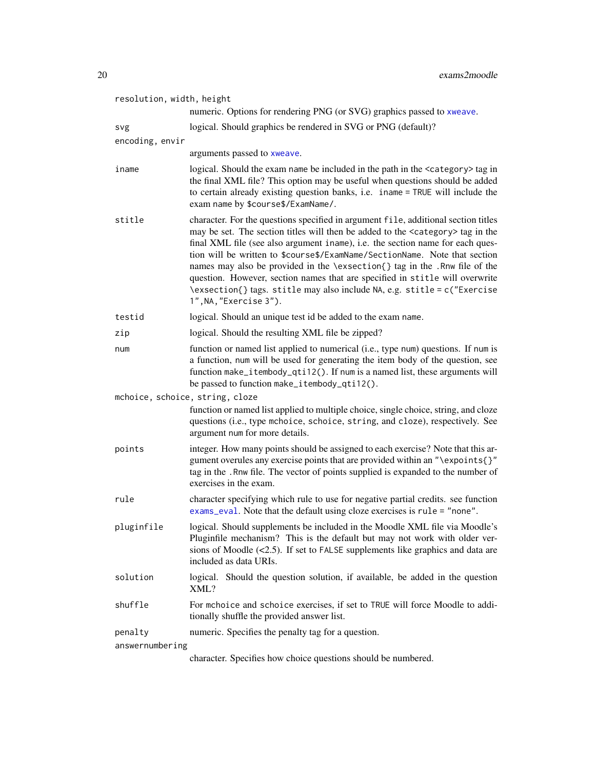| resolution, width, height       | numeric. Options for rendering PNG (or SVG) graphics passed to xweave.                                                                                                                                                                                                                                                                                                                                                                                                                                                                                                                                                    |
|---------------------------------|---------------------------------------------------------------------------------------------------------------------------------------------------------------------------------------------------------------------------------------------------------------------------------------------------------------------------------------------------------------------------------------------------------------------------------------------------------------------------------------------------------------------------------------------------------------------------------------------------------------------------|
|                                 |                                                                                                                                                                                                                                                                                                                                                                                                                                                                                                                                                                                                                           |
| svg                             | logical. Should graphics be rendered in SVG or PNG (default)?                                                                                                                                                                                                                                                                                                                                                                                                                                                                                                                                                             |
| encoding, envir                 | arguments passed to xweave.                                                                                                                                                                                                                                                                                                                                                                                                                                                                                                                                                                                               |
| iname                           | logical. Should the exam name be included in the path in the <category> tag in<br/>the final XML file? This option may be useful when questions should be added<br/>to certain already existing question banks, i.e. iname = TRUE will include the<br/>exam name by \$course\$/ExamName/.</category>                                                                                                                                                                                                                                                                                                                      |
| stitle                          | character. For the questions specified in argument file, additional section titles<br>may be set. The section titles will then be added to the <category> tag in the<br/>final XML file (see also argument iname), i.e. the section name for each ques-<br/>tion will be written to \$course\$/ExamName/SectionName. Note that section<br/>names may also be provided in the \exsection{} tag in the .Rnw file of the<br/>question. However, section names that are specified in stitle will overwrite<br/>\exsection{} tags. stitle may also include NA, e.g. stitle = c("Exercise<br/>1", NA, "Exercise 3").</category> |
| testid                          | logical. Should an unique test id be added to the exam name.                                                                                                                                                                                                                                                                                                                                                                                                                                                                                                                                                              |
| zip                             | logical. Should the resulting XML file be zipped?                                                                                                                                                                                                                                                                                                                                                                                                                                                                                                                                                                         |
| num                             | function or named list applied to numerical (i.e., type num) questions. If num is<br>a function, num will be used for generating the item body of the question, see<br>function make_itembody_qti12(). If num is a named list, these arguments will<br>be passed to function make_itembody_qti12().                                                                                                                                                                                                                                                                                                                       |
| mchoice, schoice, string, cloze |                                                                                                                                                                                                                                                                                                                                                                                                                                                                                                                                                                                                                           |
|                                 | function or named list applied to multiple choice, single choice, string, and cloze<br>questions (i.e., type mchoice, schoice, string, and cloze), respectively. See<br>argument num for more details.                                                                                                                                                                                                                                                                                                                                                                                                                    |
| points                          | integer. How many points should be assigned to each exercise? Note that this ar-<br>gument overules any exercise points that are provided within an "\expoints{}"<br>tag in the . Rnw file. The vector of points supplied is expanded to the number of<br>exercises in the exam.                                                                                                                                                                                                                                                                                                                                          |
| rule                            | character specifying which rule to use for negative partial credits. see function<br>exams_eval. Note that the default using cloze exercises is rule = "none".                                                                                                                                                                                                                                                                                                                                                                                                                                                            |
| pluginfile                      | logical. Should supplements be included in the Moodle XML file via Moodle's<br>Pluginfile mechanism? This is the default but may not work with older ver-<br>sions of Moodle $(\le 2.5)$ . If set to FALSE supplements like graphics and data are<br>included as data URIs.                                                                                                                                                                                                                                                                                                                                               |
| solution                        | logical. Should the question solution, if available, be added in the question<br>XML?                                                                                                                                                                                                                                                                                                                                                                                                                                                                                                                                     |
| shuffle                         | For mchoice and schoice exercises, if set to TRUE will force Moodle to addi-<br>tionally shuffle the provided answer list.                                                                                                                                                                                                                                                                                                                                                                                                                                                                                                |
| penalty                         | numeric. Specifies the penalty tag for a question.                                                                                                                                                                                                                                                                                                                                                                                                                                                                                                                                                                        |
| answernumbering                 |                                                                                                                                                                                                                                                                                                                                                                                                                                                                                                                                                                                                                           |

character. Specifies how choice questions should be numbered.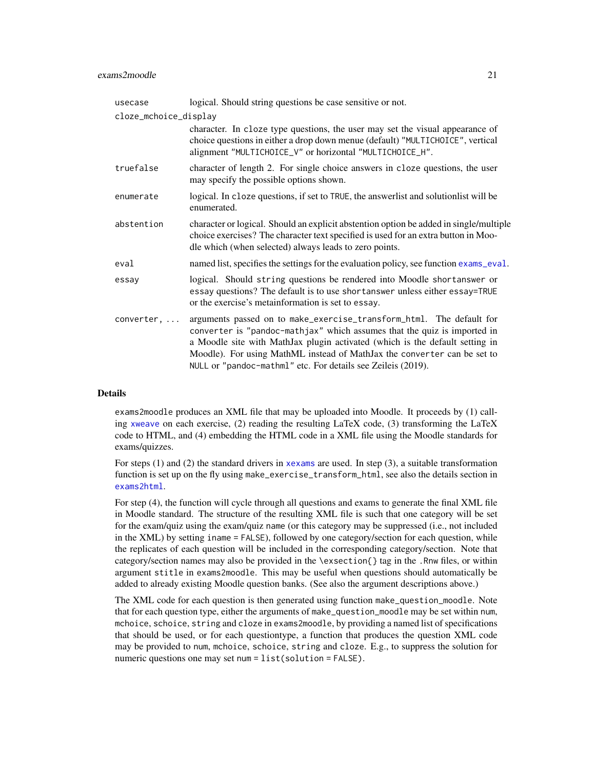| usecase               | logical. Should string questions be case sensitive or not.                                                                                                                                                                                                                                                                                                                   |
|-----------------------|------------------------------------------------------------------------------------------------------------------------------------------------------------------------------------------------------------------------------------------------------------------------------------------------------------------------------------------------------------------------------|
| cloze_mchoice_display |                                                                                                                                                                                                                                                                                                                                                                              |
|                       | character. In cloze type questions, the user may set the visual appearance of<br>choice questions in either a drop down menue (default) "MULTICHOICE", vertical<br>alignment "MULTICHOICE_V" or horizontal "MULTICHOICE_H".                                                                                                                                                  |
| truefalse             | character of length 2. For single choice answers in cloze questions, the user<br>may specify the possible options shown.                                                                                                                                                                                                                                                     |
| enumerate             | logical. In cloze questions, if set to TRUE, the answerlist and solution list will be<br>enumerated.                                                                                                                                                                                                                                                                         |
| abstention            | character or logical. Should an explicit abstention option be added in single/multiple<br>choice exercises? The character text specified is used for an extra button in Moo-<br>dle which (when selected) always leads to zero points.                                                                                                                                       |
| eval                  | named list, specifies the settings for the evaluation policy, see function exams_eval.                                                                                                                                                                                                                                                                                       |
| essay                 | logical. Should string questions be rendered into Moodle shortanswer or<br>essay questions? The default is to use shortanswer unless either essay=TRUE<br>or the exercise's metainformation is set to essay.                                                                                                                                                                 |
| converter, $\dots$    | arguments passed on to make_exercise_transform_html. The default for<br>converter is "pandoc-mathjax" which assumes that the quiz is imported in<br>a Moodle site with MathJax plugin activated (which is the default setting in<br>Moodle). For using MathML instead of MathJax the converter can be set to<br>NULL or "pandoc-mathml" etc. For details see Zeileis (2019). |

#### Details

exams2moodle produces an XML file that may be uploaded into Moodle. It proceeds by (1) calling [xweave](#page-73-1) on each exercise, (2) reading the resulting  $LaTeX\ code$ , (3) transforming the  $LaTeX\$ code to HTML, and (4) embedding the HTML code in a XML file using the Moodle standards for exams/quizzes.

For steps (1) and (2) the standard drivers in [xexams](#page-70-1) are used. In step (3), a suitable transformation function is set up on the fly using make\_exercise\_transform\_html, see also the details section in [exams2html](#page-12-2).

For step (4), the function will cycle through all questions and exams to generate the final XML file in Moodle standard. The structure of the resulting XML file is such that one category will be set for the exam/quiz using the exam/quiz name (or this category may be suppressed (i.e., not included in the XML) by setting iname = FALSE), followed by one category/section for each question, while the replicates of each question will be included in the corresponding category/section. Note that category/section names may also be provided in the \exsection{} tag in the .Rnw files, or within argument stitle in exams2moodle. This may be useful when questions should automatically be added to already existing Moodle question banks. (See also the argument descriptions above.)

The XML code for each question is then generated using function make\_question\_moodle. Note that for each question type, either the arguments of make\_question\_moodle may be set within num, mchoice, schoice, string and cloze in exams2moodle, by providing a named list of specifications that should be used, or for each questiontype, a function that produces the question XML code may be provided to num, mchoice, schoice, string and cloze. E.g., to suppress the solution for numeric questions one may set num = list(solution = FALSE).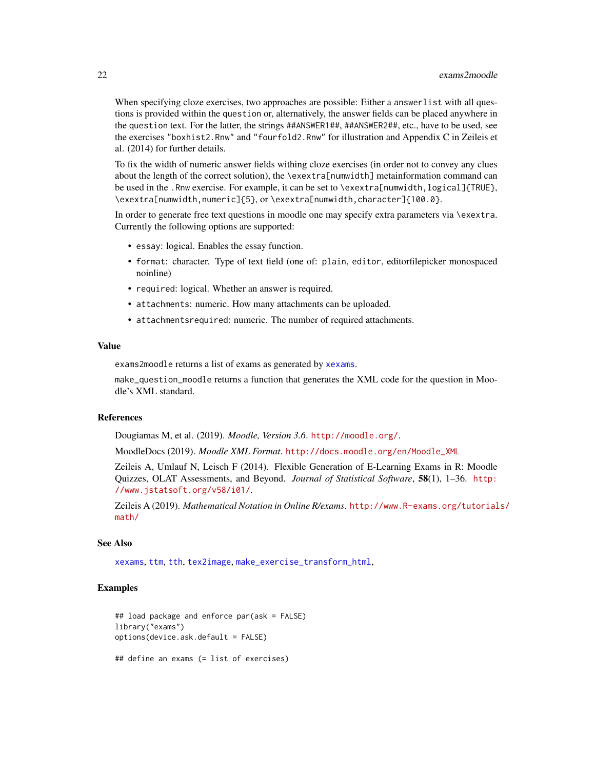When specifying cloze exercises, two approaches are possible: Either a answerlist with all questions is provided within the question or, alternatively, the answer fields can be placed anywhere in the question text. For the latter, the strings ##ANSWER1##, ##ANSWER2##, etc., have to be used, see the exercises "boxhist2.Rnw" and "fourfold2.Rnw" for illustration and Appendix C in Zeileis et al. (2014) for further details.

To fix the width of numeric answer fields withing cloze exercises (in order not to convey any clues about the length of the correct solution), the \exextra[numwidth] metainformation command can be used in the .Rnw exercise. For example, it can be set to \exextra[numwidth,logical]{TRUE}, \exextra[numwidth,numeric]{5}, or \exextra[numwidth,character]{100.0}.

In order to generate free text questions in moodle one may specify extra parameters via \exextra. Currently the following options are supported:

- essay: logical. Enables the essay function.
- format: character. Type of text field (one of: plain, editor, editorfilepicker monospaced noinline)
- required: logical. Whether an answer is required.
- attachments: numeric. How many attachments can be uploaded.
- attachmentsrequired: numeric. The number of required attachments.

#### Value

exams2moodle returns a list of exams as generated by [xexams](#page-70-1).

make\_question\_moodle returns a function that generates the XML code for the question in Moodle's XML standard.

#### References

Dougiamas M, et al. (2019). *Moodle, Version 3.6*. <http://moodle.org/>.

MoodleDocs (2019). *Moodle XML Format*. [http://docs.moodle.org/en/Moodle\\_XML](http://docs.moodle.org/en/Moodle_XML)

Zeileis A, Umlauf N, Leisch F (2014). Flexible Generation of E-Learning Exams in R: Moodle Quizzes, OLAT Assessments, and Beyond. *Journal of Statistical Software*, 58(1), 1–36. [http:](http://www.jstatsoft.org/v58/i01/) [//www.jstatsoft.org/v58/i01/](http://www.jstatsoft.org/v58/i01/).

Zeileis A (2019). *Mathematical Notation in Online R/exams*. [http://www.R-exams.org/tutorial](http://www.R-exams.org/tutorials/math/)s/ [math/](http://www.R-exams.org/tutorials/math/)

#### See Also

[xexams](#page-70-1), [ttm](#page-0-0), [tth](#page-0-0), [tex2image](#page-68-1), [make\\_exercise\\_transform\\_html](#page-12-1),

#### Examples

```
## load package and enforce par(ask = FALSE)
library("exams")
options(device.ask.default = FALSE)
## define an exams (= list of exercises)
```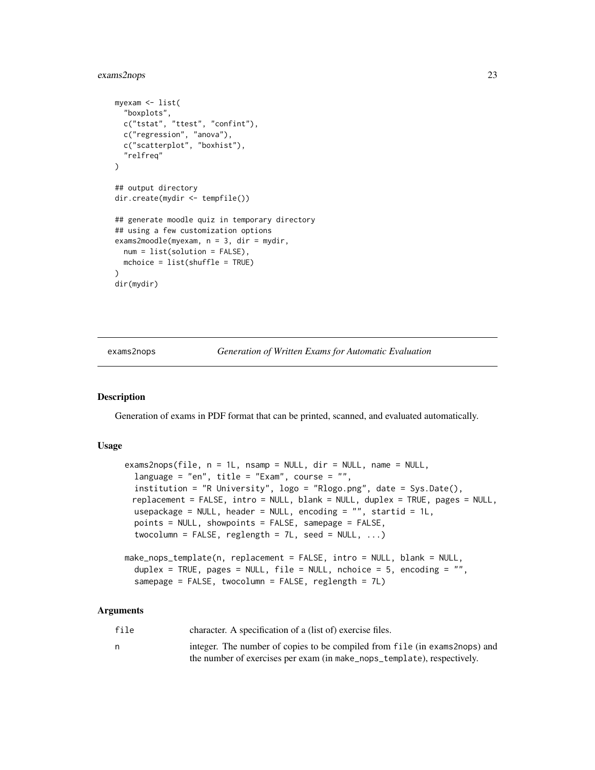#### <span id="page-22-0"></span>exams2nops 23

```
myexam <- list(
  "boxplots",
 c("tstat", "ttest", "confint"),
 c("regression", "anova"),
 c("scatterplot", "boxhist"),
  "relfreq"
)
## output directory
dir.create(mydir <- tempfile())
## generate moodle quiz in temporary directory
## using a few customization options
exams2moodle(myexam, n = 3, dir = mydir,
 num = list(solution = FALSE),
 mchoice = list(shuffle = TRUE)
)
dir(mydir)
```
exams2nops *Generation of Written Exams for Automatic Evaluation*

#### **Description**

Generation of exams in PDF format that can be printed, scanned, and evaluated automatically.

#### Usage

```
exams2nops(file, n = 1L, nsamp = NULL, dir = NULL, name = NULL,
 language = "en", title = "Exam", course = "",
  institution = "R University", logo = "Rlogo.png", date = Sys.Date(),
 replacement = FALSE, intro = NULL, blank = NULL, duplex = TRUE, pages = NULL,
 usepackage = NULL, header = NULL, encoding = ", startid = 1L,
 points = NULL, showpoints = FALSE, samepage = FALSE,
  twocolumn = FALSE, reglength = 7L, seed = NULL, ...)
make_nops_template(n, replacement = FALSE, intro = NULL, blank = NULL,
  duplex = TRUE, pages = NULL, file = NULL, nchoice = 5, encoding = "",
  samepage = FALSE, twocolumn = FALSE, reglength = 7L)
```

| file | character. A specification of a (list of) exercise files.                   |
|------|-----------------------------------------------------------------------------|
|      | integer. The number of copies to be compiled from file (in exams 2nops) and |
|      | the number of exercises per exam (in make_nops_template), respectively.     |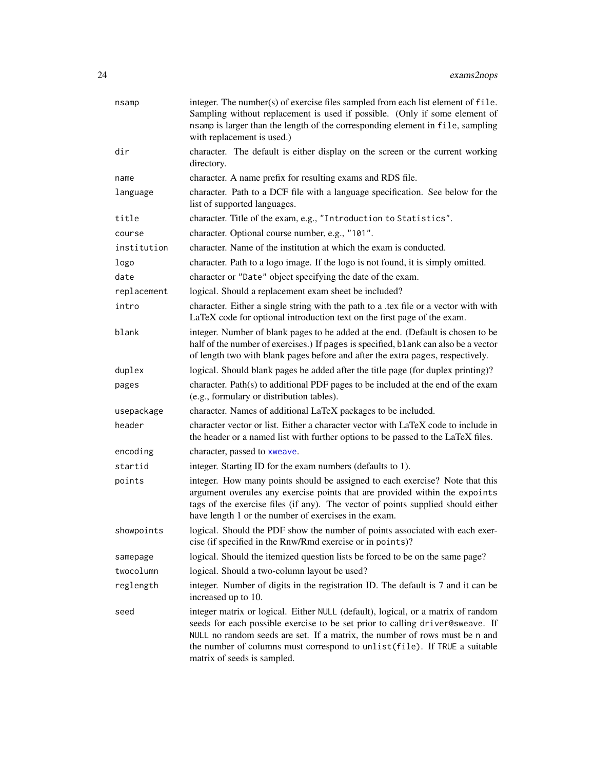| nsamp       | integer. The number(s) of exercise files sampled from each list element of file.<br>Sampling without replacement is used if possible. (Only if some element of<br>nsamp is larger than the length of the corresponding element in file, sampling<br>with replacement is used.)                                                                                |
|-------------|---------------------------------------------------------------------------------------------------------------------------------------------------------------------------------------------------------------------------------------------------------------------------------------------------------------------------------------------------------------|
| dir         | character. The default is either display on the screen or the current working<br>directory.                                                                                                                                                                                                                                                                   |
| name        | character. A name prefix for resulting exams and RDS file.                                                                                                                                                                                                                                                                                                    |
| language    | character. Path to a DCF file with a language specification. See below for the<br>list of supported languages.                                                                                                                                                                                                                                                |
| title       | character. Title of the exam, e.g., "Introduction to Statistics".                                                                                                                                                                                                                                                                                             |
| course      | character. Optional course number, e.g., "101".                                                                                                                                                                                                                                                                                                               |
| institution | character. Name of the institution at which the exam is conducted.                                                                                                                                                                                                                                                                                            |
| logo        | character. Path to a logo image. If the logo is not found, it is simply omitted.                                                                                                                                                                                                                                                                              |
| date        | character or "Date" object specifying the date of the exam.                                                                                                                                                                                                                                                                                                   |
| replacement | logical. Should a replacement exam sheet be included?                                                                                                                                                                                                                                                                                                         |
| intro       | character. Either a single string with the path to a .tex file or a vector with with<br>LaTeX code for optional introduction text on the first page of the exam.                                                                                                                                                                                              |
| blank       | integer. Number of blank pages to be added at the end. (Default is chosen to be<br>half of the number of exercises.) If pages is specified, blank can also be a vector<br>of length two with blank pages before and after the extra pages, respectively.                                                                                                      |
| duplex      | logical. Should blank pages be added after the title page (for duplex printing)?                                                                                                                                                                                                                                                                              |
| pages       | character. Path(s) to additional PDF pages to be included at the end of the exam<br>(e.g., formulary or distribution tables).                                                                                                                                                                                                                                 |
| usepackage  | character. Names of additional LaTeX packages to be included.                                                                                                                                                                                                                                                                                                 |
| header      | character vector or list. Either a character vector with LaTeX code to include in<br>the header or a named list with further options to be passed to the LaTeX files.                                                                                                                                                                                         |
| encoding    | character, passed to xweave.                                                                                                                                                                                                                                                                                                                                  |
| startid     | integer. Starting ID for the exam numbers (defaults to 1).                                                                                                                                                                                                                                                                                                    |
| points      | integer. How many points should be assigned to each exercise? Note that this<br>argument overules any exercise points that are provided within the expoints<br>tags of the exercise files (if any). The vector of points supplied should either<br>have length 1 or the number of exercises in the exam.                                                      |
| showpoints  | logical. Should the PDF show the number of points associated with each exer-<br>cise (if specified in the Rnw/Rmd exercise or in points)?                                                                                                                                                                                                                     |
| samepage    | logical. Should the itemized question lists be forced to be on the same page?                                                                                                                                                                                                                                                                                 |
| twocolumn   | logical. Should a two-column layout be used?                                                                                                                                                                                                                                                                                                                  |
| reglength   | integer. Number of digits in the registration ID. The default is 7 and it can be<br>increased up to 10.                                                                                                                                                                                                                                                       |
| seed        | integer matrix or logical. Either NULL (default), logical, or a matrix of random<br>seeds for each possible exercise to be set prior to calling driver@sweave. If<br>NULL no random seeds are set. If a matrix, the number of rows must be n and<br>the number of columns must correspond to unlist (file). If TRUE a suitable<br>matrix of seeds is sampled. |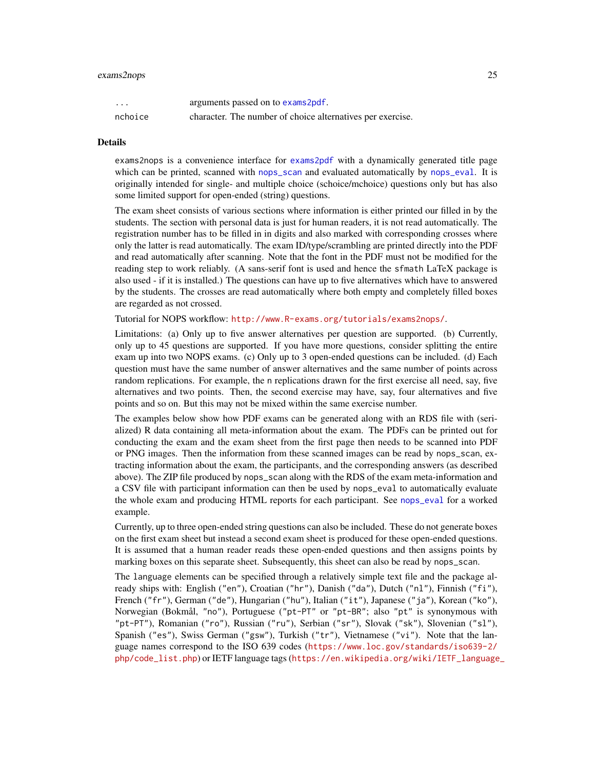#### exams2nops 25

| $\cdots$ | arguments passed on to exams2pdf.                          |
|----------|------------------------------------------------------------|
| nchoice  | character. The number of choice alternatives per exercise. |

#### Details

exams2nops is a convenience interface for [exams2pdf](#page-30-1) with a dynamically generated title page which can be printed, scanned with [nops\\_scan](#page-60-1) and evaluated automatically by [nops\\_eval](#page-54-1). It is originally intended for single- and multiple choice (schoice/mchoice) questions only but has also some limited support for open-ended (string) questions.

The exam sheet consists of various sections where information is either printed our filled in by the students. The section with personal data is just for human readers, it is not read automatically. The registration number has to be filled in in digits and also marked with corresponding crosses where only the latter is read automatically. The exam ID/type/scrambling are printed directly into the PDF and read automatically after scanning. Note that the font in the PDF must not be modified for the reading step to work reliably. (A sans-serif font is used and hence the sfmath LaTeX package is also used - if it is installed.) The questions can have up to five alternatives which have to answered by the students. The crosses are read automatically where both empty and completely filled boxes are regarded as not crossed.

Tutorial for NOPS workflow: <http://www.R-exams.org/tutorials/exams2nops/>.

Limitations: (a) Only up to five answer alternatives per question are supported. (b) Currently, only up to 45 questions are supported. If you have more questions, consider splitting the entire exam up into two NOPS exams. (c) Only up to 3 open-ended questions can be included. (d) Each question must have the same number of answer alternatives and the same number of points across random replications. For example, the n replications drawn for the first exercise all need, say, five alternatives and two points. Then, the second exercise may have, say, four alternatives and five points and so on. But this may not be mixed within the same exercise number.

The examples below show how PDF exams can be generated along with an RDS file with (serialized) R data containing all meta-information about the exam. The PDFs can be printed out for conducting the exam and the exam sheet from the first page then needs to be scanned into PDF or PNG images. Then the information from these scanned images can be read by nops\_scan, extracting information about the exam, the participants, and the corresponding answers (as described above). The ZIP file produced by nops\_scan along with the RDS of the exam meta-information and a CSV file with participant information can then be used by nops\_eval to automatically evaluate the whole exam and producing HTML reports for each participant. See [nops\\_eval](#page-54-1) for a worked example.

Currently, up to three open-ended string questions can also be included. These do not generate boxes on the first exam sheet but instead a second exam sheet is produced for these open-ended questions. It is assumed that a human reader reads these open-ended questions and then assigns points by marking boxes on this separate sheet. Subsequently, this sheet can also be read by nops\_scan.

The language elements can be specified through a relatively simple text file and the package already ships with: English ("en"), Croatian ("hr"), Danish ("da"), Dutch ("nl"), Finnish ("fi"), French ("fr"), German ("de"), Hungarian ("hu"), Italian ("it"), Japanese ("ja"), Korean ("ko"), Norwegian (Bokmål, "no"), Portuguese ("pt-PT" or "pt-BR"; also "pt" is synonymous with "pt-PT"), Romanian ("ro"), Russian ("ru"), Serbian ("sr"), Slovak ("sk"), Slovenian ("sl"), Spanish ("es"), Swiss German ("gsw"), Turkish ("tr"), Vietnamese ("vi"). Note that the language names correspond to the ISO 639 codes ([https://www.loc.gov/standards/iso639-2/](https://www.loc.gov/standards/iso639-2/php/code_list.php) [php/code\\_list.php](https://www.loc.gov/standards/iso639-2/php/code_list.php)) or IETF language tags ([https://en.wikipedia.org/wiki/IETF\\_language](https://en.wikipedia.org/wiki/IETF_language_tag)\_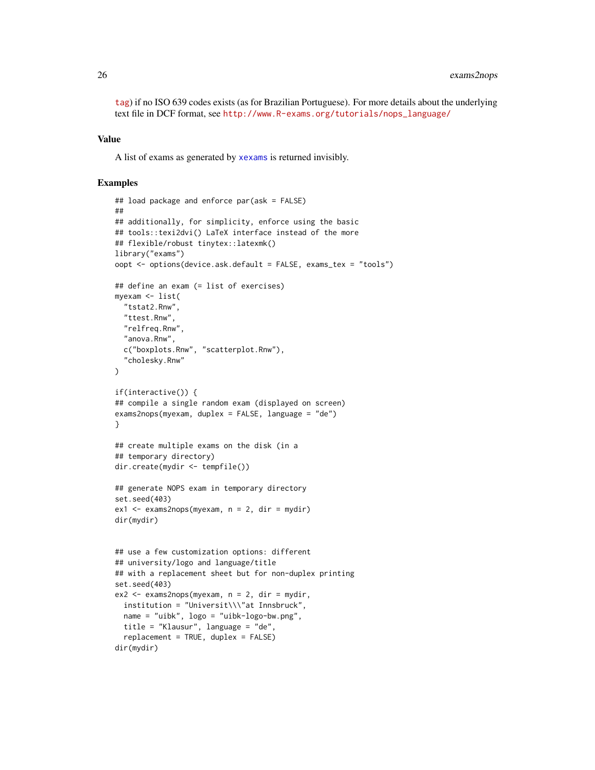[tag](https://en.wikipedia.org/wiki/IETF_language_tag)) if no ISO 639 codes exists (as for Brazilian Portuguese). For more details about the underlying text file in DCF format, see [http://www.R-exams.org/tutorials/nops\\_language/](http://www.R-exams.org/tutorials/nops_language/)

#### Value

A list of exams as generated by [xexams](#page-70-1) is returned invisibly.

#### Examples

```
## load package and enforce par(ask = FALSE)
##
## additionally, for simplicity, enforce using the basic
## tools::texi2dvi() LaTeX interface instead of the more
## flexible/robust tinytex::latexmk()
library("exams")
oopt <- options(device.ask.default = FALSE, exams_tex = "tools")
## define an exam (= list of exercises)
myexam <- list(
  "tstat2.Rnw",
  "ttest.Rnw",
  "relfreq.Rnw",
  "anova.Rnw",
  c("boxplots.Rnw", "scatterplot.Rnw"),
  "cholesky.Rnw"
\mathcal{L}if(interactive()) {
## compile a single random exam (displayed on screen)
exams2nops(myexam, duplex = FALSE, language = "de")
}
## create multiple exams on the disk (in a
## temporary directory)
dir.create(mydir <- tempfile())
## generate NOPS exam in temporary directory
set.seed(403)
ex1 < -exams2nops(myexam, n = 2, dir = mydir)dir(mydir)
## use a few customization options: different
## university/logo and language/title
## with a replacement sheet but for non-duplex printing
set.seed(403)
ex2 <- exams2nops(myexam, n = 2, dir = mydir,
  institution = "Universit\\\"at Innsbruck",
  name = "uibk", logo = "uibk-logo-bw.png",
  title = "Klausur", language = "de",
  replacement = TRUE, duplex = FALSE)
dir(mydir)
```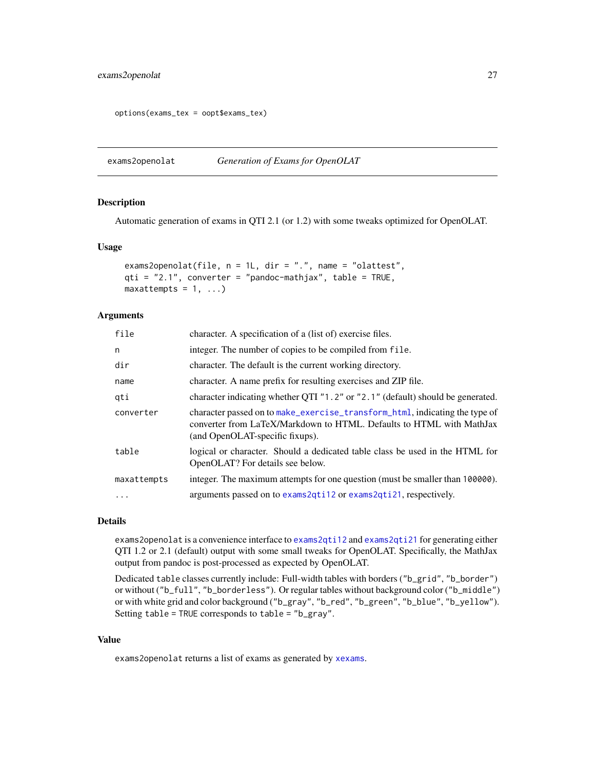#### <span id="page-26-0"></span>exams2openolat 27

```
options(exams_tex = oopt$exams_tex)
```
<span id="page-26-1"></span>exams2openolat *Generation of Exams for OpenOLAT*

#### **Description**

Automatic generation of exams in QTI 2.1 (or 1.2) with some tweaks optimized for OpenOLAT.

#### Usage

```
exams2openolat(file, n = 1L, dir = ".", name = "olattest",
qti = "2.1", converter = "pandoc-mathjax", table = TRUE,
maxattemps = 1, ...)
```
### Arguments

| file        | character. A specification of a (list of) exercise files.                                                                                                                              |
|-------------|----------------------------------------------------------------------------------------------------------------------------------------------------------------------------------------|
| n           | integer. The number of copies to be compiled from file.                                                                                                                                |
| dir         | character. The default is the current working directory.                                                                                                                               |
| name        | character. A name prefix for resulting exercises and ZIP file.                                                                                                                         |
| gti         | character indicating whether QTI "1.2" or "2.1" (default) should be generated.                                                                                                         |
| converter   | character passed on to make_exercise_transform_html, indicating the type of<br>converter from LaTeX/Markdown to HTML. Defaults to HTML with MathJax<br>(and OpenOLAT-specific fixups). |
| table       | logical or character. Should a dedicated table class be used in the HTML for<br>OpenOLAT? For details see below.                                                                       |
| maxattempts | integer. The maximum attempts for one question (must be smaller than 100000).                                                                                                          |
| $\ddotsc$   | arguments passed on to exams2qti12 or exams2qti21, respectively.                                                                                                                       |
|             |                                                                                                                                                                                        |

#### Details

exams2openolat is a convenience interface to [exams2qti12](#page-32-1) and [exams2qti21](#page-32-2) for generating either QTI 1.2 or 2.1 (default) output with some small tweaks for OpenOLAT. Specifically, the MathJax output from pandoc is post-processed as expected by OpenOLAT.

Dedicated table classes currently include: Full-width tables with borders ("b\_grid", "b\_border") or without ("b\_full", "b\_borderless"). Or regular tables without background color ("b\_middle") or with white grid and color background ("b\_gray", "b\_red", "b\_green", "b\_blue", "b\_yellow"). Setting table = TRUE corresponds to table = "b\_gray".

#### Value

exams2openolat returns a list of exams as generated by [xexams](#page-70-1).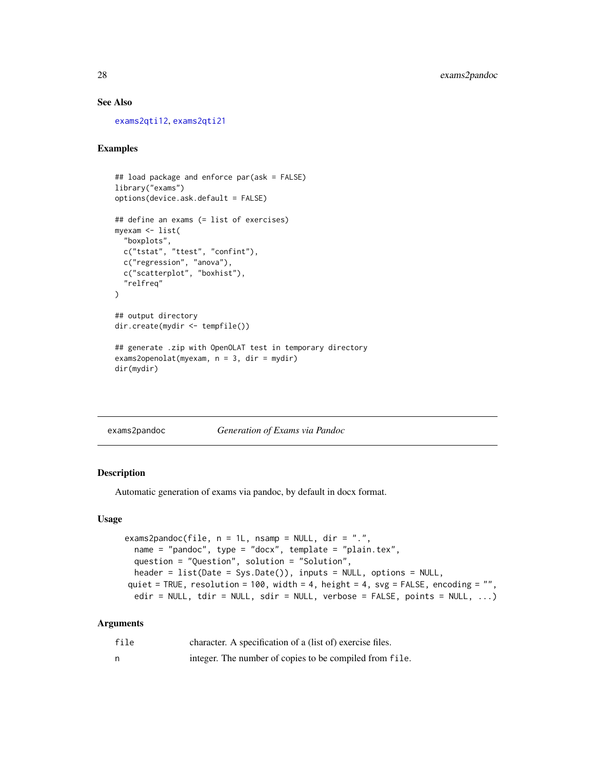#### <span id="page-27-0"></span>See Also

[exams2qti12](#page-32-1), [exams2qti21](#page-32-2)

#### Examples

```
## load package and enforce par(ask = FALSE)
library("exams")
options(device.ask.default = FALSE)
## define an exams (= list of exercises)
myexam <- list(
  "boxplots",
  c("tstat", "ttest", "confint"),
  c("regression", "anova"),
  c("scatterplot", "boxhist"),
  "relfreq"
)
## output directory
dir.create(mydir <- tempfile())
## generate .zip with OpenOLAT test in temporary directory
exams2openolat(myexam, n = 3, dir = mydir)
dir(mydir)
```
exams2pandoc *Generation of Exams via Pandoc*

#### Description

Automatic generation of exams via pandoc, by default in docx format.

#### Usage

```
exams2pandoc(file, n = 1L, nsamp = NULL, dir = ".",
  name = "pandoc", type = "docx", template = "plain.tex",
  question = "Question", solution = "Solution",
 header = list(Date = Sys.Date()), inputs = NULL, options = NULL,
quiet = TRUE, resolution = 100, width = 4, height = 4, svg = FALSE, encoding = "",
  edir = NULL, tdir = NULL, sdir = NULL, verbose = FALSE, points = NULL, \ldots)
```

| file | character. A specification of a (list of) exercise files. |
|------|-----------------------------------------------------------|
| n    | integer. The number of copies to be compiled from file.   |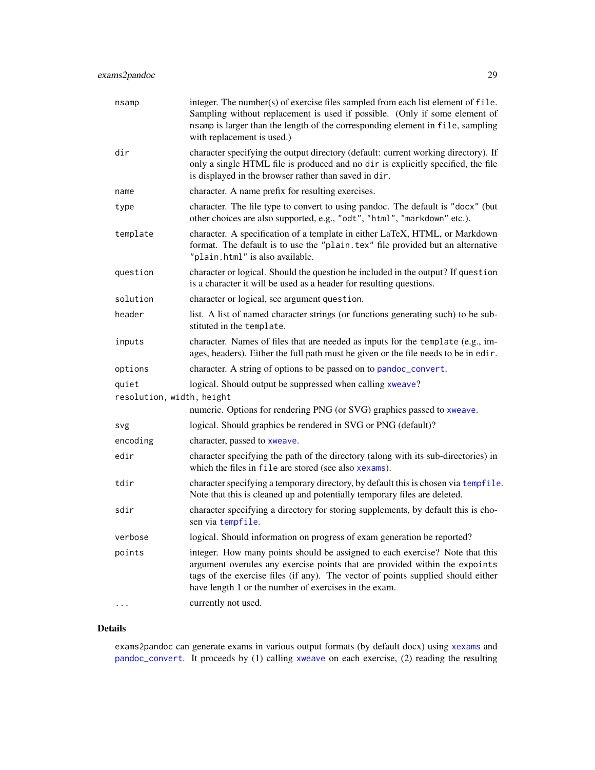| nsamp                     | integer. The number(s) of exercise files sampled from each list element of file.<br>Sampling without replacement is used if possible. (Only if some element of<br>nsamp is larger than the length of the corresponding element in file, sampling<br>with replacement is used.)                           |
|---------------------------|----------------------------------------------------------------------------------------------------------------------------------------------------------------------------------------------------------------------------------------------------------------------------------------------------------|
| dir                       | character specifying the output directory (default: current working directory). If<br>only a single HTML file is produced and no dir is explicitly specified, the file<br>is displayed in the browser rather than saved in dir.                                                                          |
| name                      | character. A name prefix for resulting exercises.                                                                                                                                                                                                                                                        |
| type                      | character. The file type to convert to using pandoc. The default is "docx" (but<br>other choices are also supported, e.g., "odt", "html", "markdown" etc.).                                                                                                                                              |
| template                  | character. A specification of a template in either LaTeX, HTML, or Markdown<br>format. The default is to use the "plain. tex" file provided but an alternative<br>"plain.html" is also available.                                                                                                        |
| question                  | character or logical. Should the question be included in the output? If question<br>is a character it will be used as a header for resulting questions.                                                                                                                                                  |
| solution                  | character or logical, see argument question.                                                                                                                                                                                                                                                             |
| header                    | list. A list of named character strings (or functions generating such) to be sub-<br>stituted in the template.                                                                                                                                                                                           |
| inputs                    | character. Names of files that are needed as inputs for the template (e.g., im-<br>ages, headers). Either the full path must be given or the file needs to be in edir.                                                                                                                                   |
| options                   | character. A string of options to be passed on to pandoc_convert.                                                                                                                                                                                                                                        |
| quiet                     | logical. Should output be suppressed when calling xweave?                                                                                                                                                                                                                                                |
| resolution, width, height |                                                                                                                                                                                                                                                                                                          |
|                           | numeric. Options for rendering PNG (or SVG) graphics passed to xweave.                                                                                                                                                                                                                                   |
| svg                       | logical. Should graphics be rendered in SVG or PNG (default)?                                                                                                                                                                                                                                            |
| encoding                  | character, passed to xweave.                                                                                                                                                                                                                                                                             |
| edir                      | character specifying the path of the directory (along with its sub-directories) in<br>which the files in file are stored (see also xexams).                                                                                                                                                              |
| tdir                      | character specifying a temporary directory, by default this is chosen via tempfile.<br>Note that this is cleaned up and potentially temporary files are deleted.                                                                                                                                         |
| sdir                      | character specifying a directory for storing supplements, by default this is cho-<br>sen via tempfile.                                                                                                                                                                                                   |
| verbose                   | logical. Should information on progress of exam generation be reported?                                                                                                                                                                                                                                  |
| points                    | integer. How many points should be assigned to each exercise? Note that this<br>argument overules any exercise points that are provided within the expoints<br>tags of the exercise files (if any). The vector of points supplied should either<br>have length 1 or the number of exercises in the exam. |
|                           | currently not used.                                                                                                                                                                                                                                                                                      |

#### Details

exams2pandoc can generate exams in various output formats (by default docx) using [xexams](#page-70-1) and [pandoc\\_convert](#page-0-0). It proceeds by (1) calling [xweave](#page-73-1) on each exercise, (2) reading the resulting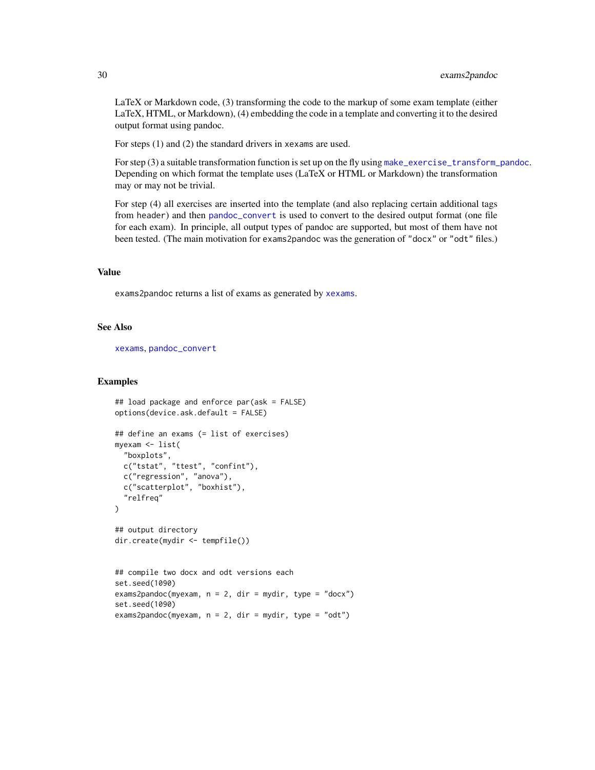LaTeX or Markdown code, (3) transforming the code to the markup of some exam template (either LaTeX, HTML, or Markdown), (4) embedding the code in a template and converting it to the desired output format using pandoc.

For steps (1) and (2) the standard drivers in xexams are used.

For step (3) a suitable transformation function is set up on the fly using [make\\_exercise\\_transform\\_pandoc](#page-12-1). Depending on which format the template uses (LaTeX or HTML or Markdown) the transformation may or may not be trivial.

For step (4) all exercises are inserted into the template (and also replacing certain additional tags from header) and then [pandoc\\_convert](#page-0-0) is used to convert to the desired output format (one file for each exam). In principle, all output types of pandoc are supported, but most of them have not been tested. (The main motivation for exams2pandoc was the generation of "docx" or "odt" files.)

#### Value

exams2pandoc returns a list of exams as generated by [xexams](#page-70-1).

#### See Also

[xexams](#page-70-1), [pandoc\\_convert](#page-0-0)

#### Examples

```
## load package and enforce par(ask = FALSE)
options(device.ask.default = FALSE)
## define an exams (= list of exercises)
myexam <- list(
  "boxplots",
 c("tstat", "ttest", "confint"),
 c("regression", "anova"),
 c("scatterplot", "boxhist"),
  "relfreq"
\lambda## output directory
dir.create(mydir <- tempfile())
## compile two docx and odt versions each
set.seed(1090)
exams2pandoc(myexam, n = 2, dir = mydir, type = "docx")
set.seed(1090)
exams2pandoc(myexam, n = 2, dir = mydir, type = "odt")
```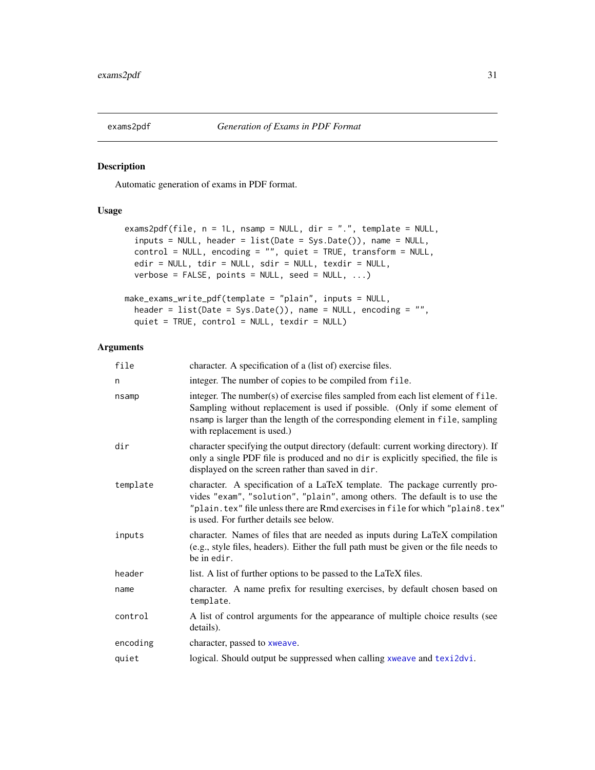<span id="page-30-1"></span><span id="page-30-0"></span>

#### Description

Automatic generation of exams in PDF format.

#### Usage

```
exams2pdf(file, n = 1L, nsamp = NULL, dir = ".", template = NULL,
  inputs = NULL, header = list(Date = Sys.Date()), name = NULL,
  control = NULL, encoding = "", quiet = TRUE, transform = NULL,
  edir = NULL, tdir = NULL, sdir = NULL, texdir = NULL,
  verbose = FALSE, points = NULL, seed = NULL, ...make_exams_write_pdf(template = "plain", inputs = NULL,
  header = list(Date = Sys.Date()), name = NULL, encoding = "",
  quiet = TRUE, control = NULL, texdir = NULL)
```

| file     | character. A specification of a (list of) exercise files.                                                                                                                                                                                                                               |
|----------|-----------------------------------------------------------------------------------------------------------------------------------------------------------------------------------------------------------------------------------------------------------------------------------------|
| n        | integer. The number of copies to be compiled from file.                                                                                                                                                                                                                                 |
| nsamp    | integer. The number(s) of exercise files sampled from each list element of file.<br>Sampling without replacement is used if possible. (Only if some element of<br>nsamp is larger than the length of the corresponding element in file, sampling<br>with replacement is used.)          |
| dir      | character specifying the output directory (default: current working directory). If<br>only a single PDF file is produced and no dir is explicitly specified, the file is<br>displayed on the screen rather than saved in dir.                                                           |
| template | character. A specification of a LaTeX template. The package currently pro-<br>vides "exam", "solution", "plain", among others. The default is to use the<br>"plain. tex" file unless there are Rmd exercises in file for which "plain8. tex"<br>is used. For further details see below. |
| inputs   | character. Names of files that are needed as inputs during LaTeX compilation<br>(e.g., style files, headers). Either the full path must be given or the file needs to<br>be in edir.                                                                                                    |
| header   | list. A list of further options to be passed to the LaTeX files.                                                                                                                                                                                                                        |
| name     | character. A name prefix for resulting exercises, by default chosen based on<br>template.                                                                                                                                                                                               |
| control  | A list of control arguments for the appearance of multiple choice results (see<br>details).                                                                                                                                                                                             |
| encoding | character, passed to xweave.                                                                                                                                                                                                                                                            |
| quiet    | logical. Should output be suppressed when calling xweave and texi2dvi.                                                                                                                                                                                                                  |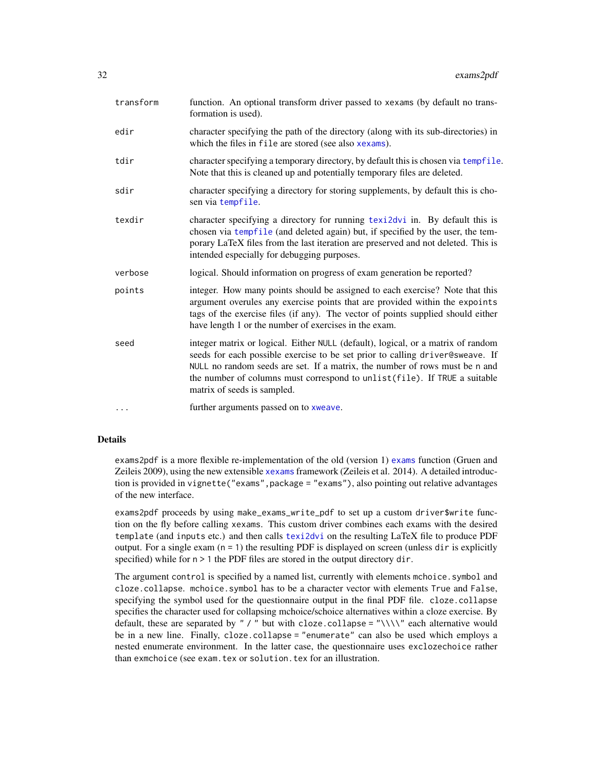| character specifying the path of the directory (along with its sub-directories) in<br>edir<br>which the files in file are stored (see also xexams).<br>character specifying a temporary directory, by default this is chosen via tempfile.<br>tdir<br>Note that this is cleaned up and potentially temporary files are deleted.<br>character specifying a directory for storing supplements, by default this is cho-<br>sdir<br>sen via tempfile.<br>character specifying a directory for running texi2dvi in. By default this is<br>texdir |  |
|---------------------------------------------------------------------------------------------------------------------------------------------------------------------------------------------------------------------------------------------------------------------------------------------------------------------------------------------------------------------------------------------------------------------------------------------------------------------------------------------------------------------------------------------|--|
|                                                                                                                                                                                                                                                                                                                                                                                                                                                                                                                                             |  |
|                                                                                                                                                                                                                                                                                                                                                                                                                                                                                                                                             |  |
|                                                                                                                                                                                                                                                                                                                                                                                                                                                                                                                                             |  |
| chosen via tempfile (and deleted again) but, if specified by the user, the tem-<br>porary LaTeX files from the last iteration are preserved and not deleted. This is<br>intended especially for debugging purposes.                                                                                                                                                                                                                                                                                                                         |  |
| logical. Should information on progress of exam generation be reported?<br>verbose                                                                                                                                                                                                                                                                                                                                                                                                                                                          |  |
| integer. How many points should be assigned to each exercise? Note that this<br>points<br>argument overules any exercise points that are provided within the expoints<br>tags of the exercise files (if any). The vector of points supplied should either<br>have length 1 or the number of exercises in the exam.                                                                                                                                                                                                                          |  |
| integer matrix or logical. Either NULL (default), logical, or a matrix of random<br>seed<br>seeds for each possible exercise to be set prior to calling driver@sweave. If<br>NULL no random seeds are set. If a matrix, the number of rows must be n and<br>the number of columns must correspond to unlist(file). If TRUE a suitable<br>matrix of seeds is sampled.                                                                                                                                                                        |  |
| further arguments passed on to xweave.<br>.                                                                                                                                                                                                                                                                                                                                                                                                                                                                                                 |  |

#### Details

exams2pdf is a more flexible re-implementation of the old (version 1) [exams](#page-1-1) function (Gruen and Zeileis 2009), using the new extensible [xexams](#page-70-1) framework (Zeileis et al. 2014). A detailed introduction is provided in vignette("exams",package = "exams"), also pointing out relative advantages of the new interface.

exams2pdf proceeds by using make\_exams\_write\_pdf to set up a custom driver\$write function on the fly before calling xexams. This custom driver combines each exams with the desired template (and inputs etc.) and then calls [texi2dvi](#page-0-0) on the resulting LaTeX file to produce PDF output. For a single exam  $(n = 1)$  the resulting PDF is displayed on screen (unless dir is explicitly specified) while for  $n > 1$  the PDF files are stored in the output directory dir.

The argument control is specified by a named list, currently with elements mchoice. symbol and cloze.collapse. mchoice.symbol has to be a character vector with elements True and False, specifying the symbol used for the questionnaire output in the final PDF file. cloze.collapse specifies the character used for collapsing mchoice/schoice alternatives within a cloze exercise. By default, these are separated by " / " but with cloze.collapse = "\\\\" each alternative would be in a new line. Finally, cloze.collapse = "enumerate" can also be used which employs a nested enumerate environment. In the latter case, the questionnaire uses exclozechoice rather than exmchoice (see exam.tex or solution.tex for an illustration.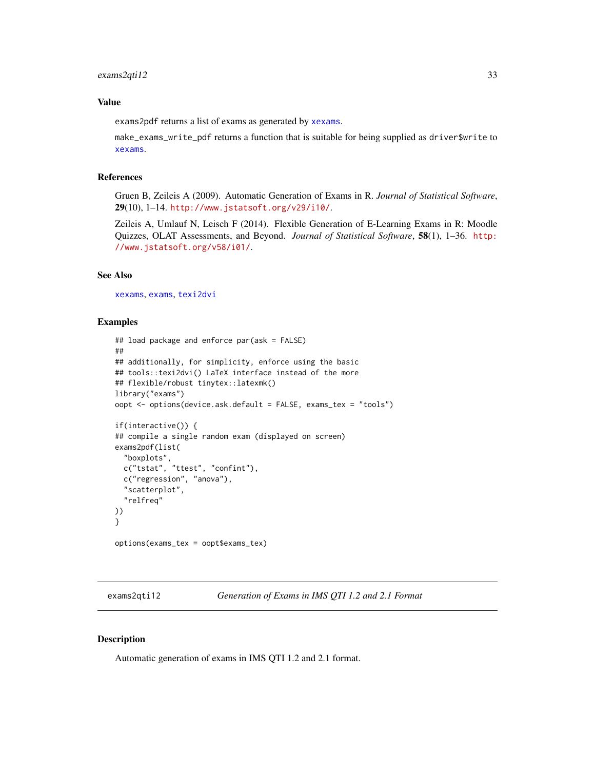#### <span id="page-32-0"></span>Value

exams2pdf returns a list of exams as generated by [xexams](#page-70-1).

make\_exams\_write\_pdf returns a function that is suitable for being supplied as driver\$write to [xexams](#page-70-1).

#### References

Gruen B, Zeileis A (2009). Automatic Generation of Exams in R. *Journal of Statistical Software*, 29(10), 1–14. <http://www.jstatsoft.org/v29/i10/>.

Zeileis A, Umlauf N, Leisch F (2014). Flexible Generation of E-Learning Exams in R: Moodle Quizzes, OLAT Assessments, and Beyond. *Journal of Statistical Software*, 58(1), 1–36. [http:](http://www.jstatsoft.org/v58/i01/) [//www.jstatsoft.org/v58/i01/](http://www.jstatsoft.org/v58/i01/).

#### See Also

[xexams](#page-70-1), [exams](#page-1-1), [texi2dvi](#page-0-0)

#### Examples

```
## load package and enforce par(ask = FALSE)
##
## additionally, for simplicity, enforce using the basic
## tools::texi2dvi() LaTeX interface instead of the more
## flexible/robust tinytex::latexmk()
library("exams")
oopt <- options(device.ask.default = FALSE, exams_tex = "tools")
if(interactive()) {
## compile a single random exam (displayed on screen)
exams2pdf(list(
  "boxplots",
 c("tstat", "ttest", "confint"),
 c("regression", "anova"),
 "scatterplot",
 "relfreq"
))
}
options(exams_tex = oopt$exams_tex)
```
<span id="page-32-1"></span>exams2qti12 *Generation of Exams in IMS QTI 1.2 and 2.1 Format*

#### <span id="page-32-2"></span>Description

Automatic generation of exams in IMS QTI 1.2 and 2.1 format.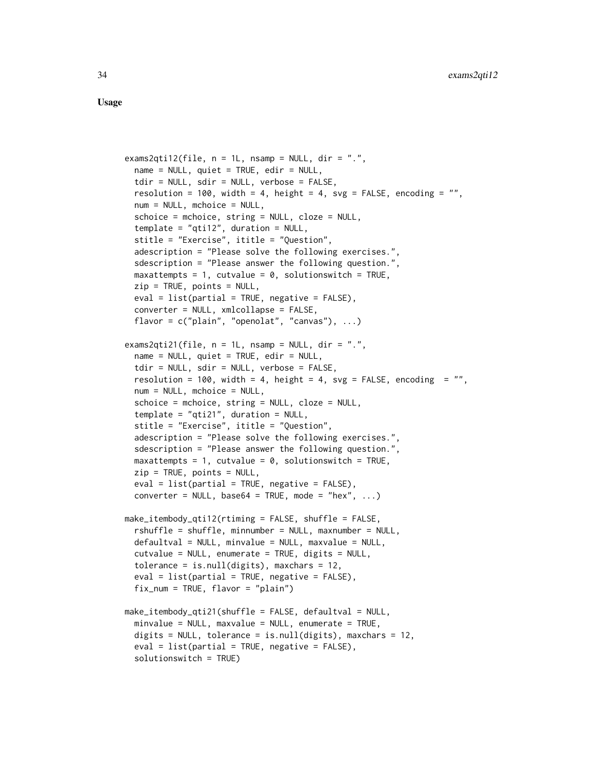Usage

```
exams2qti12(file, n = 1L, nsamp = NULL, dir = ".",
 name = NULL, quiet = TRUE, edir = NULL,
 tdir = NULL, sdir = NULL, verbose = FALSE,
 resolution = 100, width = 4, height = 4, svg = FALSE, encoding = ",
 num = NULL, mchoice = NULL,
 schoice = mchoice, string = NULL, cloze = NULL,
 template = "qtil2", duration = NULL,stitle = "Exercise", ititle = "Question",
 adescription = "Please solve the following exercises.",
 sdescription = "Please answer the following question.",
 maxattempts = 1, cutvalue = 0, solutionswitch = TRUE,
 zip = TRUE, points = NULL,
 eval = list(partial = TRUE, negative = FALSE),converter = NULL, xmlcollapse = FALSE,
 flavor = c("plain", "openolat", "canvas"), ...exams2qti21(file, n = 1L, nsamp = NULL, dir = ".",
 name = NULL, quiet = TRUE, edir = NULL,
 tdir = NULL, sdir = NULL, verbose = FALSE,
 resolution = 100, width = 4, height = 4, svg = FALSE, encoding = ",
 num = NULL, mchoice = NULL,
 schoice = mchoice, string = NULL, cloze = NULL,
 template = "qti21", duration = NULL,
 stitle = "Exercise", ititle = "Question",
 adescription = "Please solve the following exercises.",
 sdescription = "Please answer the following question.",
 maxattempts = 1, cutvalue = 0, solutionswitch = TRUE,
 zip = TRUE, points = NULL,eval = list(partial = TRUE, negative = FALSE),converter = NULL, base64 = TRUE, mode = "hex", \dots)
make_itembody_qti12(rtiming = FALSE, shuffle = FALSE,
 rshuffle = shuffle, minnumber = NULL, maxnumber = NULL,
 defaultval = NULL, minvalue = NULL, maxvalue = NULL,
 cutvalue = NULL, enumerate = TRUE, digits = NULL,
 tolerance = is.null(digits), maxchars = 12,
 eval = list(partial = TRUE, negative = FALSE),
 fix_num = TRUE, flavor = "plain")
make_itembody_qti21(shuffle = FALSE, defaultval = NULL,
 minvalue = NULL, maxvalue = NULL, enumerate = TRUE,
 digits = NULL, tolerance = is.null(digits), maxchars = 12,
 eval = list(partial = TRUE, negative = FALSE),
 solutionswitch = TRUE)
```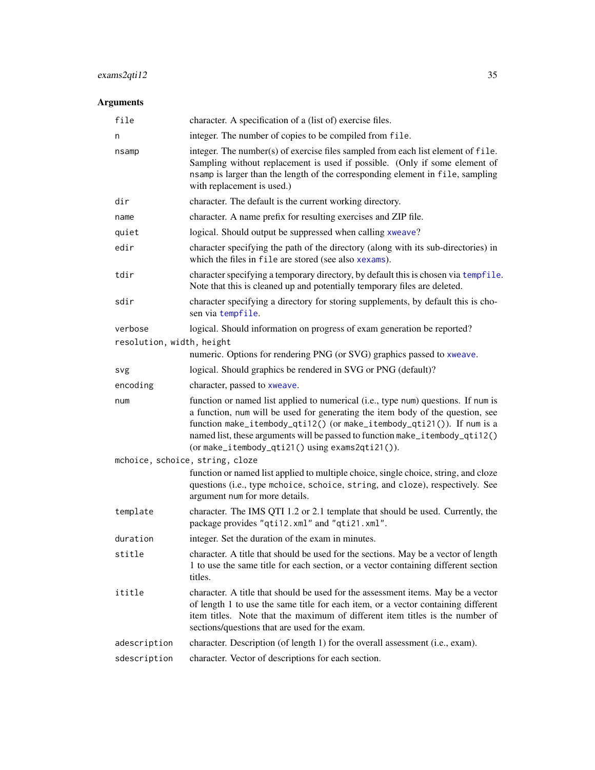# exams2qti12 35

| file                            | character. A specification of a (list of) exercise files.                                                                                                                                                                                                                                                                                                                        |
|---------------------------------|----------------------------------------------------------------------------------------------------------------------------------------------------------------------------------------------------------------------------------------------------------------------------------------------------------------------------------------------------------------------------------|
| n                               | integer. The number of copies to be compiled from file.                                                                                                                                                                                                                                                                                                                          |
| nsamp                           | integer. The number(s) of exercise files sampled from each list element of file.<br>Sampling without replacement is used if possible. (Only if some element of<br>nsamp is larger than the length of the corresponding element in file, sampling<br>with replacement is used.)                                                                                                   |
| dir                             | character. The default is the current working directory.                                                                                                                                                                                                                                                                                                                         |
| name                            | character. A name prefix for resulting exercises and ZIP file.                                                                                                                                                                                                                                                                                                                   |
| quiet                           | logical. Should output be suppressed when calling xweave?                                                                                                                                                                                                                                                                                                                        |
| edir                            | character specifying the path of the directory (along with its sub-directories) in<br>which the files in file are stored (see also xexams).                                                                                                                                                                                                                                      |
| tdir                            | character specifying a temporary directory, by default this is chosen via tempfile.<br>Note that this is cleaned up and potentially temporary files are deleted.                                                                                                                                                                                                                 |
| sdir                            | character specifying a directory for storing supplements, by default this is cho-<br>sen via tempfile.                                                                                                                                                                                                                                                                           |
| verbose                         | logical. Should information on progress of exam generation be reported?                                                                                                                                                                                                                                                                                                          |
| resolution, width, height       |                                                                                                                                                                                                                                                                                                                                                                                  |
|                                 | numeric. Options for rendering PNG (or SVG) graphics passed to xweave.                                                                                                                                                                                                                                                                                                           |
| svg                             | logical. Should graphics be rendered in SVG or PNG (default)?                                                                                                                                                                                                                                                                                                                    |
| encoding                        | character, passed to xweave.                                                                                                                                                                                                                                                                                                                                                     |
| num                             | function or named list applied to numerical (i.e., type num) questions. If num is<br>a function, num will be used for generating the item body of the question, see<br>function make_itembody_qti12() (or make_itembody_qti21()). If num is a<br>named list, these arguments will be passed to function make_itembody_qti12()<br>(or make_itembody_qti21() using exams2qti21()). |
| mchoice, schoice, string, cloze |                                                                                                                                                                                                                                                                                                                                                                                  |
|                                 | function or named list applied to multiple choice, single choice, string, and cloze<br>questions (i.e., type mchoice, schoice, string, and cloze), respectively. See<br>argument num for more details.                                                                                                                                                                           |
| template                        | character. The IMS QTI 1.2 or 2.1 template that should be used. Currently, the<br>package provides "qti12.xml" and "qti21.xml".                                                                                                                                                                                                                                                  |
| duration                        | integer. Set the duration of the exam in minutes.                                                                                                                                                                                                                                                                                                                                |
| stitle                          | character. A title that should be used for the sections. May be a vector of length<br>1 to use the same title for each section, or a vector containing different section<br>titles.                                                                                                                                                                                              |
| ititle                          | character. A title that should be used for the assessment items. May be a vector<br>of length 1 to use the same title for each item, or a vector containing different<br>item titles. Note that the maximum of different item titles is the number of<br>sections/questions that are used for the exam.                                                                          |
| adescription                    | character. Description (of length 1) for the overall assessment (i.e., exam).                                                                                                                                                                                                                                                                                                    |
| sdescription                    | character. Vector of descriptions for each section.                                                                                                                                                                                                                                                                                                                              |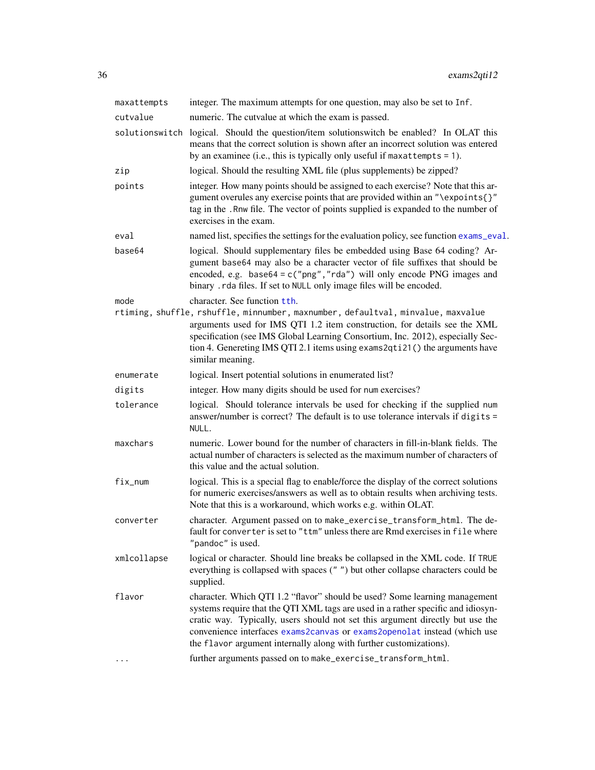| integer. The maximum attempts for one question, may also be set to Inf.                                                                                                                                                                                                                                                                                                                            |
|----------------------------------------------------------------------------------------------------------------------------------------------------------------------------------------------------------------------------------------------------------------------------------------------------------------------------------------------------------------------------------------------------|
| numeric. The cutvalue at which the exam is passed.                                                                                                                                                                                                                                                                                                                                                 |
| solutionswitch logical. Should the question/item solutionswitch be enabled? In OLAT this<br>means that the correct solution is shown after an incorrect solution was entered<br>by an examinee (i.e., this is typically only useful if maxattempts $= 1$ ).                                                                                                                                        |
| logical. Should the resulting XML file (plus supplements) be zipped?                                                                                                                                                                                                                                                                                                                               |
| integer. How many points should be assigned to each exercise? Note that this ar-<br>gument overules any exercise points that are provided within an "\expoints{}"<br>tag in the . Rnw file. The vector of points supplied is expanded to the number of<br>exercises in the exam.                                                                                                                   |
| named list, specifies the settings for the evaluation policy, see function exams_eval.                                                                                                                                                                                                                                                                                                             |
| logical. Should supplementary files be embedded using Base 64 coding? Ar-<br>gument base64 may also be a character vector of file suffixes that should be<br>encoded, e.g. $base64 = c("png", "rda")$ will only encode PNG images and<br>binary . rda files. If set to NULL only image files will be encoded.                                                                                      |
| character. See function tth.<br>rtiming, shuffle, rshuffle, minnumber, maxnumber, defaultval, minvalue, maxvalue<br>arguments used for IMS QTI 1.2 item construction, for details see the XML<br>specification (see IMS Global Learning Consortium, Inc. 2012), especially Sec-<br>tion 4. Genereting IMS QTI 2.1 items using exams 2qti 21() the arguments have<br>similar meaning.               |
| logical. Insert potential solutions in enumerated list?                                                                                                                                                                                                                                                                                                                                            |
| integer. How many digits should be used for num exercises?                                                                                                                                                                                                                                                                                                                                         |
| logical. Should tolerance intervals be used for checking if the supplied num<br>answer/number is correct? The default is to use tolerance intervals if digits =<br>NULL.                                                                                                                                                                                                                           |
| numeric. Lower bound for the number of characters in fill-in-blank fields. The<br>actual number of characters is selected as the maximum number of characters of<br>this value and the actual solution.                                                                                                                                                                                            |
| logical. This is a special flag to enable/force the display of the correct solutions<br>for numeric exercises/answers as well as to obtain results when archiving tests.<br>Note that this is a workaround, which works e.g. within OLAT.                                                                                                                                                          |
| character. Argument passed on to make_exercise_transform_html. The de-<br>fault for converter is set to "ttm" unless there are Rmd exercises in file where<br>"pandoc" is used.                                                                                                                                                                                                                    |
| logical or character. Should line breaks be collapsed in the XML code. If TRUE<br>everything is collapsed with spaces ("") but other collapse characters could be<br>supplied.                                                                                                                                                                                                                     |
| character. Which QTI 1.2 "flavor" should be used? Some learning management<br>systems require that the QTI XML tags are used in a rather specific and idiosyn-<br>cratic way. Typically, users should not set this argument directly but use the<br>convenience interfaces exams2canvas or exams2openolat instead (which use<br>the flavor argument internally along with further customizations). |
| further arguments passed on to make_exercise_transform_html.                                                                                                                                                                                                                                                                                                                                       |
|                                                                                                                                                                                                                                                                                                                                                                                                    |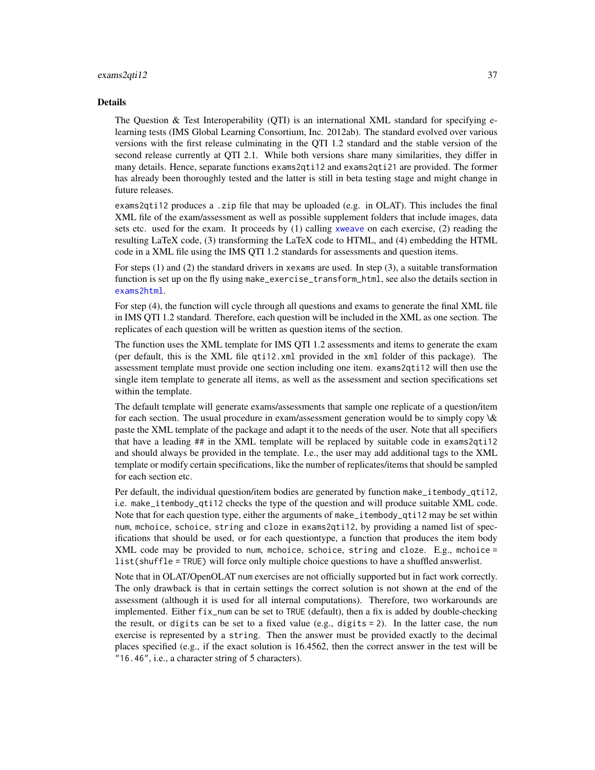#### exams2qti12 37

#### Details

The Question  $\&$  Test Interoperability (OTI) is an international XML standard for specifying elearning tests (IMS Global Learning Consortium, Inc. 2012ab). The standard evolved over various versions with the first release culminating in the QTI 1.2 standard and the stable version of the second release currently at QTI 2.1. While both versions share many similarities, they differ in many details. Hence, separate functions exams2qti12 and exams2qti21 are provided. The former has already been thoroughly tested and the latter is still in beta testing stage and might change in future releases.

exams2qti12 produces a .zip file that may be uploaded (e.g. in OLAT). This includes the final XML file of the exam/assessment as well as possible supplement folders that include images, data sets etc. used for the exam. It proceeds by (1) calling [xweave](#page-73-0) on each exercise, (2) reading the resulting LaTeX code, (3) transforming the LaTeX code to HTML, and (4) embedding the HTML code in a XML file using the IMS QTI 1.2 standards for assessments and question items.

For steps (1) and (2) the standard drivers in xexams are used. In step (3), a suitable transformation function is set up on the fly using make\_exercise\_transform\_html, see also the details section in [exams2html](#page-12-0).

For step (4), the function will cycle through all questions and exams to generate the final XML file in IMS QTI 1.2 standard. Therefore, each question will be included in the XML as one section. The replicates of each question will be written as question items of the section.

The function uses the XML template for IMS QTI 1.2 assessments and items to generate the exam (per default, this is the XML file qti12.xml provided in the xml folder of this package). The assessment template must provide one section including one item. exams2qti12 will then use the single item template to generate all items, as well as the assessment and section specifications set within the template.

The default template will generate exams/assessments that sample one replicate of a question/item for each section. The usual procedure in exam/assessment generation would be to simply copy \& paste the XML template of the package and adapt it to the needs of the user. Note that all specifiers that have a leading ## in the XML template will be replaced by suitable code in exams2qti12 and should always be provided in the template. I.e., the user may add additional tags to the XML template or modify certain specifications, like the number of replicates/items that should be sampled for each section etc.

Per default, the individual question/item bodies are generated by function make\_itembody\_qti12, i.e. make\_itembody\_qti12 checks the type of the question and will produce suitable XML code. Note that for each question type, either the arguments of make\_itembody\_qti12 may be set within num, mchoice, schoice, string and cloze in exams2qti12, by providing a named list of specifications that should be used, or for each questiontype, a function that produces the item body XML code may be provided to num, mchoice, schoice, string and cloze. E.g., mchoice = list(shuffle = TRUE) will force only multiple choice questions to have a shuffled answerlist.

Note that in OLAT/OpenOLAT num exercises are not officially supported but in fact work correctly. The only drawback is that in certain settings the correct solution is not shown at the end of the assessment (although it is used for all internal computations). Therefore, two workarounds are implemented. Either fix\_num can be set to TRUE (default), then a fix is added by double-checking the result, or digits can be set to a fixed value (e.g., digits = 2). In the latter case, the num exercise is represented by a string. Then the answer must be provided exactly to the decimal places specified (e.g., if the exact solution is 16.4562, then the correct answer in the test will be "16.46", i.e., a character string of 5 characters).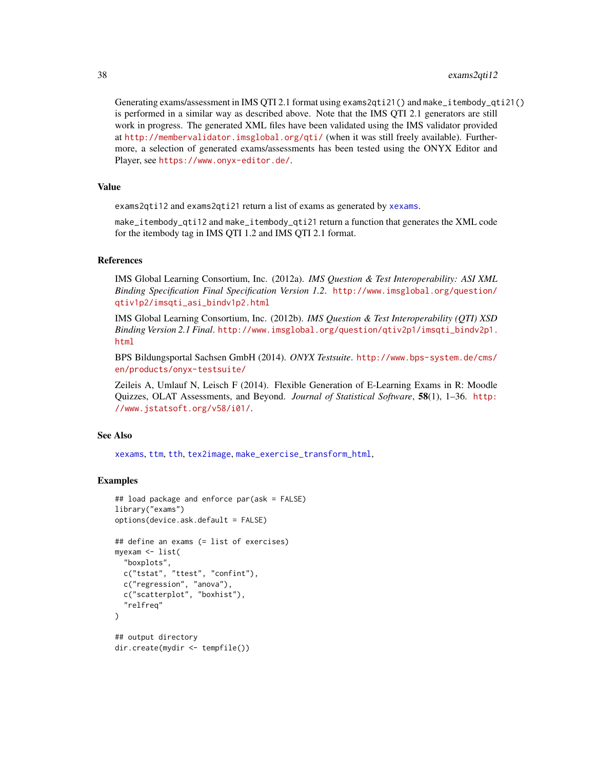Generating exams/assessment in IMS QTI 2.1 format using exams2qti21() and make\_itembody\_qti21() is performed in a similar way as described above. Note that the IMS QTI 2.1 generators are still work in progress. The generated XML files have been validated using the IMS validator provided at <http://membervalidator.imsglobal.org/qti/> (when it was still freely available). Furthermore, a selection of generated exams/assessments has been tested using the ONYX Editor and Player, see <https://www.onyx-editor.de/>.

## Value

exams2qti12 and exams2qti21 return a list of exams as generated by [xexams](#page-70-0).

make\_itembody\_qti12 and make\_itembody\_qti21 return a function that generates the XML code for the itembody tag in IMS QTI 1.2 and IMS QTI 2.1 format.

### References

IMS Global Learning Consortium, Inc. (2012a). *IMS Question & Test Interoperability: ASI XML Binding Specification Final Specification Version 1.2*. [http://www.imsglobal.org/question/](http://www.imsglobal.org/question/qtiv1p2/imsqti_asi_bindv1p2.html) [qtiv1p2/imsqti\\_asi\\_bindv1p2.html](http://www.imsglobal.org/question/qtiv1p2/imsqti_asi_bindv1p2.html)

IMS Global Learning Consortium, Inc. (2012b). *IMS Question & Test Interoperability (QTI) XSD Binding Version 2.1 Final*. [http://www.imsglobal.org/question/qtiv2p1/imsqti\\_bindv2p1.](http://www.imsglobal.org/question/qtiv2p1/imsqti_bindv2p1.html) [html](http://www.imsglobal.org/question/qtiv2p1/imsqti_bindv2p1.html)

BPS Bildungsportal Sachsen GmbH (2014). *ONYX Testsuite*. [http://www.bps-system.de/cms/](http://www.bps-system.de/cms/en/products/onyx-testsuite/) [en/products/onyx-testsuite/](http://www.bps-system.de/cms/en/products/onyx-testsuite/)

Zeileis A, Umlauf N, Leisch F (2014). Flexible Generation of E-Learning Exams in R: Moodle Quizzes, OLAT Assessments, and Beyond. *Journal of Statistical Software*, 58(1), 1–36. [http:](http://www.jstatsoft.org/v58/i01/) [//www.jstatsoft.org/v58/i01/](http://www.jstatsoft.org/v58/i01/).

## See Also

[xexams](#page-70-0), [ttm](#page-0-0), [tth](#page-0-0), [tex2image](#page-68-0), [make\\_exercise\\_transform\\_html](#page-12-1),

```
## load package and enforce par(ask = FALSE)
library("exams")
options(device.ask.default = FALSE)
## define an exams (= list of exercises)
myexam <- list(
  "boxplots",
 c("tstat", "ttest", "confint"),
 c("regression", "anova"),
 c("scatterplot", "boxhist"),
  "relfreq"
)
## output directory
dir.create(mydir <- tempfile())
```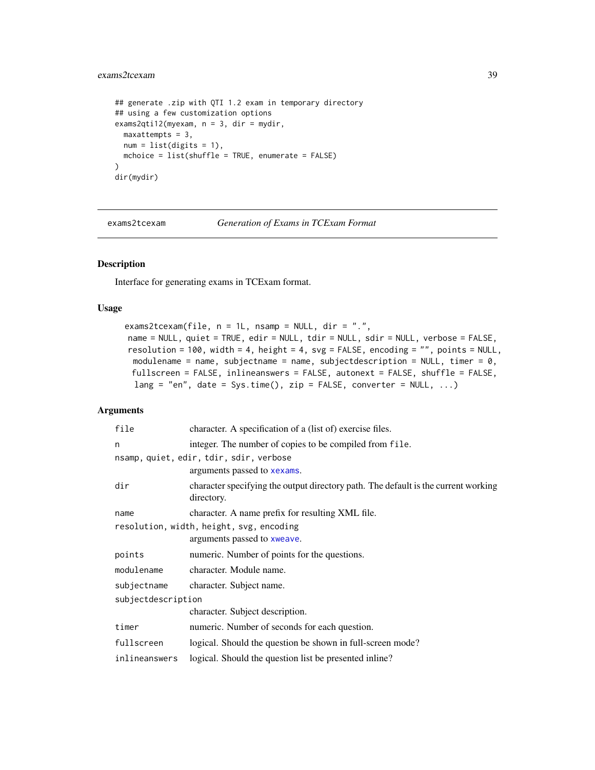## exams2tcexam 39

```
## generate .zip with QTI 1.2 exam in temporary directory
## using a few customization options
exams2qti12(myexam, n = 3, dir = mydir,
 maxattempts = 3,
 num = list(digits = 1),
 mchoice = list(shuffle = TRUE, enumerate = FALSE)
\mathcal{L}dir(mydir)
```
exams2tcexam *Generation of Exams in TCExam Format*

## Description

Interface for generating exams in TCExam format.

## Usage

```
exams2tcexam(file, n = 1L, nsamp = NULL, dir = ".",
name = NULL, quiet = TRUE, edir = NULL, tdir = NULL, sdir = NULL, verbose = FALSE,
resolution = 100, width = 4, height = 4, svg = FALSE, encoding = "", points = NULL,
 modulename = name, subjectname = name, subjectdescription = NULL, timer = 0,
 fullscreen = FALSE, inlineanswers = FALSE, autonext = FALSE, shuffle = FALSE,
 lang = "en", date = Sys.time(), zip = FALSE, converter = NULL, ...)
```

| file                                     | character. A specification of a (list of) exercise files.                                        |  |  |
|------------------------------------------|--------------------------------------------------------------------------------------------------|--|--|
| n                                        | integer. The number of copies to be compiled from file.                                          |  |  |
|                                          | nsamp, quiet, edir, tdir, sdir, verbose                                                          |  |  |
|                                          | arguments passed to xexams.                                                                      |  |  |
| dir                                      | character specifying the output directory path. The default is the current working<br>directory. |  |  |
| name                                     | character. A name prefix for resulting XML file.                                                 |  |  |
| resolution, width, height, svg, encoding |                                                                                                  |  |  |
|                                          | arguments passed to xweave.                                                                      |  |  |
| points                                   | numeric. Number of points for the questions.                                                     |  |  |
| modulename                               | character. Module name.                                                                          |  |  |
| subjectname                              | character. Subject name.                                                                         |  |  |
| subjectdescription                       |                                                                                                  |  |  |
|                                          | character. Subject description.                                                                  |  |  |
| timer                                    | numeric. Number of seconds for each question.                                                    |  |  |
| fullscreen                               | logical. Should the question be shown in full-screen mode?                                       |  |  |
| inlineanswers                            | logical. Should the question list be presented in line?                                          |  |  |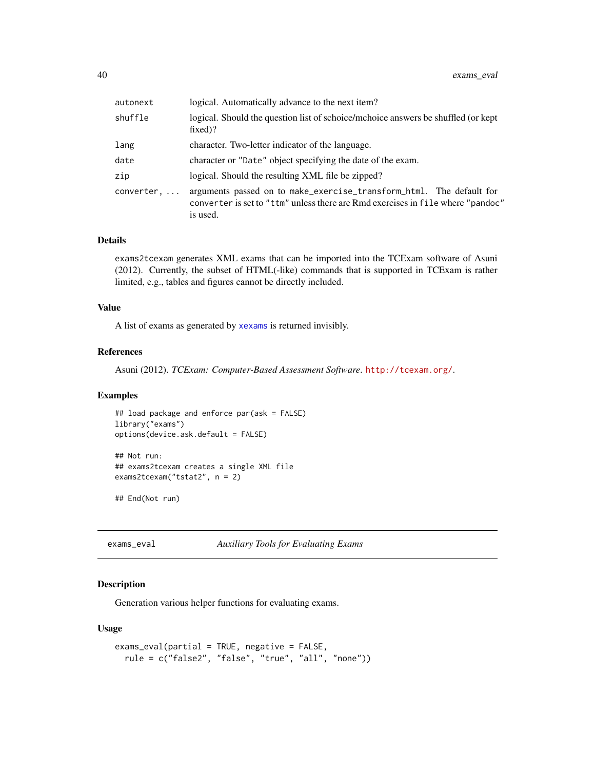| autonext   | logical. Automatically advance to the next item?                                                                                                                    |  |  |
|------------|---------------------------------------------------------------------------------------------------------------------------------------------------------------------|--|--|
| shuffle    | logical. Should the question list of schoice/mchoice answers be shuffled (or kept<br>$fixed$ ?                                                                      |  |  |
| lang       | character. Two-letter indicator of the language.                                                                                                                    |  |  |
| date       | character or "Date" object specifying the date of the exam.                                                                                                         |  |  |
| zip        | logical. Should the resulting XML file be zipped?                                                                                                                   |  |  |
| converter, | arguments passed on to make_exercise_transform_html. The default for<br>converter is set to "ttm" unless there are Rmd exercises in file where "pandoc"<br>is used. |  |  |

## Details

exams2tcexam generates XML exams that can be imported into the TCExam software of Asuni (2012). Currently, the subset of HTML(-like) commands that is supported in TCExam is rather limited, e.g., tables and figures cannot be directly included.

### Value

A list of exams as generated by [xexams](#page-70-0) is returned invisibly.

## References

Asuni (2012). *TCExam: Computer-Based Assessment Software*. <http://tcexam.org/>.

## Examples

```
## load package and enforce par(ask = FALSE)
library("exams")
options(device.ask.default = FALSE)
## Not run:
## exams2tcexam creates a single XML file
exams2tcexam("tstat2", n = 2)
```
## End(Not run)

<span id="page-39-0"></span>exams\_eval *Auxiliary Tools for Evaluating Exams*

### Description

Generation various helper functions for evaluating exams.

### Usage

```
exams_eval(partial = TRUE, negative = FALSE,
  rule = c("false2", "false", "true", "all", "none"))
```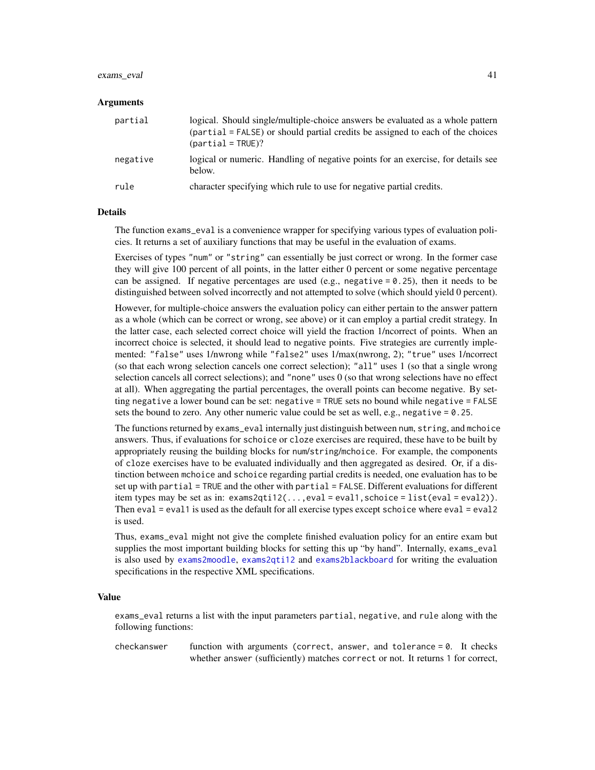#### exams\_eval 41

#### Arguments

| partial  | logical. Should single/multiple-choice answers be evaluated as a whole pattern<br>(partial = FALSE) or should partial credits be assigned to each of the choices<br>${\rm (partial I = TRUE)}?$ |
|----------|-------------------------------------------------------------------------------------------------------------------------------------------------------------------------------------------------|
| negative | logical or numeric. Handling of negative points for an exercise, for details see<br>below.                                                                                                      |
| rule     | character specifying which rule to use for negative partial credits.                                                                                                                            |

## **Details**

The function exams\_eval is a convenience wrapper for specifying various types of evaluation policies. It returns a set of auxiliary functions that may be useful in the evaluation of exams.

Exercises of types "num" or "string" can essentially be just correct or wrong. In the former case they will give 100 percent of all points, in the latter either 0 percent or some negative percentage can be assigned. If negative percentages are used (e.g., negative  $= 0.25$ ), then it needs to be distinguished between solved incorrectly and not attempted to solve (which should yield 0 percent).

However, for multiple-choice answers the evaluation policy can either pertain to the answer pattern as a whole (which can be correct or wrong, see above) or it can employ a partial credit strategy. In the latter case, each selected correct choice will yield the fraction 1/ncorrect of points. When an incorrect choice is selected, it should lead to negative points. Five strategies are currently implemented: "false" uses 1/nwrong while "false2" uses 1/max(nwrong, 2); "true" uses 1/ncorrect (so that each wrong selection cancels one correct selection); "all" uses 1 (so that a single wrong selection cancels all correct selections); and "none" uses 0 (so that wrong selections have no effect at all). When aggregating the partial percentages, the overall points can become negative. By setting negative a lower bound can be set: negative = TRUE sets no bound while negative = FALSE sets the bound to zero. Any other numeric value could be set as well, e.g., negative  $= 0.25$ .

The functions returned by exams\_eval internally just distinguish between num, string, and mchoice answers. Thus, if evaluations for schoice or cloze exercises are required, these have to be built by appropriately reusing the building blocks for num/string/mchoice. For example, the components of cloze exercises have to be evaluated individually and then aggregated as desired. Or, if a distinction between mchoice and schoice regarding partial credits is needed, one evaluation has to be set up with partial = TRUE and the other with partial = FALSE. Different evaluations for different item types may be set as in: exams2qti12(...,eval = eval1,schoice = list(eval = eval2)). Then eval  $=$  eval1 is used as the default for all exercise types except schoice where eval  $=$  eval2 is used.

Thus, exams\_eval might not give the complete finished evaluation policy for an entire exam but supplies the most important building blocks for setting this up "by hand". Internally, exams\_eval is also used by [exams2moodle](#page-18-0), [exams2qti12](#page-32-0) and [exams2blackboard](#page-6-0) for writing the evaluation specifications in the respective XML specifications.

### Value

exams\_eval returns a list with the input parameters partial, negative, and rule along with the following functions:

checkanswer function with arguments (correct, answer, and tolerance  $= 0$ . It checks whether answer (sufficiently) matches correct or not. It returns 1 for correct,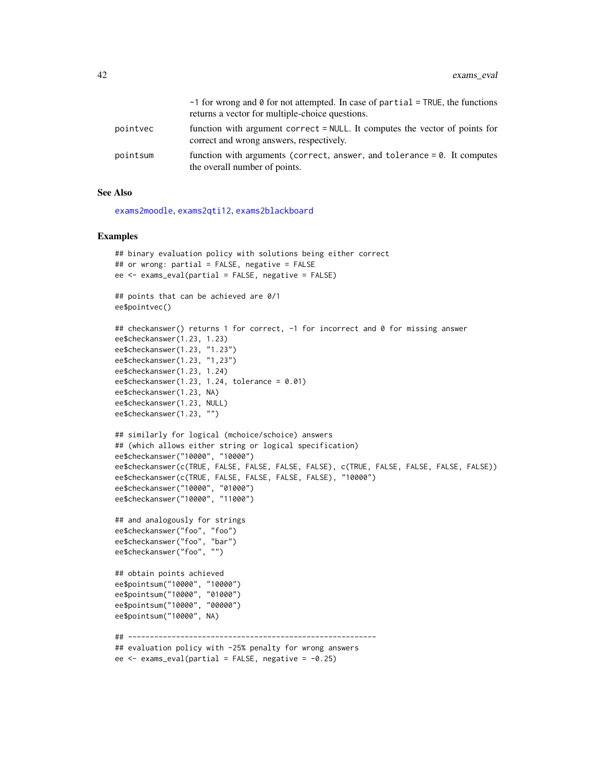|          | $-1$ for wrong and $\theta$ for not attempted. In case of partial = TRUE, the functions<br>returns a vector for multiple-choice questions. |
|----------|--------------------------------------------------------------------------------------------------------------------------------------------|
| pointvec | function with argument correct = NULL. It computes the vector of points for<br>correct and wrong answers, respectively.                    |
| pointsum | function with arguments (correct, answer, and tolerance $= 0$ . It computes<br>the overall number of points.                               |

### See Also

[exams2moodle](#page-18-0), [exams2qti12](#page-32-0), [exams2blackboard](#page-6-0)

```
## binary evaluation policy with solutions being either correct
## or wrong: partial = FALSE, negative = FALSE
ee <- exams_eval(partial = FALSE, negative = FALSE)
## points that can be achieved are 0/1
ee$pointvec()
## checkanswer() returns 1 for correct, -1 for incorrect and 0 for missing answer
ee$checkanswer(1.23, 1.23)
ee$checkanswer(1.23, "1.23")
ee$checkanswer(1.23, "1,23")
ee$checkanswer(1.23, 1.24)
ee$checkanswer(1.23, 1.24, tolerance = 0.01)
ee$checkanswer(1.23, NA)
ee$checkanswer(1.23, NULL)
ee$checkanswer(1.23, "")
## similarly for logical (mchoice/schoice) answers
## (which allows either string or logical specification)
ee$checkanswer("10000", "10000")
ee$checkanswer(c(TRUE, FALSE, FALSE, FALSE, FALSE), c(TRUE, FALSE, FALSE, FALSE, FALSE))
ee$checkanswer(c(TRUE, FALSE, FALSE, FALSE, FALSE), "10000")
ee$checkanswer("10000", "01000")
ee$checkanswer("10000", "11000")
## and analogously for strings
ee$checkanswer("foo", "foo")
ee$checkanswer("foo", "bar")
ee$checkanswer("foo", "")
## obtain points achieved
ee$pointsum("10000", "10000")
ee$pointsum("10000", "01000")
ee$pointsum("10000", "00000")
ee$pointsum("10000", NA)
## ---------------------------------------------------------
## evaluation policy with -25% penalty for wrong answers
ee \leq exams_eval(partial = FALSE, negative = -0.25)
```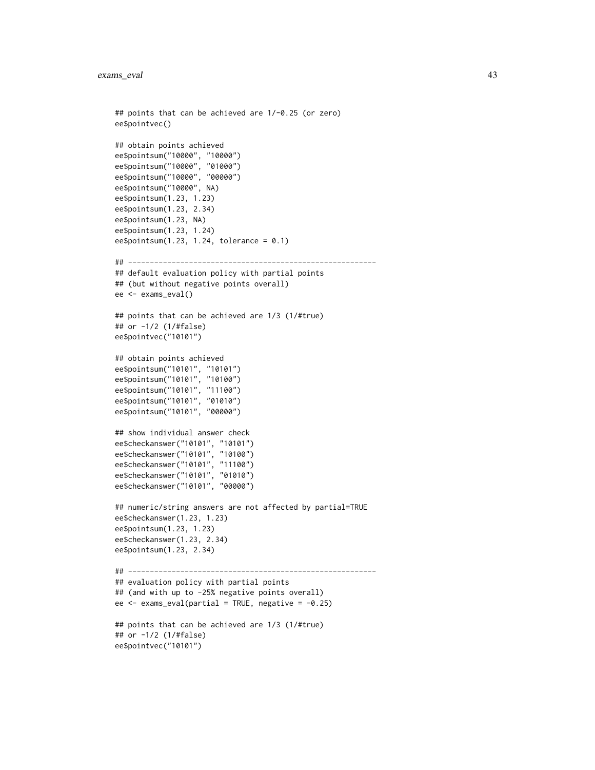```
## points that can be achieved are 1/-0.25 (or zero)
ee$pointvec()
## obtain points achieved
ee$pointsum("10000", "10000")
ee$pointsum("10000", "01000")
ee$pointsum("10000", "00000")
ee$pointsum("10000", NA)
ee$pointsum(1.23, 1.23)
ee$pointsum(1.23, 2.34)
ee$pointsum(1.23, NA)
ee$pointsum(1.23, 1.24)
ee$pointsum(1.23, 1.24, tolerance = 0.1)
## ---------------------------------------------------------
## default evaluation policy with partial points
## (but without negative points overall)
ee <- exams_eval()
## points that can be achieved are 1/3 (1/#true)
## or -1/2 (1/#false)
ee$pointvec("10101")
## obtain points achieved
ee$pointsum("10101", "10101")
ee$pointsum("10101", "10100")
ee$pointsum("10101", "11100")
ee$pointsum("10101", "01010")
ee$pointsum("10101", "00000")
## show individual answer check
ee$checkanswer("10101", "10101")
ee$checkanswer("10101", "10100")
ee$checkanswer("10101", "11100")
ee$checkanswer("10101", "01010")
ee$checkanswer("10101", "00000")
## numeric/string answers are not affected by partial=TRUE
ee$checkanswer(1.23, 1.23)
ee$pointsum(1.23, 1.23)
ee$checkanswer(1.23, 2.34)
ee$pointsum(1.23, 2.34)
## ---------------------------------------------------------
## evaluation policy with partial points
## (and with up to -25% negative points overall)
ee \leq exams_eval(partial = TRUE, negative = -0.25)
## points that can be achieved are 1/3 (1/#true)
## or -1/2 (1/#false)
ee$pointvec("10101")
```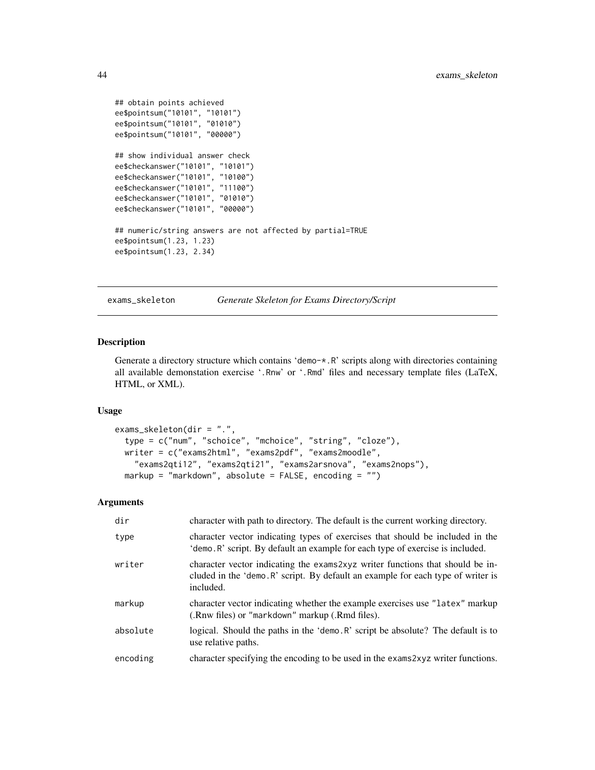```
## obtain points achieved
ee$pointsum("10101", "10101")
ee$pointsum("10101", "01010")
ee$pointsum("10101", "00000")
## show individual answer check
ee$checkanswer("10101", "10101")
ee$checkanswer("10101", "10100")
ee$checkanswer("10101", "11100")
ee$checkanswer("10101", "01010")
ee$checkanswer("10101", "00000")
## numeric/string answers are not affected by partial=TRUE
ee$pointsum(1.23, 1.23)
ee$pointsum(1.23, 2.34)
```
exams\_skeleton *Generate Skeleton for Exams Directory/Script*

#### Description

Generate a directory structure which contains 'demo-\*.R' scripts along with directories containing all available demonstation exercise '.Rnw' or '.Rmd' files and necessary template files (LaTeX, HTML, or XML).

## Usage

```
exams_skeleton(dir = ".",
 type = c("num", "schoice", "mchoice", "string", "cloze"),
 writer = c("exams2html", "exams2pdf", "exams2moodle",
    "exams2qti12", "exams2qti21", "exams2arsnova", "exams2nops"),
 markup = "markdown", absolute = FALSE, encoding = "")
```

| dir      | character with path to directory. The default is the current working directory.                                                                                                |
|----------|--------------------------------------------------------------------------------------------------------------------------------------------------------------------------------|
| type     | character vector indicating types of exercises that should be included in the<br>'demo. R' script. By default an example for each type of exercise is included.                |
| writer   | character vector indicating the exams2xyz writer functions that should be in-<br>cluded in the 'demo. R' script. By default an example for each type of writer is<br>included. |
| markup   | character vector indicating whether the example exercises use "latex" markup<br>(.Rnw files) or "markdown" markup (.Rmd files).                                                |
| absolute | logical. Should the paths in the 'demo. R' script be absolute? The default is to<br>use relative paths.                                                                        |
| encoding | character specifying the encoding to be used in the exams 2xyz writer functions.                                                                                               |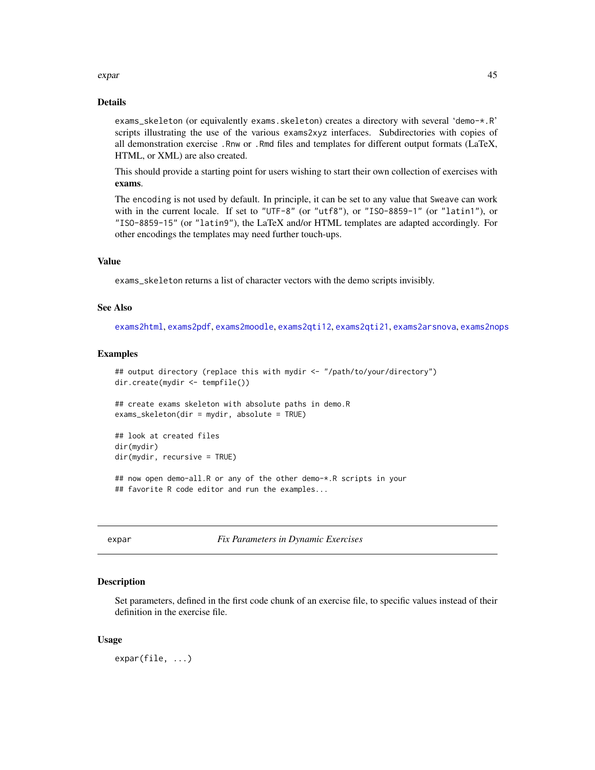#### expart to the second second second second second second second second second second second second second second second second second second second second second second second second second second second second second secon

### Details

exams\_skeleton (or equivalently exams.skeleton) creates a directory with several 'demo-\*.R' scripts illustrating the use of the various exams2xyz interfaces. Subdirectories with copies of all demonstration exercise .Rnw or .Rmd files and templates for different output formats (LaTeX, HTML, or XML) are also created.

This should provide a starting point for users wishing to start their own collection of exercises with exams.

The encoding is not used by default. In principle, it can be set to any value that Sweave can work with in the current locale. If set to "UTF-8" (or "utf8"), or "ISO-8859-1" (or "latin1"), or "ISO-8859-15" (or "latin9"), the LaTeX and/or HTML templates are adapted accordingly. For other encodings the templates may need further touch-ups.

### Value

exams\_skeleton returns a list of character vectors with the demo scripts invisibly.

#### See Also

[exams2html](#page-12-0), [exams2pdf](#page-30-0), [exams2moodle](#page-18-0), [exams2qti12](#page-32-0), [exams2qti21](#page-32-1), [exams2arsnova](#page-4-0), [exams2nops](#page-22-0)

### Examples

```
## output directory (replace this with mydir <- "/path/to/your/directory")
dir.create(mydir <- tempfile())
## create exams skeleton with absolute paths in demo.R
exams_skeleton(dir = mydir, absolute = TRUE)
## look at created files
dir(mydir)
dir(mydir, recursive = TRUE)
## now open demo-all.R or any of the other demo-*.R scripts in your
## favorite R code editor and run the examples...
```
expar *Fix Parameters in Dynamic Exercises*

#### Description

Set parameters, defined in the first code chunk of an exercise file, to specific values instead of their definition in the exercise file.

### Usage

expar(file, ...)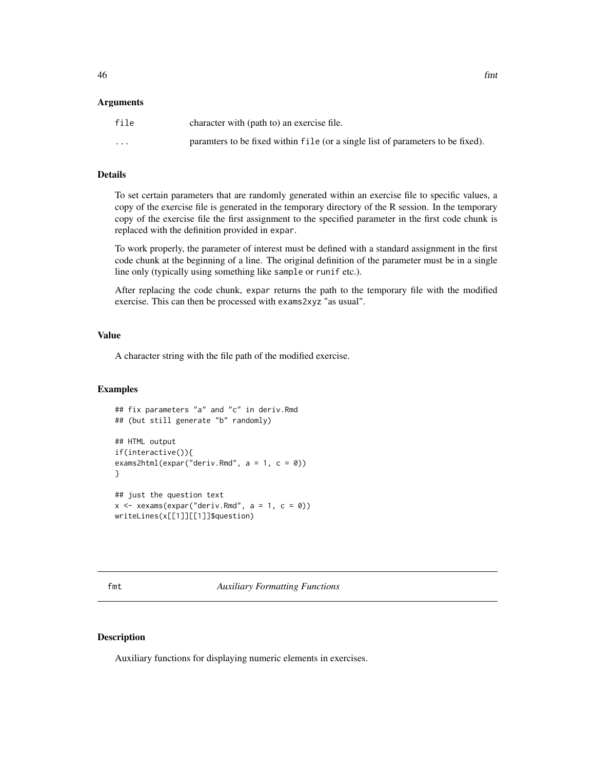### Arguments

| file     | character with (path to) an exercise file.                                      |
|----------|---------------------------------------------------------------------------------|
| $\cdots$ | paramters to be fixed within file (or a single list of parameters to be fixed). |

## Details

To set certain parameters that are randomly generated within an exercise file to specific values, a copy of the exercise file is generated in the temporary directory of the R session. In the temporary copy of the exercise file the first assignment to the specified parameter in the first code chunk is replaced with the definition provided in expar.

To work properly, the parameter of interest must be defined with a standard assignment in the first code chunk at the beginning of a line. The original definition of the parameter must be in a single line only (typically using something like sample or runif etc.).

After replacing the code chunk, expar returns the path to the temporary file with the modified exercise. This can then be processed with exams2xyz "as usual".

## Value

A character string with the file path of the modified exercise.

### Examples

```
## fix parameters "a" and "c" in deriv.Rmd
## (but still generate "b" randomly)
## HTML output
if(interactive()){
exams2html(expar("deriv.Rmd", a = 1, c = 0))
}
## just the question text
x \le -xexams(expar("deriv.Rmd", a = 1, c = 0))
writeLines(x[[1]][[1]]$question)
```
## Description

Auxiliary functions for displaying numeric elements in exercises.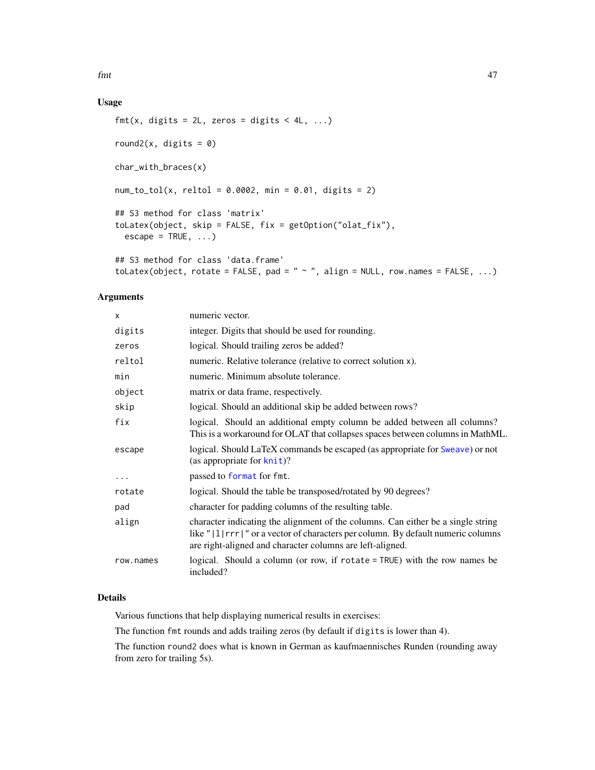$f$ mt  $47$ 

# Usage

```
fmt(x, digits = 2L, zeros = digits < 4L, ...)round2(x, digits = 0)
char_with_braces(x)
num_to_to(x, reltol = 0.0002, min = 0.01, digits = 2)
## S3 method for class 'matrix'
toLatex(object, skip = FALSE, fix = getOption("olat_fix"),
 \text{escape} = \text{TRUE}, \ldots## S3 method for class 'data.frame'
toLatex(object, rotate = FALSE, pad = " \sim ", align = NULL, row.names = FALSE, ...)
```
## Arguments

| x         | numeric vector.                                                                                                                                                                                                                       |
|-----------|---------------------------------------------------------------------------------------------------------------------------------------------------------------------------------------------------------------------------------------|
| digits    | integer. Digits that should be used for rounding.                                                                                                                                                                                     |
| zeros     | logical. Should trailing zeros be added?                                                                                                                                                                                              |
| reltol    | numeric. Relative tolerance (relative to correct solution x).                                                                                                                                                                         |
| min       | numeric. Minimum absolute tolerance.                                                                                                                                                                                                  |
| object    | matrix or data frame, respectively.                                                                                                                                                                                                   |
| skip      | logical. Should an additional skip be added between rows?                                                                                                                                                                             |
| fix       | logical. Should an additional empty column be added between all columns?<br>This is a workaround for OLAT that collapses spaces between columns in MathML.                                                                            |
| escape    | logical. Should LaTeX commands be escaped (as appropriate for Sweave) or not<br>(as appropriate for $k$ nit)?                                                                                                                         |
| $\cdots$  | passed to format for fmt.                                                                                                                                                                                                             |
| rotate    | logical. Should the table be transposed/rotated by 90 degrees?                                                                                                                                                                        |
| pad       | character for padding columns of the resulting table.                                                                                                                                                                                 |
| align     | character indicating the alignment of the columns. Can either be a single string<br>like " $ 1 $ rrr  " or a vector of characters per column. By default numeric columns<br>are right-aligned and character columns are left-aligned. |
| row.names | logical. Should a column (or row, if rotate = TRUE) with the row names be<br>included?                                                                                                                                                |

## Details

Various functions that help displaying numerical results in exercises:

The function fmt rounds and adds trailing zeros (by default if digits is lower than 4).

The function round2 does what is known in German as kaufmaennisches Runden (rounding away from zero for trailing 5s).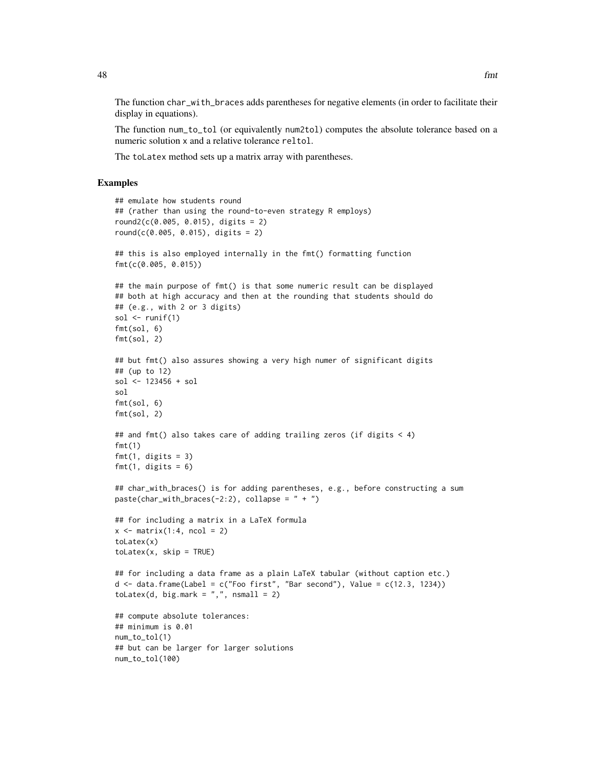The function char\_with\_braces adds parentheses for negative elements (in order to facilitate their display in equations).

The function num\_to\_tol (or equivalently num2tol) computes the absolute tolerance based on a numeric solution x and a relative tolerance reltol.

The toLatex method sets up a matrix array with parentheses.

```
## emulate how students round
## (rather than using the round-to-even strategy R employs)
round2(c(0.005, 0.015), digits = 2)
round(c(0.005, 0.015), digits = 2)
## this is also employed internally in the fmt() formatting function
fmt(c(0.005, 0.015))
## the main purpose of fmt() is that some numeric result can be displayed
## both at high accuracy and then at the rounding that students should do
## (e.g., with 2 or 3 digits)
sol \leftarrow runif(1)
fmt(sol, 6)
fmt(sol, 2)
## but fmt() also assures showing a very high numer of significant digits
## (up to 12)
sol <- 123456 + sol
sol
fmt(sol, 6)
fmt(sol, 2)
## and fmt() also takes care of adding trailing zeros (if digits \leq 4)
fmt(1)
fmt(1, digits = 3)fmt(1, \text{ digits} = 6)## char_with_braces() is for adding parentheses, e.g., before constructing a sum
paste(char_with_braces(-2:2), collapse = " + ")## for including a matrix in a LaTeX formula
x \le matrix(1:4, ncol = 2)
toLatex(x)
tolates(x, skip = TRUE)## for including a data frame as a plain LaTeX tabular (without caption etc.)
d \leq d data.frame(Label = c("Foo first", "Bar second"), Value = c(12.3, 1234))
toLatex(d, big.mark = ",", nsmall = 2)
## compute absolute tolerances:
## minimum is 0.01
num_to_tol(1)
## but can be larger for larger solutions
num_to_tol(100)
```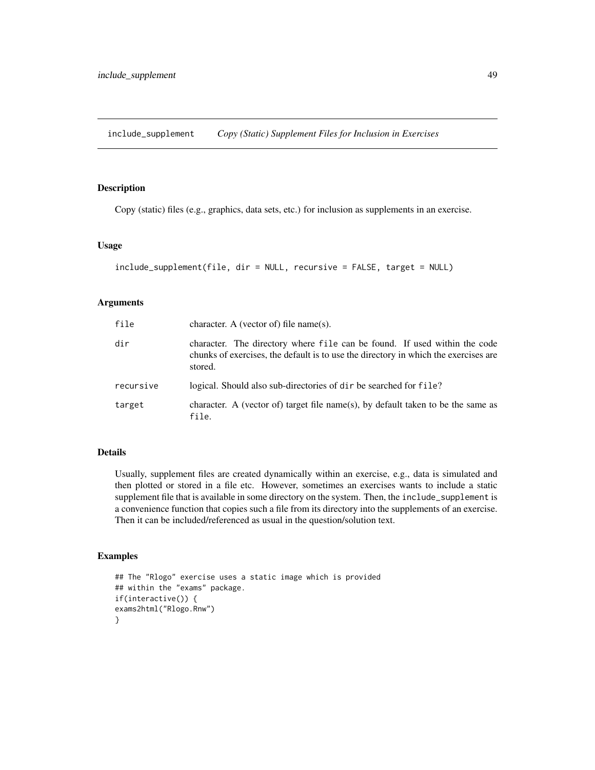include\_supplement *Copy (Static) Supplement Files for Inclusion in Exercises*

## Description

Copy (static) files (e.g., graphics, data sets, etc.) for inclusion as supplements in an exercise.

## Usage

```
include_supplement(file, dir = NULL, recursive = FALSE, target = NULL)
```
### Arguments

| file      | character. A (vector of) file name(s).                                                                                                                                      |
|-----------|-----------------------------------------------------------------------------------------------------------------------------------------------------------------------------|
| dir       | character. The directory where file can be found. If used within the code<br>chunks of exercises, the default is to use the directory in which the exercises are<br>stored. |
| recursive | logical. Should also sub-directories of dir be searched for file?                                                                                                           |
| target    | character. A (vector of) target file name(s), by default taken to be the same as<br>file.                                                                                   |

## Details

Usually, supplement files are created dynamically within an exercise, e.g., data is simulated and then plotted or stored in a file etc. However, sometimes an exercises wants to include a static supplement file that is available in some directory on the system. Then, the include\_supplement is a convenience function that copies such a file from its directory into the supplements of an exercise. Then it can be included/referenced as usual in the question/solution text.

```
## The "Rlogo" exercise uses a static image which is provided
## within the "exams" package.
if(interactive()) {
exams2html("Rlogo.Rnw")
}
```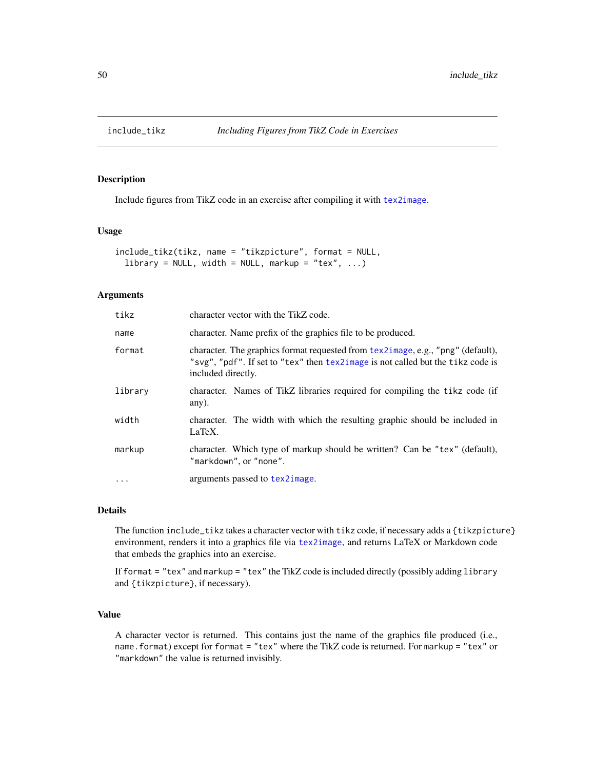### Description

Include figures from TikZ code in an exercise after compiling it with [tex2image](#page-68-0).

## Usage

```
include_tikz(tikz, name = "tikzpicture", format = NULL,
  library = NULL, width = NULL, markup = "tex", \ldots)
```
### Arguments

| tikz      | character vector with the TikZ code.                                                                                                                                                     |
|-----------|------------------------------------------------------------------------------------------------------------------------------------------------------------------------------------------|
| name      | character. Name prefix of the graphics file to be produced.                                                                                                                              |
| format    | character. The graphics format requested from tex2image, e.g., "png" (default),<br>"svg", "pdf". If set to "tex" then tex2image is not called but the tikz code is<br>included directly. |
| library   | character. Names of TikZ libraries required for compiling the tikz code (if<br>any).                                                                                                     |
| width     | character. The width with which the resulting graphic should be included in<br>LaTeX.                                                                                                    |
| markup    | character. Which type of markup should be written? Can be "tex" (default),<br>"markdown", or "none".                                                                                     |
| $\ddotsc$ | arguments passed to tex2image.                                                                                                                                                           |

## Details

The function include\_tikz takes a character vector with tikz code, if necessary adds a {tikzpicture} environment, renders it into a graphics file via [tex2image](#page-68-0), and returns LaTeX or Markdown code that embeds the graphics into an exercise.

If format = "tex" and markup = "tex" the TikZ code is included directly (possibly adding library and {tikzpicture}, if necessary).

## Value

A character vector is returned. This contains just the name of the graphics file produced (i.e., name.format) except for format = "tex" where the TikZ code is returned. For markup = "tex" or "markdown" the value is returned invisibly.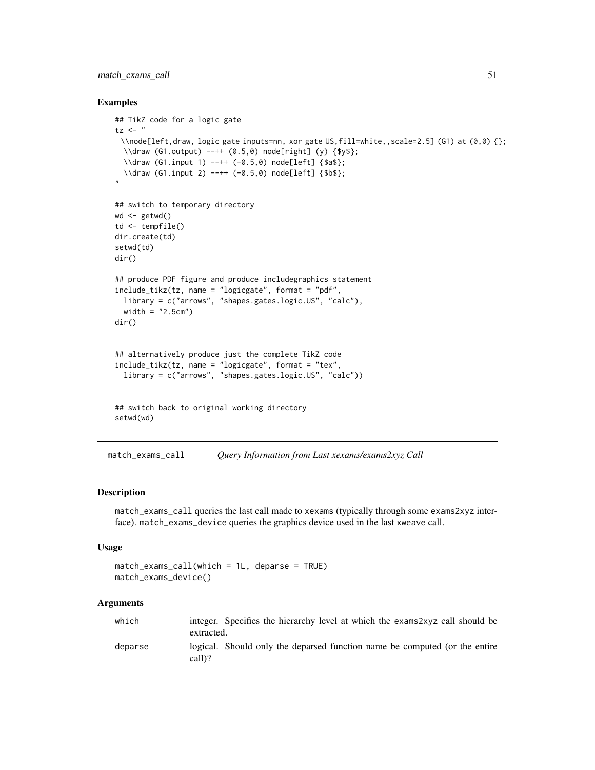## match\_exams\_call 51

### Examples

```
## TikZ code for a logic gate
tz < - "
 \\node[left,draw, logic gate inputs=nn, xor gate US,fill=white,,scale=2.5] (G1) at (0,0) {};
  \\draw (G1.output) --++ (0.5,0) node[right] (y) {$y$};
  \\draw (G1.input 1) --++ (-0.5,0) node[left] {$a$};
  \\draw (G1.input 2) --++ (-0.5,0) node[left] {$b$};
"
## switch to temporary directory
wd < - getwd()
td <- tempfile()
dir.create(td)
setwd(td)
dir()
## produce PDF figure and produce includegraphics statement
include_tikz(tz, name = "logicgate", format = "pdf",
  library = c("arrows", "shapes.gates.logic.US", "calc"),
  width = "2.5cm")
dir()
## alternatively produce just the complete TikZ code
include_tikz(tz, name = "logicgate", format = "tex",
  library = c("arrows", "shapes.gates.logic.US", "calc"))
## switch back to original working directory
setwd(wd)
```
match\_exams\_call *Query Information from Last xexams/exams2xyz Call*

#### Description

match\_exams\_call queries the last call made to xexams (typically through some exams2xyz interface). match\_exams\_device queries the graphics device used in the last xweave call.

### Usage

```
match_exams_call(which = 1L, deparse = TRUE)
match_exams_device()
```

| which   |            | integer. Specifies the hierarchy level at which the exams2xyz call should be |
|---------|------------|------------------------------------------------------------------------------|
|         | extracted. |                                                                              |
| deparse | call)?     | logical. Should only the deparsed function name be computed (or the entire   |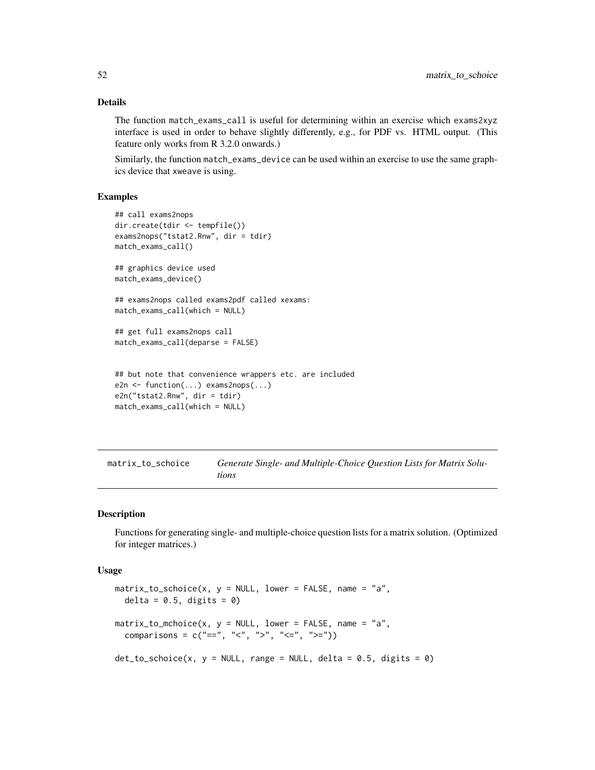### Details

The function match\_exams\_call is useful for determining within an exercise which exams2xyz interface is used in order to behave slightly differently, e.g., for PDF vs. HTML output. (This feature only works from R 3.2.0 onwards.)

Similarly, the function match\_exams\_device can be used within an exercise to use the same graphics device that xweave is using.

### Examples

```
## call exams2nops
dir.create(tdir <- tempfile())
exams2nops("tstat2.Rnw", dir = tdir)
match_exams_call()
## graphics device used
match_exams_device()
## exams2nops called exams2pdf called xexams:
match_exams_call(which = NULL)
## get full exams2nops call
match_exams_call(deparse = FALSE)
## but note that convenience wrappers etc. are included
e2n <- function(...) exams2nops(...)
e2n("tstat2.Rnw", dir = tdir)
match_exams_call(which = NULL)
```
<span id="page-51-0"></span>matrix\_to\_schoice *Generate Single- and Multiple-Choice Question Lists for Matrix Solutions*

#### Description

Functions for generating single- and multiple-choice question lists for a matrix solution. (Optimized for integer matrices.)

#### Usage

```
matrix_to_schoice(x, y = NULL, lower = FALSE, name = "a",delta = 0.5, digits = 0)
matrix_to_mchoice(x, y = NULL, lower = FALSE, name = "a",comparisons = c("==", "<-", ">-", "<=", ">=")det_to<sub>schoice</sub>(x, y = NULL, range = NULL, delta = 0.5, digits = 0)
```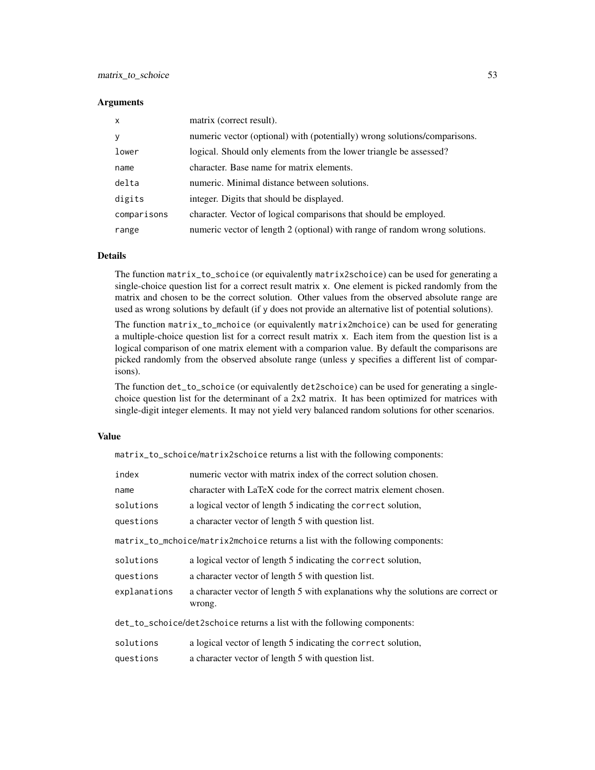### **Arguments**

| $\mathsf{x}$ | matrix (correct result).                                                    |
|--------------|-----------------------------------------------------------------------------|
| y            | numeric vector (optional) with (potentially) wrong solutions/comparisons.   |
| lower        | logical. Should only elements from the lower triangle be assessed?          |
| name         | character. Base name for matrix elements.                                   |
| delta        | numeric. Minimal distance between solutions.                                |
| digits       | integer. Digits that should be displayed.                                   |
| comparisons  | character. Vector of logical comparisons that should be employed.           |
| range        | numeric vector of length 2 (optional) with range of random wrong solutions. |

## Details

The function matrix\_to\_schoice (or equivalently matrix2schoice) can be used for generating a single-choice question list for a correct result matrix x. One element is picked randomly from the matrix and chosen to be the correct solution. Other values from the observed absolute range are used as wrong solutions by default (if y does not provide an alternative list of potential solutions).

The function matrix\_to\_mchoice (or equivalently matrix2mchoice) can be used for generating a multiple-choice question list for a correct result matrix x. Each item from the question list is a logical comparison of one matrix element with a comparion value. By default the comparisons are picked randomly from the observed absolute range (unless y specifies a different list of comparisons).

The function det\_to\_schoice (or equivalently det2schoice) can be used for generating a singlechoice question list for the determinant of a 2x2 matrix. It has been optimized for matrices with single-digit integer elements. It may not yield very balanced random solutions for other scenarios.

### Value

matrix\_to\_schoice/matrix2schoice returns a list with the following components:

| index                                                                          | numeric vector with matrix index of the correct solution chosen.                            |  |  |
|--------------------------------------------------------------------------------|---------------------------------------------------------------------------------------------|--|--|
| name                                                                           | character with LaTeX code for the correct matrix element chosen.                            |  |  |
| solutions                                                                      | a logical vector of length 5 indicating the correct solution,                               |  |  |
| questions                                                                      | a character vector of length 5 with question list.                                          |  |  |
| matrix_to_mchoice/matrix2mchoice returns a list with the following components: |                                                                                             |  |  |
| solutions                                                                      | a logical vector of length 5 indicating the correct solution,                               |  |  |
| questions                                                                      | a character vector of length 5 with question list.                                          |  |  |
| explanations                                                                   | a character vector of length 5 with explanations why the solutions are correct or<br>wrong. |  |  |
| det_to_schoice/det2schoice returns a list with the following components:       |                                                                                             |  |  |
| solutions                                                                      | a logical vector of length 5 indicating the correct solution,                               |  |  |
| questions                                                                      | a character vector of length 5 with question list.                                          |  |  |
|                                                                                |                                                                                             |  |  |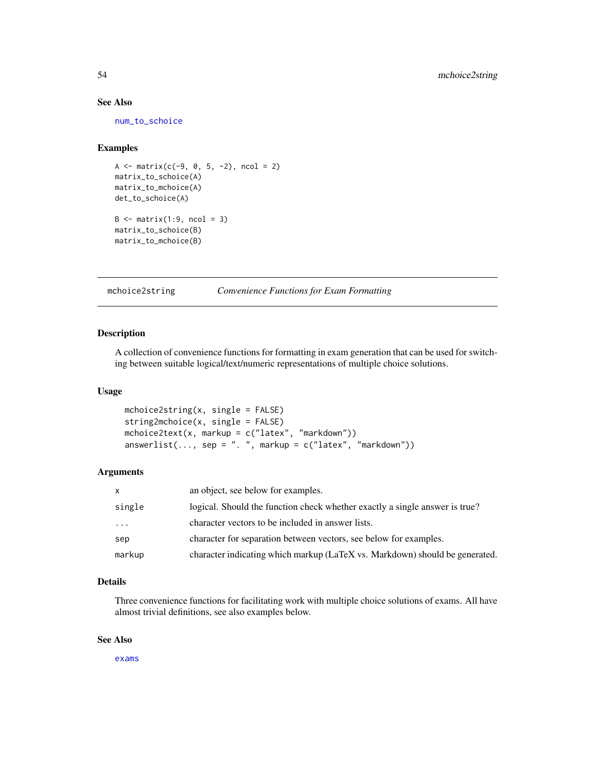## See Also

[num\\_to\\_schoice](#page-62-0)

## Examples

```
A \leq - matrix(c(-9, 0, 5, -2), ncol = 2)
matrix_to_schoice(A)
matrix_to_mchoice(A)
det_to_schoice(A)
B \leftarrow matrix(1:9, ncol = 3)matrix_to_schoice(B)
matrix_to_mchoice(B)
```
## mchoice2string *Convenience Functions for Exam Formatting*

#### Description

A collection of convenience functions for formatting in exam generation that can be used for switching between suitable logical/text/numeric representations of multiple choice solutions.

## Usage

```
mchoice2string(x, single = FALSE)
string2mchoice(x, single = FALSE)
mchoice2text(x, markup = c("latex", "markdown"))answerlist(..., sep = ". ", markup = c("later", "markdown"))
```
## Arguments

| $\mathsf{x}$ | an object, see below for examples.                                          |
|--------------|-----------------------------------------------------------------------------|
| single       | logical. Should the function check whether exactly a single answer is true? |
| .            | character vectors to be included in answer lists.                           |
| sep          | character for separation between vectors, see below for examples.           |
| markup       | character indicating which markup (LaTeX vs. Markdown) should be generated. |

## Details

Three convenience functions for facilitating work with multiple choice solutions of exams. All have almost trivial definitions, see also examples below.

## See Also

[exams](#page-1-0)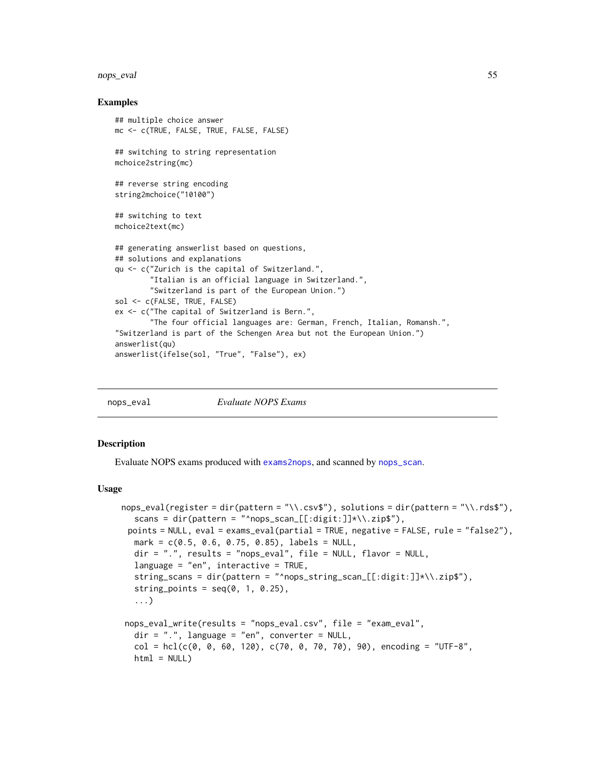#### nops\_eval 55

### Examples

```
## multiple choice answer
mc <- c(TRUE, FALSE, TRUE, FALSE, FALSE)
## switching to string representation
mchoice2string(mc)
## reverse string encoding
string2mchoice("10100")
## switching to text
mchoice2text(mc)
## generating answerlist based on questions,
## solutions and explanations
qu <- c("Zurich is the capital of Switzerland.",
        "Italian is an official language in Switzerland.",
        "Switzerland is part of the European Union.")
sol <- c(FALSE, TRUE, FALSE)
ex <- c("The capital of Switzerland is Bern.",
        "The four official languages are: German, French, Italian, Romansh.",
"Switzerland is part of the Schengen Area but not the European Union.")
answerlist(qu)
answerlist(ifelse(sol, "True", "False"), ex)
```
<span id="page-54-0"></span>

nops\_eval *Evaluate NOPS Exams*

#### **Description**

Evaluate NOPS exams produced with [exams2nops](#page-22-0), and scanned by [nops\\_scan](#page-60-0).

#### Usage

```
nops_eval(register = dir(pattern = "\\.csv$"), solutions = dir(pattern = "\\.rds$"),
  scans = dir(pattern = "^nops_scan_[[:digit:]]*\\.zip$"),
 points = NULL, eval = exams_eval(partial = TRUE, negative = FALSE, rule = "false2"),
  mark = c(0.5, 0.6, 0.75, 0.85), labels = NULL,
  dir = ".", results = "nops_eval", file = NULL, flavor = NULL,
  language = "en", interactive = TRUE,
  string_scans = dir(pattern = "^nops_string_scan_[[:digit:]]*\\.zip$"),
  string_points = seq(0, 1, 0.25),
  ...)
nops_eval_write(results = "nops_eval.csv", file = "exam_eval",
  dir = ".", language = "en", converter = NULL,
  col = hcl(c(0, 0, 60, 120), c(70, 0, 70, 70), 90), encoding = "UTF-8",
  html = NULL)
```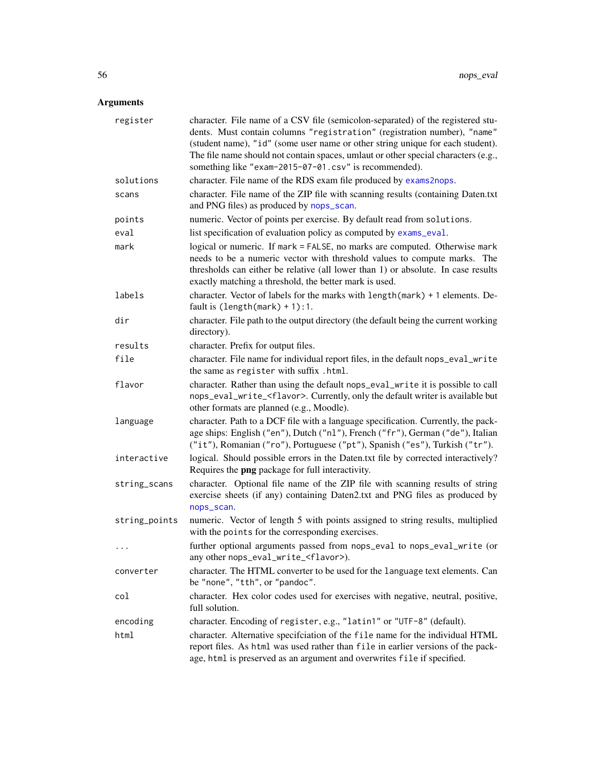| register      | character. File name of a CSV file (semicolon-separated) of the registered stu-<br>dents. Must contain columns "registration" (registration number), "name"<br>(student name), "id" (some user name or other string unique for each student).<br>The file name should not contain spaces, umlaut or other special characters (e.g.,<br>something like "exam-2015-07-01.csv" is recommended). |
|---------------|----------------------------------------------------------------------------------------------------------------------------------------------------------------------------------------------------------------------------------------------------------------------------------------------------------------------------------------------------------------------------------------------|
| solutions     | character. File name of the RDS exam file produced by exams2nops.                                                                                                                                                                                                                                                                                                                            |
| scans         | character. File name of the ZIP file with scanning results (containing Daten.txt<br>and PNG files) as produced by nops_scan.                                                                                                                                                                                                                                                                 |
| points        | numeric. Vector of points per exercise. By default read from solutions.                                                                                                                                                                                                                                                                                                                      |
| eval          | list specification of evaluation policy as computed by exams_eval.                                                                                                                                                                                                                                                                                                                           |
| mark          | logical or numeric. If mark = FALSE, no marks are computed. Otherwise mark<br>needs to be a numeric vector with threshold values to compute marks. The<br>thresholds can either be relative (all lower than 1) or absolute. In case results<br>exactly matching a threshold, the better mark is used.                                                                                        |
| labels        | character. Vector of labels for the marks with length (mark) + 1 elements. De-<br>fault is $(length(maxk) + 1):1.$                                                                                                                                                                                                                                                                           |
| dir           | character. File path to the output directory (the default being the current working<br>directory).                                                                                                                                                                                                                                                                                           |
| results       | character. Prefix for output files.                                                                                                                                                                                                                                                                                                                                                          |
| file          | character. File name for individual report files, in the default nops_eval_write<br>the same as register with suffix .html.                                                                                                                                                                                                                                                                  |
| flavor        | character. Rather than using the default nops_eval_write it is possible to call<br>nops_eval_write_ <flavor>. Currently, only the default writer is available but<br/>other formats are planned (e.g., Moodle).</flavor>                                                                                                                                                                     |
| language      | character. Path to a DCF file with a language specification. Currently, the pack-<br>age ships: English ("en"), Dutch ("n1"), French ("fr"), German ("de"), Italian<br>("it"), Romanian ("ro"), Portuguese ("pt"), Spanish ("es"), Turkish ("tr").                                                                                                                                           |
| interactive   | logical. Should possible errors in the Daten.txt file by corrected interactively?<br>Requires the png package for full interactivity.                                                                                                                                                                                                                                                        |
| string_scans  | character. Optional file name of the ZIP file with scanning results of string<br>exercise sheets (if any) containing Daten2.txt and PNG files as produced by<br>nops_scan.                                                                                                                                                                                                                   |
| string_points | numeric. Vector of length 5 with points assigned to string results, multiplied<br>with the points for the corresponding exercises.                                                                                                                                                                                                                                                           |
| $\cdot$ .     | further optional arguments passed from nops_eval to nops_eval_write (or<br>any other nops_eval_write_ <flavor>).</flavor>                                                                                                                                                                                                                                                                    |
| converter     | character. The HTML converter to be used for the language text elements. Can<br>be "none", "tth", or "pandoc".                                                                                                                                                                                                                                                                               |
| col           | character. Hex color codes used for exercises with negative, neutral, positive,<br>full solution.                                                                                                                                                                                                                                                                                            |
| encoding      | character. Encoding of register, e.g., "latin1" or "UTF-8" (default).                                                                                                                                                                                                                                                                                                                        |
| html          | character. Alternative specification of the file name for the individual HTML<br>report files. As html was used rather than file in earlier versions of the pack-<br>age, html is preserved as an argument and overwrites file if specified.                                                                                                                                                 |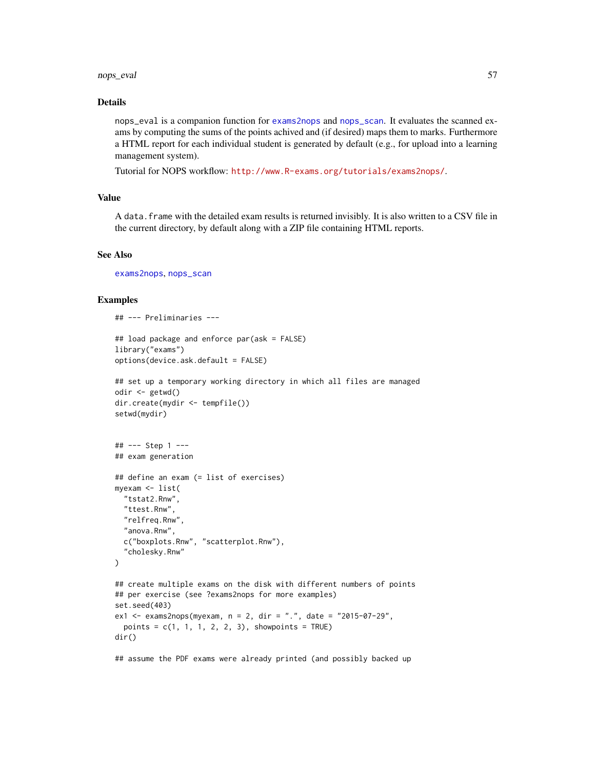#### nops\_eval 57

## Details

nops\_eval is a companion function for [exams2nops](#page-22-0) and [nops\\_scan](#page-60-0). It evaluates the scanned exams by computing the sums of the points achived and (if desired) maps them to marks. Furthermore a HTML report for each individual student is generated by default (e.g., for upload into a learning management system).

Tutorial for NOPS workflow: <http://www.R-exams.org/tutorials/exams2nops/>.

## Value

A data.frame with the detailed exam results is returned invisibly. It is also written to a CSV file in the current directory, by default along with a ZIP file containing HTML reports.

### See Also

[exams2nops](#page-22-0), [nops\\_scan](#page-60-0)

### Examples

```
## --- Preliminaries ---
## load package and enforce par(ask = FALSE)
library("exams")
options(device.ask.default = FALSE)
## set up a temporary working directory in which all files are managed
odir <- getwd()
dir.create(mydir <- tempfile())
setwd(mydir)
## --- Step 1 ---
## exam generation
## define an exam (= list of exercises)
myexam <- list(
  "tstat2.Rnw",
  "ttest.Rnw",
  "relfreq.Rnw",
  "anova.Rnw",
  c("boxplots.Rnw", "scatterplot.Rnw"),
  "cholesky.Rnw"
\mathcal{L}## create multiple exams on the disk with different numbers of points
## per exercise (see ?exams2nops for more examples)
set.seed(403)
ex1 <- exams2nops(myexam, n = 2, dir = ".", date = "2015-07-29",
  points = c(1, 1, 1, 2, 2, 3), showpoints = TRUE)
dir()
```
## assume the PDF exams were already printed (and possibly backed up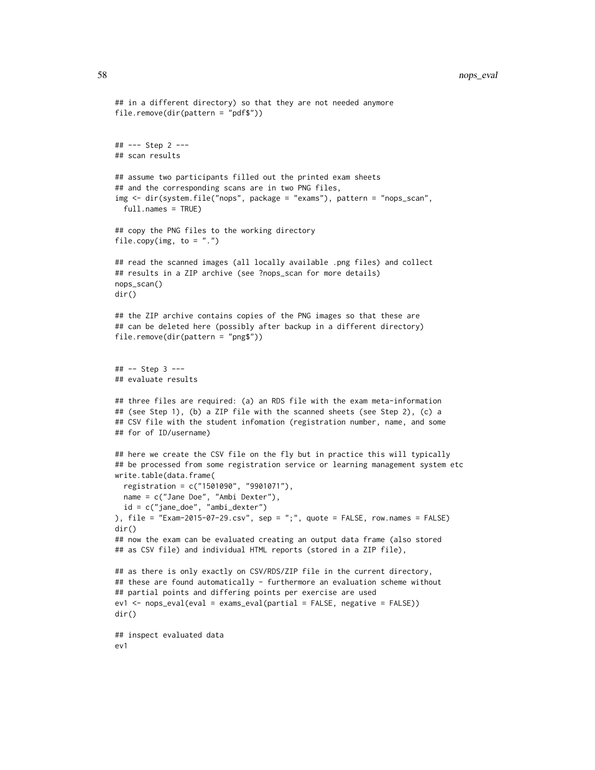```
## in a different directory) so that they are not needed anymore
file.remove(dir(pattern = "pdf$"))
## --- Step 2 ---
## scan results
## assume two participants filled out the printed exam sheets
## and the corresponding scans are in two PNG files,
img <- dir(system.file("nops", package = "exams"), pattern = "nops_scan",
 full.names = TRUE)
## copy the PNG files to the working directory
file.copy(img, to = ".")
## read the scanned images (all locally available .png files) and collect
## results in a ZIP archive (see ?nops_scan for more details)
nops_scan()
dir()
## the ZIP archive contains copies of the PNG images so that these are
## can be deleted here (possibly after backup in a different directory)
file.remove(dir(pattern = "png$"))
## -- Step 3 ---
## evaluate results
## three files are required: (a) an RDS file with the exam meta-information
## (see Step 1), (b) a ZIP file with the scanned sheets (see Step 2), (c) a
## CSV file with the student infomation (registration number, name, and some
## for of ID/username)
## here we create the CSV file on the fly but in practice this will typically
## be processed from some registration service or learning management system etc
write.table(data.frame(
 registration = c("1501090", "9901071"),
 name = c("Jane Doe", "Ambi Dexter"),
 id = c("jane_doe", "ambi_dexter")
), file = "Exam-2015-07-29.csv", sep = ";", quote = FALSE, row.names = FALSE)
dir()
## now the exam can be evaluated creating an output data frame (also stored
## as CSV file) and individual HTML reports (stored in a ZIP file),
## as there is only exactly on CSV/RDS/ZIP file in the current directory,
## these are found automatically - furthermore an evaluation scheme without
## partial points and differing points per exercise are used
ev1 <- nops_eval(eval = exams_eval(partial = FALSE, negative = FALSE))
dir()
## inspect evaluated data
ev1
```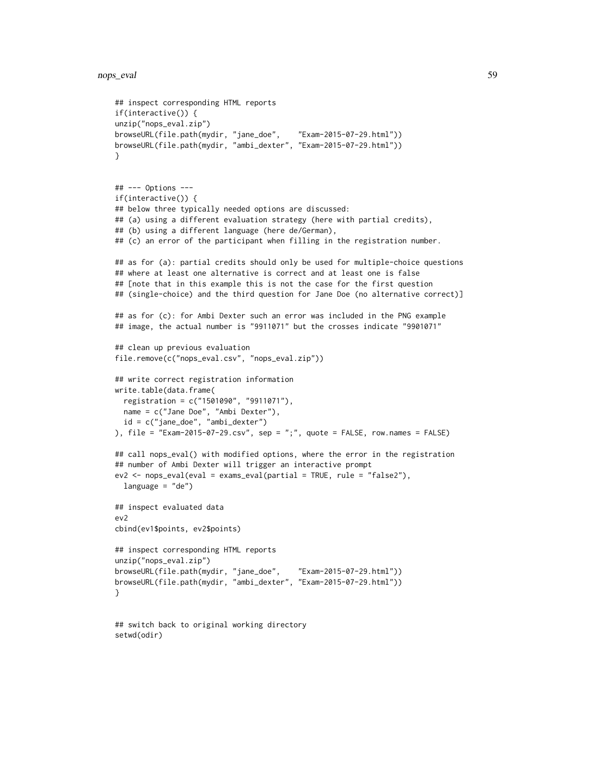```
nops_eval 59
```
setwd(odir)

```
## inspect corresponding HTML reports
if(interactive()) {
unzip("nops_eval.zip")
browseURL(file.path(mydir, "jane_doe", "Exam-2015-07-29.html"))
browseURL(file.path(mydir, "ambi_dexter", "Exam-2015-07-29.html"))
}
## --- Options ---
if(interactive()) {
## below three typically needed options are discussed:
## (a) using a different evaluation strategy (here with partial credits),
## (b) using a different language (here de/German),
## (c) an error of the participant when filling in the registration number.
## as for (a): partial credits should only be used for multiple-choice questions
## where at least one alternative is correct and at least one is false
## [note that in this example this is not the case for the first question
## (single-choice) and the third question for Jane Doe (no alternative correct)]
## as for (c): for Ambi Dexter such an error was included in the PNG example
## image, the actual number is "9911071" but the crosses indicate "9901071"
## clean up previous evaluation
file.remove(c("nops_eval.csv", "nops_eval.zip"))
## write correct registration information
write.table(data.frame(
  registration = c("1501090", "9911071"),
  name = c("Jane Doe", "Ambi Dexter"),
  id = c("jane_doe", "ambi_dexter")
), file = "Exam-2015-07-29.csv", sep = ";", quote = FALSE, row.names = FALSE)
## call nops_eval() with modified options, where the error in the registration
## number of Ambi Dexter will trigger an interactive prompt
ev2 <- nops_eval(eval = exams_eval(partial = TRUE, rule = "false2"),
  language = "de")
## inspect evaluated data
ev2
cbind(ev1$points, ev2$points)
## inspect corresponding HTML reports
unzip("nops_eval.zip")
browseURL(file.path(mydir, "jane_doe", "Exam-2015-07-29.html"))
browseURL(file.path(mydir, "ambi_dexter", "Exam-2015-07-29.html"))
}
## switch back to original working directory
```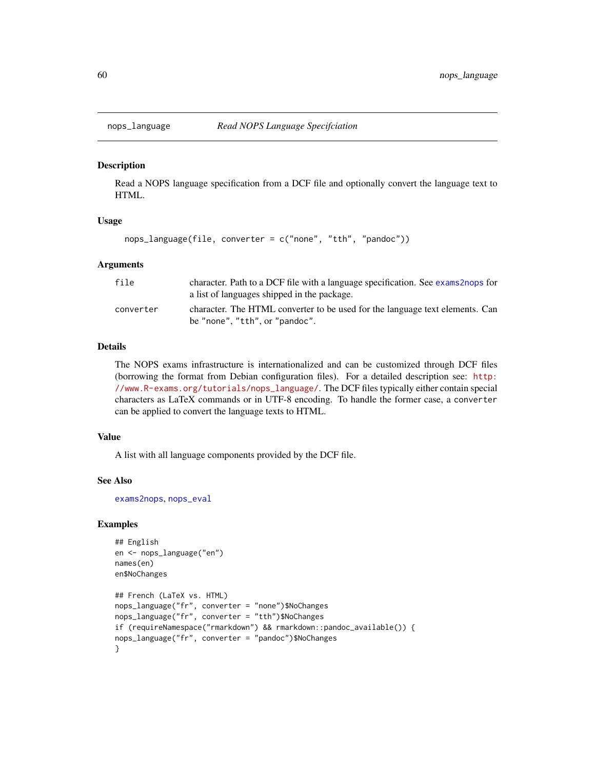## Description

Read a NOPS language specification from a DCF file and optionally convert the language text to HTML.

### Usage

```
nops_language(file, converter = c("none", "tth", "pandoc"))
```
### Arguments

| file      | character. Path to a DCF file with a language specification. See exams 2nops for<br>a list of languages shipped in the package. |
|-----------|---------------------------------------------------------------------------------------------------------------------------------|
| converter | character. The HTML converter to be used for the language text elements. Can<br>be "none", "tth", or "pandoc".                  |

## Details

The NOPS exams infrastructure is internationalized and can be customized through DCF files (borrowing the format from Debian configuration files). For a detailed description see: [http:](http://www.R-exams.org/tutorials/nops_language/) [//www.R-exams.org/tutorials/nops\\_language/](http://www.R-exams.org/tutorials/nops_language/). The DCF files typically either contain special characters as LaTeX commands or in UTF-8 encoding. To handle the former case, a converter can be applied to convert the language texts to HTML.

## Value

A list with all language components provided by the DCF file.

## See Also

[exams2nops](#page-22-0), [nops\\_eval](#page-54-0)

```
## English
en <- nops_language("en")
names(en)
en$NoChanges
## French (LaTeX vs. HTML)
nops_language("fr", converter = "none")$NoChanges
nops_language("fr", converter = "tth")$NoChanges
if (requireNamespace("rmarkdown") && rmarkdown::pandoc_available()) {
nops_language("fr", converter = "pandoc")$NoChanges
}
```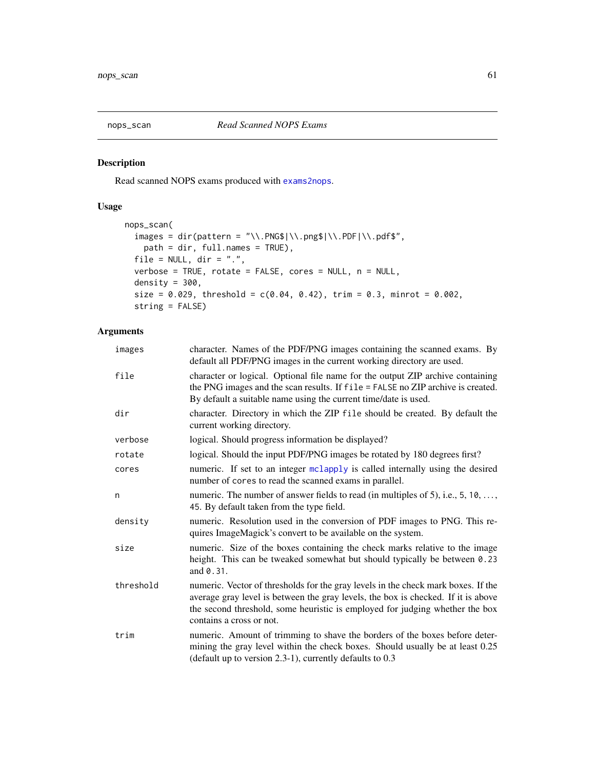<span id="page-60-0"></span>

## Description

Read scanned NOPS exams produced with [exams2nops](#page-22-0).

## Usage

```
nops_scan(
  images = dir(path = "\\).PNG$|\\\.PDS\|\\.PDF\\.\ndf$",path = dir, full.names = TRUE),
  file = NULL, dir = ".",
  verbose = TRUE, rotate = FALSE, cores = NULL, n = NULL,
  density = 300,
  size = 0.029, threshold = c(0.04, 0.42), trim = 0.3, minrot = 0.002,
  string = FALSE)
```

| images    | character. Names of the PDF/PNG images containing the scanned exams. By<br>default all PDF/PNG images in the current working directory are used.                                                                                                                                   |
|-----------|------------------------------------------------------------------------------------------------------------------------------------------------------------------------------------------------------------------------------------------------------------------------------------|
| file      | character or logical. Optional file name for the output ZIP archive containing<br>the PNG images and the scan results. If file = FALSE no ZIP archive is created.<br>By default a suitable name using the current time/date is used.                                               |
| dir       | character. Directory in which the ZIP file should be created. By default the<br>current working directory.                                                                                                                                                                         |
| verbose   | logical. Should progress information be displayed?                                                                                                                                                                                                                                 |
| rotate    | logical. Should the input PDF/PNG images be rotated by 180 degrees first?                                                                                                                                                                                                          |
| cores     | numeric. If set to an integer mclapply is called internally using the desired<br>number of cores to read the scanned exams in parallel.                                                                                                                                            |
| n         | numeric. The number of answer fields to read (in multiples of 5), i.e., $5, 10, \ldots$ ,<br>45. By default taken from the type field.                                                                                                                                             |
| density   | numeric. Resolution used in the conversion of PDF images to PNG. This re-<br>quires ImageMagick's convert to be available on the system.                                                                                                                                           |
| size      | numeric. Size of the boxes containing the check marks relative to the image<br>height. This can be tweaked somewhat but should typically be between 0.23<br>and 0.31.                                                                                                              |
| threshold | numeric. Vector of thresholds for the gray levels in the check mark boxes. If the<br>average gray level is between the gray levels, the box is checked. If it is above<br>the second threshold, some heuristic is employed for judging whether the box<br>contains a cross or not. |
| trim      | numeric. Amount of trimming to shave the borders of the boxes before deter-<br>mining the gray level within the check boxes. Should usually be at least 0.25<br>(default up to version $2.3-1$ ), currently defaults to $0.3$                                                      |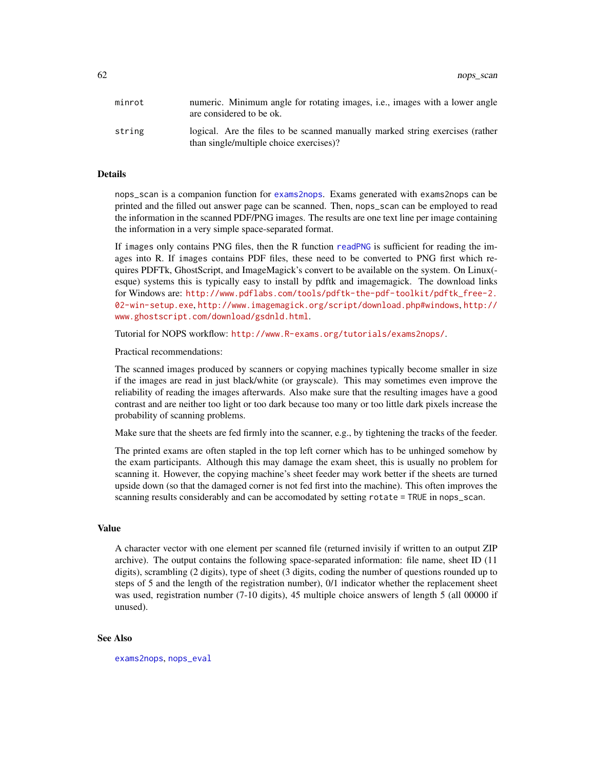| minrot | numeric. Minimum angle for rotating images, <i>i.e.</i> , images with a lower angle<br>are considered to be ok.          |
|--------|--------------------------------------------------------------------------------------------------------------------------|
| string | logical. Are the files to be scanned manually marked string exercises (rather<br>than single/multiple choice exercises)? |

#### Details

nops\_scan is a companion function for [exams2nops](#page-22-0). Exams generated with exams2nops can be printed and the filled out answer page can be scanned. Then, nops\_scan can be employed to read the information in the scanned PDF/PNG images. The results are one text line per image containing the information in a very simple space-separated format.

If images only contains PNG files, then the R function [readPNG](#page-0-0) is sufficient for reading the images into R. If images contains PDF files, these need to be converted to PNG first which requires PDFTk, GhostScript, and ImageMagick's convert to be available on the system. On Linux( esque) systems this is typically easy to install by pdftk and imagemagick. The download links for Windows are: [http://www.pdflabs.com/tools/pdftk-the-pdf-toolkit/pdftk\\_free-2.](http://www.pdflabs.com/tools/pdftk-the-pdf-toolkit/pdftk_free-2.02-win-setup.exe) [02-win-setup.exe](http://www.pdflabs.com/tools/pdftk-the-pdf-toolkit/pdftk_free-2.02-win-setup.exe), <http://www.imagemagick.org/script/download.php#windows>, [http://](http://www.ghostscript.com/download/gsdnld.html) [www.ghostscript.com/download/gsdnld.html](http://www.ghostscript.com/download/gsdnld.html).

Tutorial for NOPS workflow: <http://www.R-exams.org/tutorials/exams2nops/>.

Practical recommendations:

The scanned images produced by scanners or copying machines typically become smaller in size if the images are read in just black/white (or grayscale). This may sometimes even improve the reliability of reading the images afterwards. Also make sure that the resulting images have a good contrast and are neither too light or too dark because too many or too little dark pixels increase the probability of scanning problems.

Make sure that the sheets are fed firmly into the scanner, e.g., by tightening the tracks of the feeder.

The printed exams are often stapled in the top left corner which has to be unhinged somehow by the exam participants. Although this may damage the exam sheet, this is usually no problem for scanning it. However, the copying machine's sheet feeder may work better if the sheets are turned upside down (so that the damaged corner is not fed first into the machine). This often improves the scanning results considerably and can be accomodated by setting rotate = TRUE in nops\_scan.

#### Value

A character vector with one element per scanned file (returned invisily if written to an output ZIP archive). The output contains the following space-separated information: file name, sheet ID (11 digits), scrambling (2 digits), type of sheet (3 digits, coding the number of questions rounded up to steps of 5 and the length of the registration number), 0/1 indicator whether the replacement sheet was used, registration number (7-10 digits), 45 multiple choice answers of length 5 (all 00000 if unused).

#### See Also

[exams2nops](#page-22-0), [nops\\_eval](#page-54-0)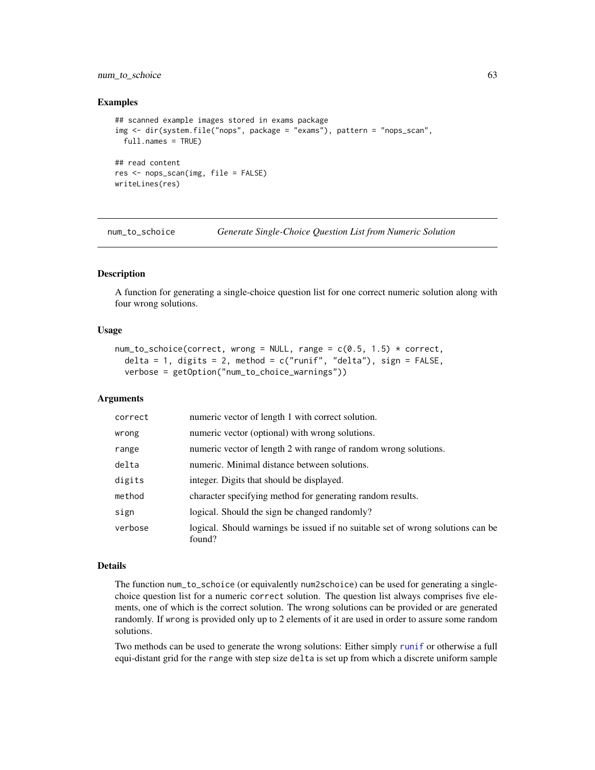## num\_to\_schoice 63

### Examples

```
## scanned example images stored in exams package
img <- dir(system.file("nops", package = "exams"), pattern = "nops_scan",
  full.names = TRUE)
## read content
res <- nops_scan(img, file = FALSE)
writeLines(res)
```
<span id="page-62-0"></span>num\_to\_schoice *Generate Single-Choice Question List from Numeric Solution*

#### Description

A function for generating a single-choice question list for one correct numeric solution along with four wrong solutions.

### Usage

```
num_to_schoice(correct, wrong = NULL, range = c(0.5, 1.5) * correct,
  delta = 1, digits = 2, method = c("runif", "delta"), sign = FALSE,verbose = getOption("num_to_choice_warnings"))
```
#### Arguments

| correct | numeric vector of length 1 with correct solution.                                         |
|---------|-------------------------------------------------------------------------------------------|
| wrong   | numeric vector (optional) with wrong solutions.                                           |
| range   | numeric vector of length 2 with range of random wrong solutions.                          |
| delta   | numeric. Minimal distance between solutions.                                              |
| digits  | integer. Digits that should be displayed.                                                 |
| method  | character specifying method for generating random results.                                |
| sign    | logical. Should the sign be changed randomly?                                             |
| verbose | logical. Should warnings be issued if no suitable set of wrong solutions can be<br>found? |

### Details

The function num\_to\_schoice (or equivalently num2schoice) can be used for generating a singlechoice question list for a numeric correct solution. The question list always comprises five elements, one of which is the correct solution. The wrong solutions can be provided or are generated randomly. If wrong is provided only up to 2 elements of it are used in order to assure some random solutions.

Two methods can be used to generate the wrong solutions: Either simply [runif](#page-0-0) or otherwise a full equi-distant grid for the range with step size delta is set up from which a discrete uniform sample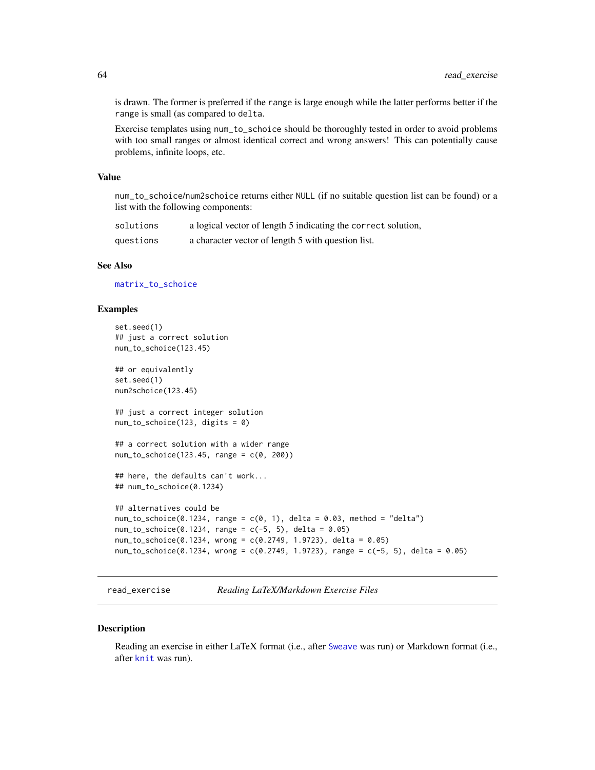is drawn. The former is preferred if the range is large enough while the latter performs better if the range is small (as compared to delta.

Exercise templates using num\_to\_schoice should be thoroughly tested in order to avoid problems with too small ranges or almost identical correct and wrong answers! This can potentially cause problems, infinite loops, etc.

## Value

num\_to\_schoice/num2schoice returns either NULL (if no suitable question list can be found) or a list with the following components:

| solutions | a logical vector of length 5 indicating the correct solution, |
|-----------|---------------------------------------------------------------|
| questions | a character vector of length 5 with question list.            |

## See Also

[matrix\\_to\\_schoice](#page-51-0)

### Examples

```
set.seed(1)
## just a correct solution
num_to_schoice(123.45)
## or equivalently
set.seed(1)
num2schoice(123.45)
## just a correct integer solution
num_to_schoice(123, digits = 0)
## a correct solution with a wider range
num_to_schoice(123.45, range = c(0, 200))
## here, the defaults can't work...
## num_to_schoice(0.1234)
## alternatives could be
num_to_schoice(0.1234, range = c(0, 1), delta = 0.03, method = "delta")num_to_schoice(0.1234, range = c(-5, 5), delta = 0.05)num_to_schoice(0.1234, wrong = c(0.2749, 1.9723), delta = 0.05)
num_to_schoice(0.1234, wrong = c(0.2749, 1.9723), range = c(-5, 5), delta = 0.05)
```
<span id="page-63-0"></span>read\_exercise *Reading LaTeX/Markdown Exercise Files*

### Description

Reading an exercise in either LaTeX format (i.e., after [Sweave](#page-0-0) was run) or Markdown format (i.e., after [knit](#page-0-0) was run).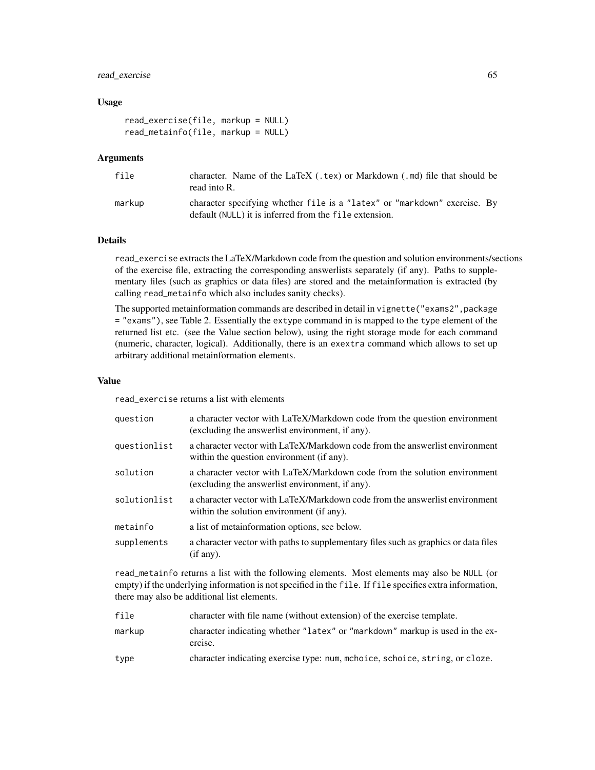## read\_exercise 65

## Usage

```
read_exercise(file, markup = NULL)
read_metainfo(file, markup = NULL)
```
### Arguments

| file   | character. Name of the LaTeX (.tex) or Markdown (.md) file that should be<br>read into R.                                           |
|--------|-------------------------------------------------------------------------------------------------------------------------------------|
| markup | character specifying whether file is a "latex" or "markdown" exercise. By<br>default (NULL) it is inferred from the file extension. |

## Details

read\_exercise extracts the LaTeX/Markdown code from the question and solution environments/sections of the exercise file, extracting the corresponding answerlists separately (if any). Paths to supplementary files (such as graphics or data files) are stored and the metainformation is extracted (by calling read\_metainfo which also includes sanity checks).

The supported metainformation commands are described in detail in vignette ("exams2", package = "exams"), see Table 2. Essentially the extype command in is mapped to the type element of the returned list etc. (see the Value section below), using the right storage mode for each command (numeric, character, logical). Additionally, there is an exextra command which allows to set up arbitrary additional metainformation elements.

## Value

read\_exercise returns a list with elements

| question     | a character vector with LaTeX/Markdown code from the question environment<br>(excluding the answerlist environment, if any). |
|--------------|------------------------------------------------------------------------------------------------------------------------------|
| questionlist | a character vector with LaTeX/Markdown code from the answerlist environment<br>within the question environment (if any).     |
| solution     | a character vector with LaTeX/Markdown code from the solution environment<br>(excluding the answerlist environment, if any). |
| solutionlist | a character vector with LaTeX/Markdown code from the answerlist environment<br>within the solution environment (if any).     |
| metainfo     | a list of metainformation options, see below.                                                                                |
| supplements  | a character vector with paths to supplementary files such as graphics or data files<br>(if any).                             |

read\_metainfo returns a list with the following elements. Most elements may also be NULL (or empty) if the underlying information is not specified in the file. If file specifies extra information, there may also be additional list elements.

| file   | character with file name (without extension) of the exercise template.                  |
|--------|-----------------------------------------------------------------------------------------|
| markup | character indicating whether "latex" or "markdown" markup is used in the ex-<br>ercise. |
| type   | character indicating exercise type: num, mchoice, schoice, string, or cloze.            |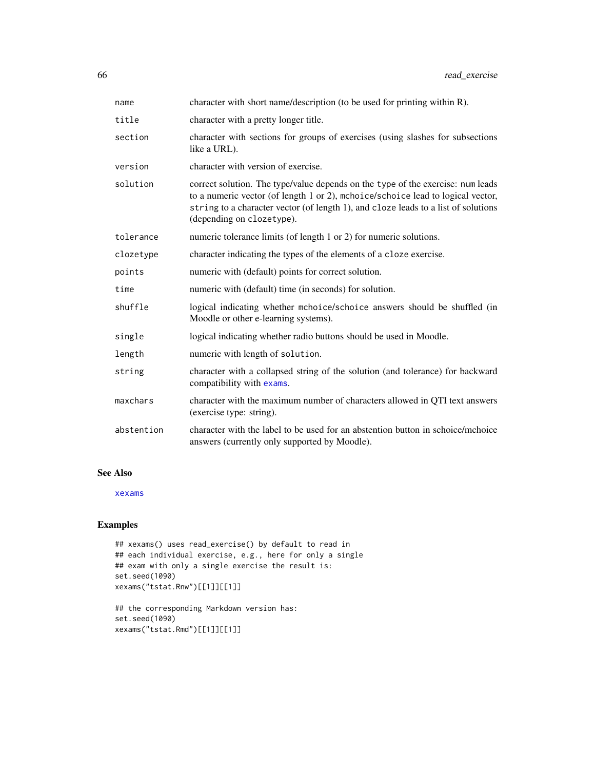| name       | character with short name/description (to be used for printing within R).                                                                                                                                                                                                             |
|------------|---------------------------------------------------------------------------------------------------------------------------------------------------------------------------------------------------------------------------------------------------------------------------------------|
| title      | character with a pretty longer title.                                                                                                                                                                                                                                                 |
| section    | character with sections for groups of exercises (using slashes for subsections<br>like a URL).                                                                                                                                                                                        |
| version    | character with version of exercise.                                                                                                                                                                                                                                                   |
| solution   | correct solution. The type/value depends on the type of the exercise: num leads<br>to a numeric vector (of length 1 or 2), mchoice/schoice lead to logical vector,<br>string to a character vector (of length 1), and cloze leads to a list of solutions<br>(depending on clozetype). |
| tolerance  | numeric tolerance limits (of length 1 or 2) for numeric solutions.                                                                                                                                                                                                                    |
| clozetype  | character indicating the types of the elements of a cloze exercise.                                                                                                                                                                                                                   |
| points     | numeric with (default) points for correct solution.                                                                                                                                                                                                                                   |
| time       | numeric with (default) time (in seconds) for solution.                                                                                                                                                                                                                                |
| shuffle    | logical indicating whether mchoice/schoice answers should be shuffled (in<br>Moodle or other e-learning systems).                                                                                                                                                                     |
| single     | logical indicating whether radio buttons should be used in Moodle.                                                                                                                                                                                                                    |
| length     | numeric with length of solution.                                                                                                                                                                                                                                                      |
| string     | character with a collapsed string of the solution (and tolerance) for backward<br>compatibility with exams.                                                                                                                                                                           |
| maxchars   | character with the maximum number of characters allowed in QTI text answers<br>(exercise type: string).                                                                                                                                                                               |
| abstention | character with the label to be used for an abstention button in schoice/mchoice<br>answers (currently only supported by Moodle).                                                                                                                                                      |

## See Also

[xexams](#page-70-0)

```
## xexams() uses read_exercise() by default to read in
## each individual exercise, e.g., here for only a single
## exam with only a single exercise the result is:
set.seed(1090)
xexams("tstat.Rnw")[[1]][[1]]
```

```
## the corresponding Markdown version has:
set.seed(1090)
xexams("tstat.Rmd")[[1]][[1]]
```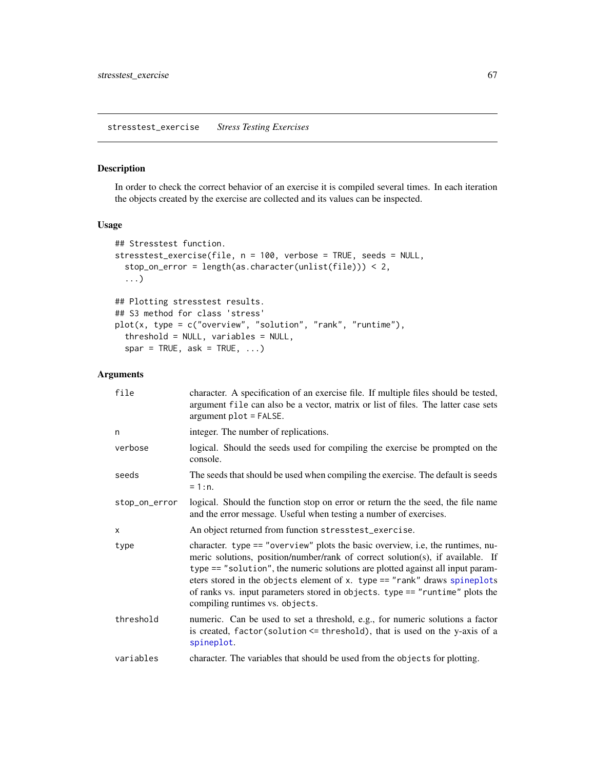## Description

In order to check the correct behavior of an exercise it is compiled several times. In each iteration the objects created by the exercise are collected and its values can be inspected.

## Usage

```
## Stresstest function.
stresstest_exercise(file, n = 100, verbose = TRUE, seeds = NULL,
  stop_on_error = length(as.character(unlist(file))) < 2,
  ...)
## Plotting stresstest results.
## S3 method for class 'stress'
plot(x, type = c("overview", "solution", "rank", "runtime"),
  threshold = NULL, variables = NULL,
  spar = TRUE, ask = TRUE, ...)
```

| file          | character. A specification of an exercise file. If multiple files should be tested,<br>argument file can also be a vector, matrix or list of files. The latter case sets<br>argument plot = FALSE.                                                                                                                                                                                                                                                 |
|---------------|----------------------------------------------------------------------------------------------------------------------------------------------------------------------------------------------------------------------------------------------------------------------------------------------------------------------------------------------------------------------------------------------------------------------------------------------------|
| n             | integer. The number of replications.                                                                                                                                                                                                                                                                                                                                                                                                               |
| verbose       | logical. Should the seeds used for compiling the exercise be prompted on the<br>console.                                                                                                                                                                                                                                                                                                                                                           |
| seeds         | The seeds that should be used when compiling the exercise. The default is seeds<br>$= 1:n.$                                                                                                                                                                                                                                                                                                                                                        |
| stop_on_error | logical. Should the function stop on error or return the the seed, the file name<br>and the error message. Useful when testing a number of exercises.                                                                                                                                                                                                                                                                                              |
| X             | An object returned from function stresstest_exercise.                                                                                                                                                                                                                                                                                                                                                                                              |
| type          | character. type == "overview" plots the basic overview, i.e, the runtimes, nu-<br>meric solutions, position/number/rank of correct solution(s), if available. If<br>type == "solution", the numeric solutions are plotted against all input param-<br>eters stored in the objects element of x. type == "rank" draws spineplots<br>of ranks vs. input parameters stored in objects. type == "runtime" plots the<br>compiling runtimes vs. objects. |
| threshold     | numeric. Can be used to set a threshold, e.g., for numeric solutions a factor<br>is created, $factor(solution \leq threshold)$ , that is used on the y-axis of a<br>spineplot.                                                                                                                                                                                                                                                                     |
| variables     | character. The variables that should be used from the objects for plotting.                                                                                                                                                                                                                                                                                                                                                                        |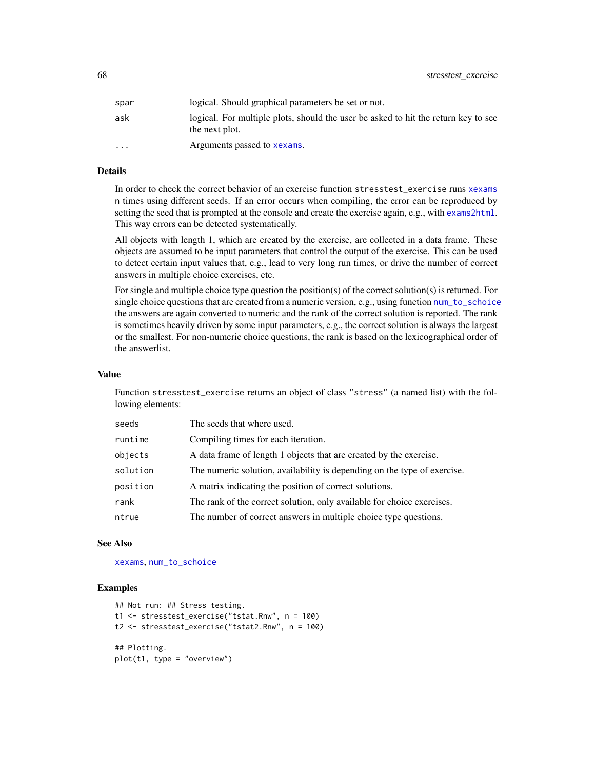| spar     | logical. Should graphical parameters be set or not.                                                  |
|----------|------------------------------------------------------------------------------------------------------|
| ask      | logical. For multiple plots, should the user be asked to hit the return key to see<br>the next plot. |
| $\cdots$ | Arguments passed to <b>xexams</b> .                                                                  |

## Details

In order to check the correct behavior of an exercise function stresstest\_exercise runs [xexams](#page-70-0) n times using different seeds. If an error occurs when compiling, the error can be reproduced by setting the seed that is prompted at the console and create the exercise again, e.g., with [exams2html](#page-12-0). This way errors can be detected systematically.

All objects with length 1, which are created by the exercise, are collected in a data frame. These objects are assumed to be input parameters that control the output of the exercise. This can be used to detect certain input values that, e.g., lead to very long run times, or drive the number of correct answers in multiple choice exercises, etc.

For single and multiple choice type question the position(s) of the correct solution(s) is returned. For single choice questions that are created from a numeric version, e.g., using function num to schoice the answers are again converted to numeric and the rank of the correct solution is reported. The rank is sometimes heavily driven by some input parameters, e.g., the correct solution is always the largest or the smallest. For non-numeric choice questions, the rank is based on the lexicographical order of the answerlist.

#### Value

Function stresstest\_exercise returns an object of class "stress" (a named list) with the following elements:

| seeds    | The seeds that where used.                                               |
|----------|--------------------------------------------------------------------------|
| runtime  | Compiling times for each iteration.                                      |
| objects  | A data frame of length 1 objects that are created by the exercise.       |
| solution | The numeric solution, availability is depending on the type of exercise. |
| position | A matrix indicating the position of correct solutions.                   |
| rank     | The rank of the correct solution, only available for choice exercises.   |
| ntrue    | The number of correct answers in multiple choice type questions.         |

#### See Also

[xexams](#page-70-0), [num\\_to\\_schoice](#page-62-0)

```
## Not run: ## Stress testing.
t1 <- stresstest_exercise("tstat.Rnw", n = 100)
t2 <- stresstest_exercise("tstat2.Rnw", n = 100)
## Plotting.
plot(t1, type = "overview")
```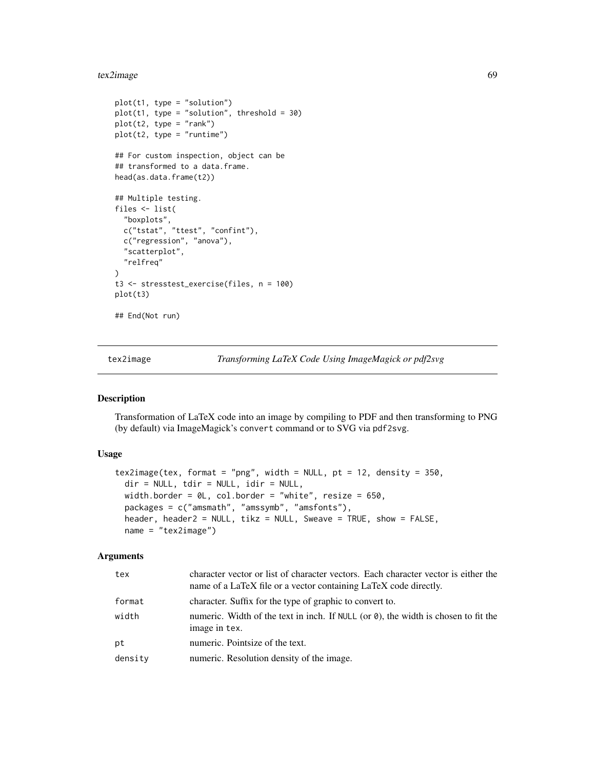#### tex2image 69

```
plot(t1, type = "solution")plot(t1, type = "solution", threshold = 30)plot(t2, type = "rank")
plot(t2, type = "runtime")## For custom inspection, object can be
## transformed to a data.frame.
head(as.data.frame(t2))
## Multiple testing.
files <- list(
  "boxplots",
  c("tstat", "ttest", "confint"),
  c("regression", "anova"),
  "scatterplot",
  "relfreq"
\mathcal{L}t3 <- stresstest_exercise(files, n = 100)
plot(t3)
## End(Not run)
```
<span id="page-68-0"></span>tex2image *Transforming LaTeX Code Using ImageMagick or pdf2svg*

## Description

Transformation of LaTeX code into an image by compiling to PDF and then transforming to PNG (by default) via ImageMagick's convert command or to SVG via pdf2svg.

## Usage

```
tex2image(tex, format = "png", width = NULL, pt = 12, density = 350,
  dir = NULL, tdir = NULL, idir = NULL,
 width.border = \thetaL, col.border = "white", resize = 650,
  packages = c("amsmath", "amssymb", "amsfonts"),
  header, header2 = NULL, tikz = NULL, Sweave = TRUE, show = FALSE,
  name = "tex2image")
```

| tex     | character vector or list of character vectors. Each character vector is either the<br>name of a LaTeX file or a vector containing LaTeX code directly. |
|---------|--------------------------------------------------------------------------------------------------------------------------------------------------------|
| format  | character. Suffix for the type of graphic to convert to.                                                                                               |
| width   | numeric. Width of the text in inch. If NULL (or $\theta$ ), the width is chosen to fit the<br>image in tex.                                            |
| pt      | numeric. Pointsize of the text.                                                                                                                        |
| density | numeric. Resolution density of the image.                                                                                                              |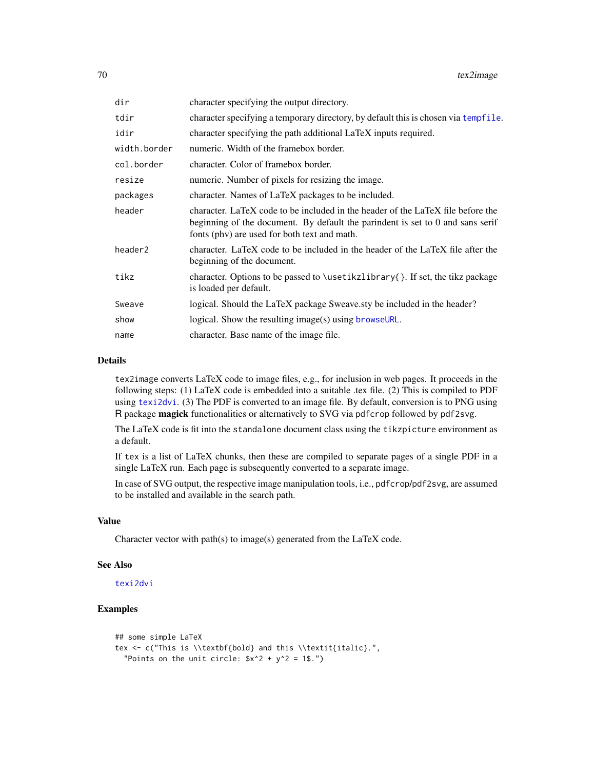| dir          | character specifying the output directory.                                                                                                                                                                        |
|--------------|-------------------------------------------------------------------------------------------------------------------------------------------------------------------------------------------------------------------|
| tdir         | character specifying a temporary directory, by default this is chosen via tempfile.                                                                                                                               |
| idir         | character specifying the path additional LaTeX inputs required.                                                                                                                                                   |
| width.border | numeric. Width of the framebox border.                                                                                                                                                                            |
| col.border   | character. Color of framebox border.                                                                                                                                                                              |
| resize       | numeric. Number of pixels for resizing the image.                                                                                                                                                                 |
| packages     | character. Names of LaTeX packages to be included.                                                                                                                                                                |
| header       | character. LaTeX code to be included in the header of the LaTeX file before the<br>beginning of the document. By default the parindent is set to 0 and sans serif<br>fonts (phy) are used for both text and math. |
| header2      | character. LaTeX code to be included in the header of the LaTeX file after the<br>beginning of the document.                                                                                                      |
| tikz         | character. Options to be passed to \usetikzlibrary{}. If set, the tikz package<br>is loaded per default.                                                                                                          |
| Sweave       | logical. Should the LaTeX package Sweave.sty be included in the header?                                                                                                                                           |
| show         | logical. Show the resulting image(s) using browseURL.                                                                                                                                                             |
| name         | character. Base name of the image file.                                                                                                                                                                           |
|              |                                                                                                                                                                                                                   |

## Details

tex2image converts LaTeX code to image files, e.g., for inclusion in web pages. It proceeds in the following steps: (1) LaTeX code is embedded into a suitable .tex file. (2) This is compiled to PDF using [texi2dvi](#page-0-0). (3) The PDF is converted to an image file. By default, conversion is to PNG using R package magick functionalities or alternatively to SVG via pdfcrop followed by pdf2svg.

The LaTeX code is fit into the standalone document class using the tikzpicture environment as a default.

If tex is a list of LaTeX chunks, then these are compiled to separate pages of a single PDF in a single LaTeX run. Each page is subsequently converted to a separate image.

In case of SVG output, the respective image manipulation tools, i.e., pdfcrop/pdf2svg, are assumed to be installed and available in the search path.

## Value

Character vector with path(s) to image(s) generated from the LaTeX code.

### See Also

[texi2dvi](#page-0-0)

```
## some simple LaTeX
tex <- c("This is \\textbf{bold} and this \\textit{italic}.",
  "Points on the unit circle: $x^2 + y^2 = 1.")
```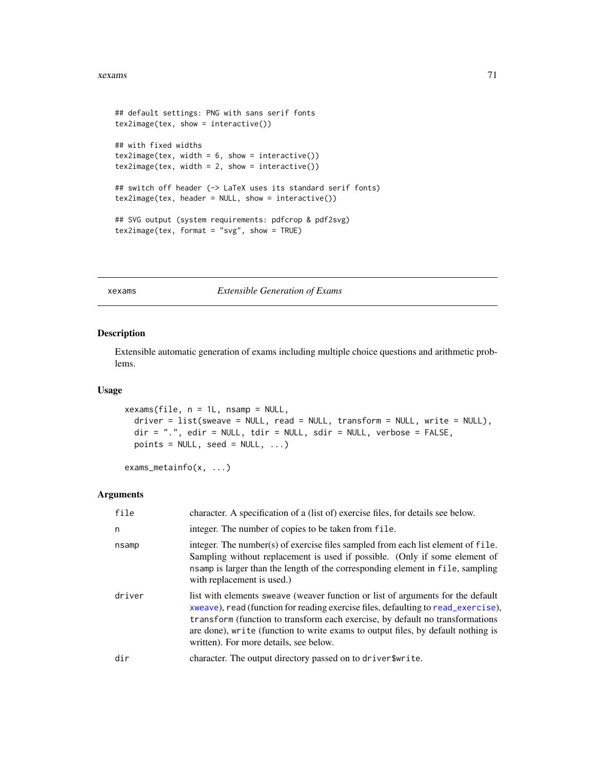#### xexams 71

```
## default settings: PNG with sans serif fonts
tex2image(tex, show = interactive())
## with fixed widths
tex2image(tex, width = 6, show = interactive())
text{lex2image(text, width = 2, show = interactive())}## switch off header (-> LaTeX uses its standard serif fonts)
tex2image(tex, header = NULL, show = interactive())
## SVG output (system requirements: pdfcrop & pdf2svg)
tex2image(tex, format = "svg", show = TRUE)
```
<span id="page-70-0"></span>xexams *Extensible Generation of Exams*

#### Description

Extensible automatic generation of exams including multiple choice questions and arithmetic problems.

## Usage

```
xexams(file, n = 1L, nsamp = NULL,
  \text{driver} = \text{list}(\text{sweave} = \text{NULL}, \text{read} = \text{NULL}, \text{transfer} = \text{NULL}, \text{write} = \text{NULL}),dir = ".", edir = NULL, tdir = NULL, sdir = NULL, verbose = FALSE,
  points = NULL, seed = NULL, ...)
```

```
exams_metainfo(x, ...)
```

| file   | character. A specification of a (list of) exercise files, for details see below.                                                                                                                                                                                                                                                                                                    |
|--------|-------------------------------------------------------------------------------------------------------------------------------------------------------------------------------------------------------------------------------------------------------------------------------------------------------------------------------------------------------------------------------------|
| n      | integer. The number of copies to be taken from file.                                                                                                                                                                                                                                                                                                                                |
| nsamp  | integer. The number(s) of exercise files sampled from each list element of file.<br>Sampling without replacement is used if possible. (Only if some element of<br>nsamp is larger than the length of the corresponding element in file, sampling<br>with replacement is used.)                                                                                                      |
| driver | list with elements sweave (weaver function or list of arguments for the default<br>xweave), read (function for reading exercise files, defaulting to read_exercise),<br>transform (function to transform each exercise, by default no transformations<br>are done), write (function to write exams to output files, by default nothing is<br>written). For more details, see below. |
| dir    | character. The output directory passed on to driver\$write.                                                                                                                                                                                                                                                                                                                         |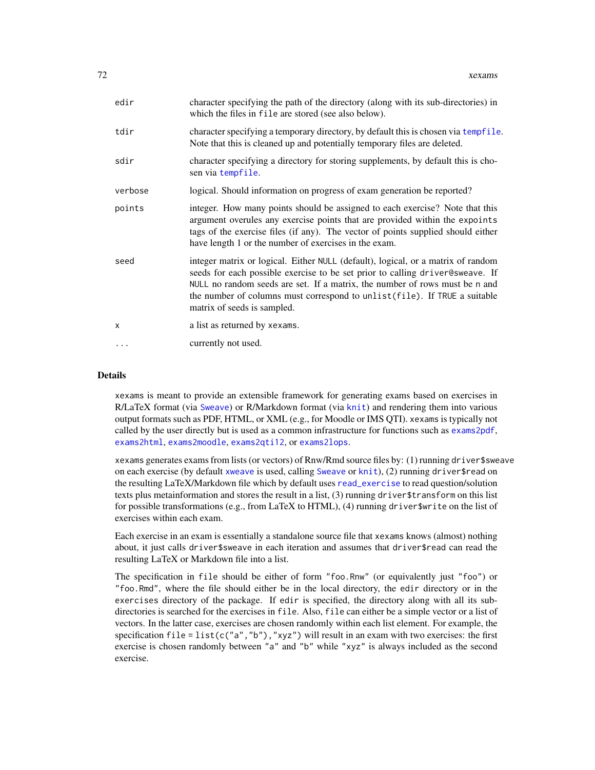| edir         | character specifying the path of the directory (along with its sub-directories) in<br>which the files in file are stored (see also below).                                                                                                                                                                                                                    |
|--------------|---------------------------------------------------------------------------------------------------------------------------------------------------------------------------------------------------------------------------------------------------------------------------------------------------------------------------------------------------------------|
| tdir         | character specifying a temporary directory, by default this is chosen via tempfile.<br>Note that this is cleaned up and potentially temporary files are deleted.                                                                                                                                                                                              |
| sdir         | character specifying a directory for storing supplements, by default this is cho-<br>sen via tempfile.                                                                                                                                                                                                                                                        |
| verbose      | logical. Should information on progress of exam generation be reported?                                                                                                                                                                                                                                                                                       |
| points       | integer. How many points should be assigned to each exercise? Note that this<br>argument overules any exercise points that are provided within the expoints<br>tags of the exercise files (if any). The vector of points supplied should either<br>have length 1 or the number of exercises in the exam.                                                      |
| seed         | integer matrix or logical. Either NULL (default), logical, or a matrix of random<br>seeds for each possible exercise to be set prior to calling driver@sweave. If<br>NULL no random seeds are set. If a matrix, the number of rows must be n and<br>the number of columns must correspond to unlist (file). If TRUE a suitable<br>matrix of seeds is sampled. |
| $\mathsf{x}$ | a list as returned by xexams.                                                                                                                                                                                                                                                                                                                                 |
| $\cdots$     | currently not used.                                                                                                                                                                                                                                                                                                                                           |

### Details

xexams is meant to provide an extensible framework for generating exams based on exercises in R/LaTeX format (via [Sweave](#page-0-0)) or R/Markdown format (via [knit](#page-0-0)) and rendering them into various output formats such as PDF, HTML, or XML (e.g., for Moodle or IMS QTI). xexams is typically not called by the user directly but is used as a common infrastructure for functions such as [exams2pdf](#page-30-0), [exams2html](#page-12-0), [exams2moodle](#page-18-0), [exams2qti12](#page-32-0), or [exams2lops](#page-15-0).

xexams generates exams from lists (or vectors) of Rnw/Rmd source files by: (1) running driver\$sweave on each exercise (by default [xweave](#page-73-0) is used, calling [Sweave](#page-0-0) or [knit](#page-0-0)), (2) running driver\$read on the resulting LaTeX/Markdown file which by default uses [read\\_exercise](#page-63-0) to read question/solution texts plus metainformation and stores the result in a list, (3) running driver\$transform on this list for possible transformations (e.g., from LaTeX to HTML), (4) running driver\$write on the list of exercises within each exam.

Each exercise in an exam is essentially a standalone source file that xexams knows (almost) nothing about, it just calls driver\$sweave in each iteration and assumes that driver\$read can read the resulting LaTeX or Markdown file into a list.

The specification in file should be either of form "foo.Rnw" (or equivalently just "foo") or "foo.Rmd", where the file should either be in the local directory, the edir directory or in the exercises directory of the package. If edir is specified, the directory along with all its subdirectories is searched for the exercises in file. Also, file can either be a simple vector or a list of vectors. In the latter case, exercises are chosen randomly within each list element. For example, the specification file = list(c("a","b"),"xyz") will result in an exam with two exercises: the first exercise is chosen randomly between "a" and "b" while "xyz" is always included as the second exercise.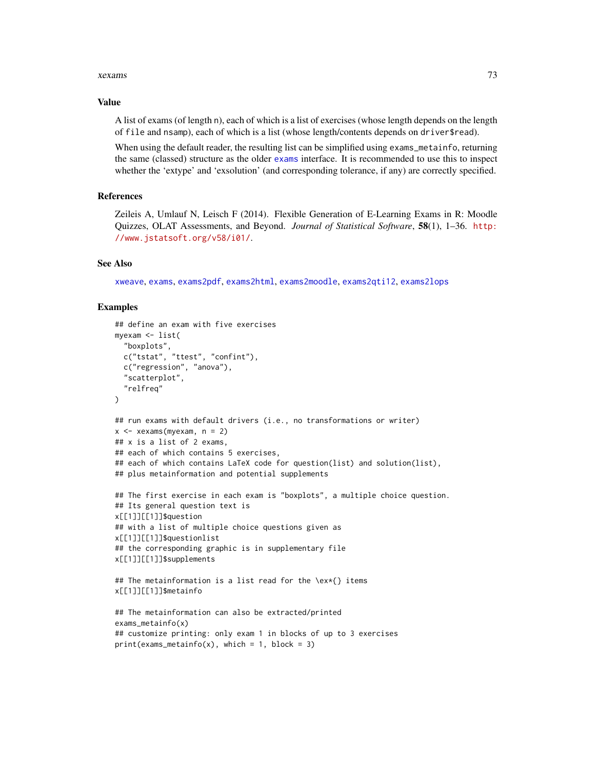#### <span id="page-72-0"></span>xexams 73

#### Value

A list of exams (of length n), each of which is a list of exercises (whose length depends on the length of file and nsamp), each of which is a list (whose length/contents depends on driver\$read).

When using the default reader, the resulting list can be simplified using exams\_metainfo, returning the same (classed) structure as the older [exams](#page-1-0) interface. It is recommended to use this to inspect whether the 'extype' and 'exsolution' (and corresponding tolerance, if any) are correctly specified.

## **References**

Zeileis A, Umlauf N, Leisch F (2014). Flexible Generation of E-Learning Exams in R: Moodle Quizzes, OLAT Assessments, and Beyond. *Journal of Statistical Software*, 58(1), 1–36. [http:](http://www.jstatsoft.org/v58/i01/) [//www.jstatsoft.org/v58/i01/](http://www.jstatsoft.org/v58/i01/).

## See Also

[xweave](#page-73-0), [exams](#page-1-0), [exams2pdf](#page-30-0), [exams2html](#page-12-0), [exams2moodle](#page-18-0), [exams2qti12](#page-32-0), [exams2lops](#page-15-0)

#### Examples

```
## define an exam with five exercises
myexam <- list(
  "boxplots",
  c("tstat", "ttest", "confint"),
  c("regression", "anova"),
  "scatterplot",
  "relfreq"
\lambda## run exams with default drivers (i.e., no transformations or writer)
x \le -xexams(myexam, n = 2)
## x is a list of 2 exams,
## each of which contains 5 exercises,
## each of which contains LaTeX code for question(list) and solution(list),
## plus metainformation and potential supplements
## The first exercise in each exam is "boxplots", a multiple choice question.
## Its general question text is
x[[1]][[1]]$question
## with a list of multiple choice questions given as
x[[1]][[1]]$questionlist
## the corresponding graphic is in supplementary file
x[[1]][[1]]$supplements
## The metainformation is a list read for the \ex*{} items
x[[1]][[1]]$metainfo
## The metainformation can also be extracted/printed
exams_metainfo(x)
## customize printing: only exam 1 in blocks of up to 3 exercises
print(exams_metainfo(x), which = 1, block = 3)
```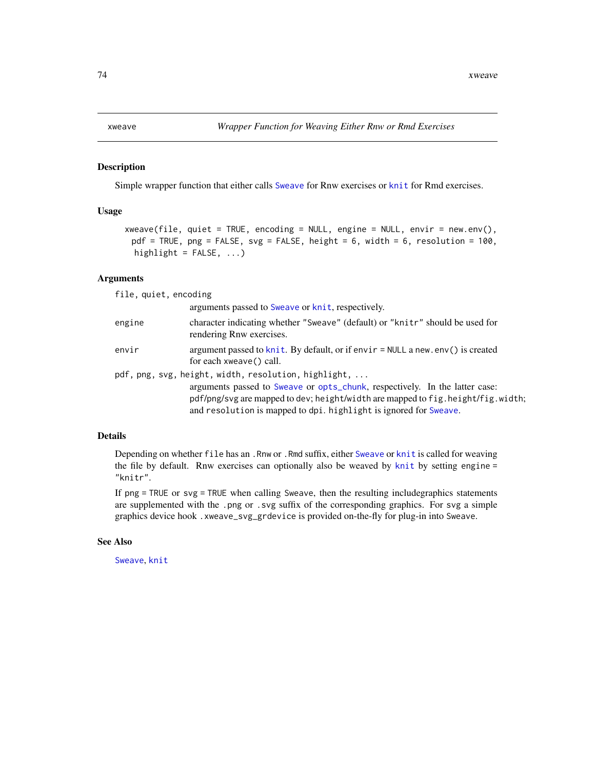<span id="page-73-1"></span><span id="page-73-0"></span>

### Description

Simple wrapper function that either calls [Sweave](#page-0-0) for Rnw exercises or [knit](#page-0-0) for Rmd exercises.

## Usage

```
xweave(file, quiet = TRUE, encoding = NULL, engine = NULL, envir = new.env(),
 pdf = TRUE, png = FALSE, svg = FALSE, height = 6, width = 6, resolution = 100,
 highlight = FALSE, ...)
```
## Arguments

file, quiet, encoding arguments passed to [Sweave](#page-0-0) or [knit](#page-0-0), respectively. engine character indicating whether "Sweave" (default) or "knitr" should be used for rendering Rnw exercises. envir argument passed to [knit](#page-0-0). By default, or if envir = NULL a new.env() is created for each xweave() call. pdf, png, svg, height, width, resol[ution, h](#page-0-0)ighlight, ... arguments passed to Sweave or [opts\\_chunk](#page-0-0), respectively. In the latter case: pdf/png/svg are mapped to dev; height/width are mapped to fig.height/fig.width; and resolution is mapped to dpi. highlight is ignored for [Sweave](#page-0-0).

#### Details

Depending on whether file has an .Rnw or .Rmd suffix, either [Sweave](#page-0-0) or [knit](#page-0-0) is called for weaving the file by default. Rnw exercises can optionally also be weaved by [knit](#page-0-0) by setting engine = "knitr".

If png = TRUE or svg = TRUE when calling Sweave, then the resulting includegraphics statements are supplemented with the .png or .svg suffix of the corresponding graphics. For svg a simple graphics device hook .xweave\_svg\_grdevice is provided on-the-fly for plug-in into Sweave.

## See Also

[Sweave](#page-0-0), [knit](#page-0-0)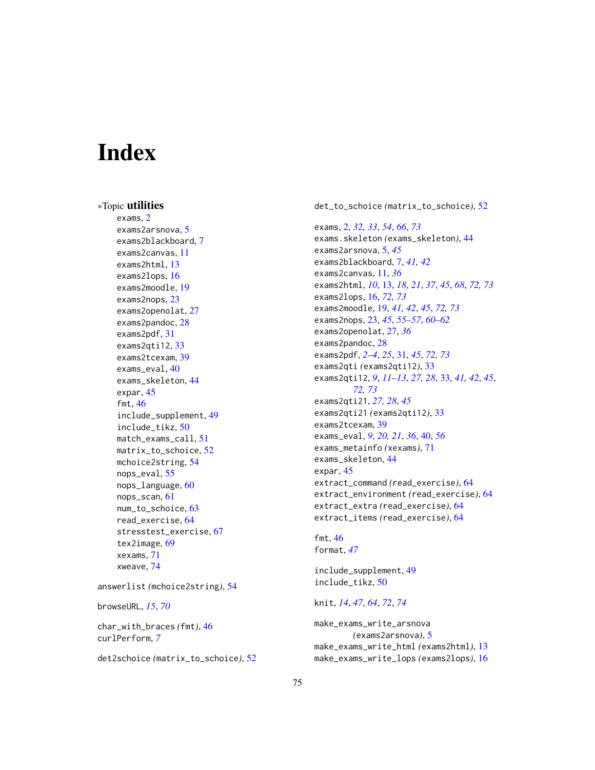# **Index**

∗Topic utilities exams, [2](#page-1-1) exams2arsnova, [5](#page-4-0) exams2blackboard, [7](#page-6-0) exams2canvas, [11](#page-10-0) exams2html, [13](#page-12-1) exams2lops, [16](#page-15-1) exams2moodle, [19](#page-18-1) exams2nops, [23](#page-22-0) exams2openolat, [27](#page-26-0) exams2pandoc, [28](#page-27-0) exams2pdf, [31](#page-30-1) exams2qti12, [33](#page-32-1) exams2tcexam, [39](#page-38-0) exams\_eval, [40](#page-39-0) exams\_skeleton, [44](#page-43-0) expar, [45](#page-44-0) fmt, [46](#page-45-0) include\_supplement, [49](#page-48-0) include\_tikz, [50](#page-49-0) match\_exams\_call, [51](#page-50-0) matrix\_to\_schoice, [52](#page-51-0) mchoice2string, [54](#page-53-0) nops\_eval, [55](#page-54-0) nops\_language, [60](#page-59-0) nops\_scan, [61](#page-60-0) num\_to\_schoice, [63](#page-62-0) read\_exercise, [64](#page-63-0) stresstest\_exercise, [67](#page-66-0) tex2image, [69](#page-68-0) xexams, [71](#page-70-0) xweave, [74](#page-73-1)

answerlist *(*mchoice2string*)*, [54](#page-53-0)

browseURL, *[15](#page-14-0)*, *[70](#page-69-0)*

char\_with\_braces *(*fmt*)*, [46](#page-45-0) curlPerform, *[7](#page-6-0)*

det2schoice *(*matrix\_to\_schoice*)*, [52](#page-51-0)

det\_to\_schoice *(*matrix\_to\_schoice*)*, [52](#page-51-0)

exams, [2,](#page-1-1) *[32,](#page-31-0) [33](#page-32-1)*, *[54](#page-53-0)*, *[66](#page-65-0)*, *[73](#page-72-0)* exams.skeleton *(*exams\_skeleton*)*, [44](#page-43-0) exams2arsnova, [5,](#page-4-0) *[45](#page-44-0)* exams2blackboard, [7,](#page-6-0) *[41,](#page-40-0) [42](#page-41-0)* exams2canvas, [11,](#page-10-0) *[36](#page-35-0)* exams2html, *[10](#page-9-0)*, [13,](#page-12-1) *[18](#page-17-0)*, *[21](#page-20-0)*, *[37](#page-36-0)*, *[45](#page-44-0)*, *[68](#page-67-0)*, *[72,](#page-71-0) [73](#page-72-0)* exams2lops, [16,](#page-15-1) *[72,](#page-71-0) [73](#page-72-0)* exams2moodle, [19,](#page-18-1) *[41,](#page-40-0) [42](#page-41-0)*, *[45](#page-44-0)*, *[72,](#page-71-0) [73](#page-72-0)* exams2nops, [23,](#page-22-0) *[45](#page-44-0)*, *[55](#page-54-0)[–57](#page-56-0)*, *[60](#page-59-0)[–62](#page-61-0)* exams2openolat, [27,](#page-26-0) *[36](#page-35-0)* exams2pandoc, [28](#page-27-0) exams2pdf, *[2](#page-1-1)[–4](#page-3-0)*, *[25](#page-24-0)*, [31,](#page-30-1) *[45](#page-44-0)*, *[72,](#page-71-0) [73](#page-72-0)* exams2qti *(*exams2qti12*)*, [33](#page-32-1) exams2qti12, *[9](#page-8-0)*, *[11](#page-10-0)[–13](#page-12-1)*, *[27,](#page-26-0) [28](#page-27-0)*, [33,](#page-32-1) *[41,](#page-40-0) [42](#page-41-0)*, *[45](#page-44-0)*, *[72,](#page-71-0) [73](#page-72-0)* exams2qti21, *[27,](#page-26-0) [28](#page-27-0)*, *[45](#page-44-0)* exams2qti21 *(*exams2qti12*)*, [33](#page-32-1) exams2tcexam, [39](#page-38-0) exams\_eval, *[9](#page-8-0)*, *[20,](#page-19-0) [21](#page-20-0)*, *[36](#page-35-0)*, [40,](#page-39-0) *[56](#page-55-0)* exams\_metainfo *(*xexams*)*, [71](#page-70-0) exams\_skeleton, [44](#page-43-0) expar, [45](#page-44-0) extract\_command *(*read\_exercise*)*, [64](#page-63-0) extract\_environment *(*read\_exercise*)*, [64](#page-63-0) extract\_extra *(*read\_exercise*)*, [64](#page-63-0) extract\_items *(*read\_exercise*)*, [64](#page-63-0)

fmt, [46](#page-45-0) format, *[47](#page-46-0)*

include\_supplement, [49](#page-48-0) include\_tikz, [50](#page-49-0)

knit, *[14](#page-13-0)*, *[47](#page-46-0)*, *[64](#page-63-0)*, *[72](#page-71-0)*, *[74](#page-73-1)*

make\_exams\_write\_arsnova *(*exams2arsnova*)*, [5](#page-4-0) make\_exams\_write\_html *(*exams2html*)*, [13](#page-12-1) make\_exams\_write\_lops *(*exams2lops*)*, [16](#page-15-1)